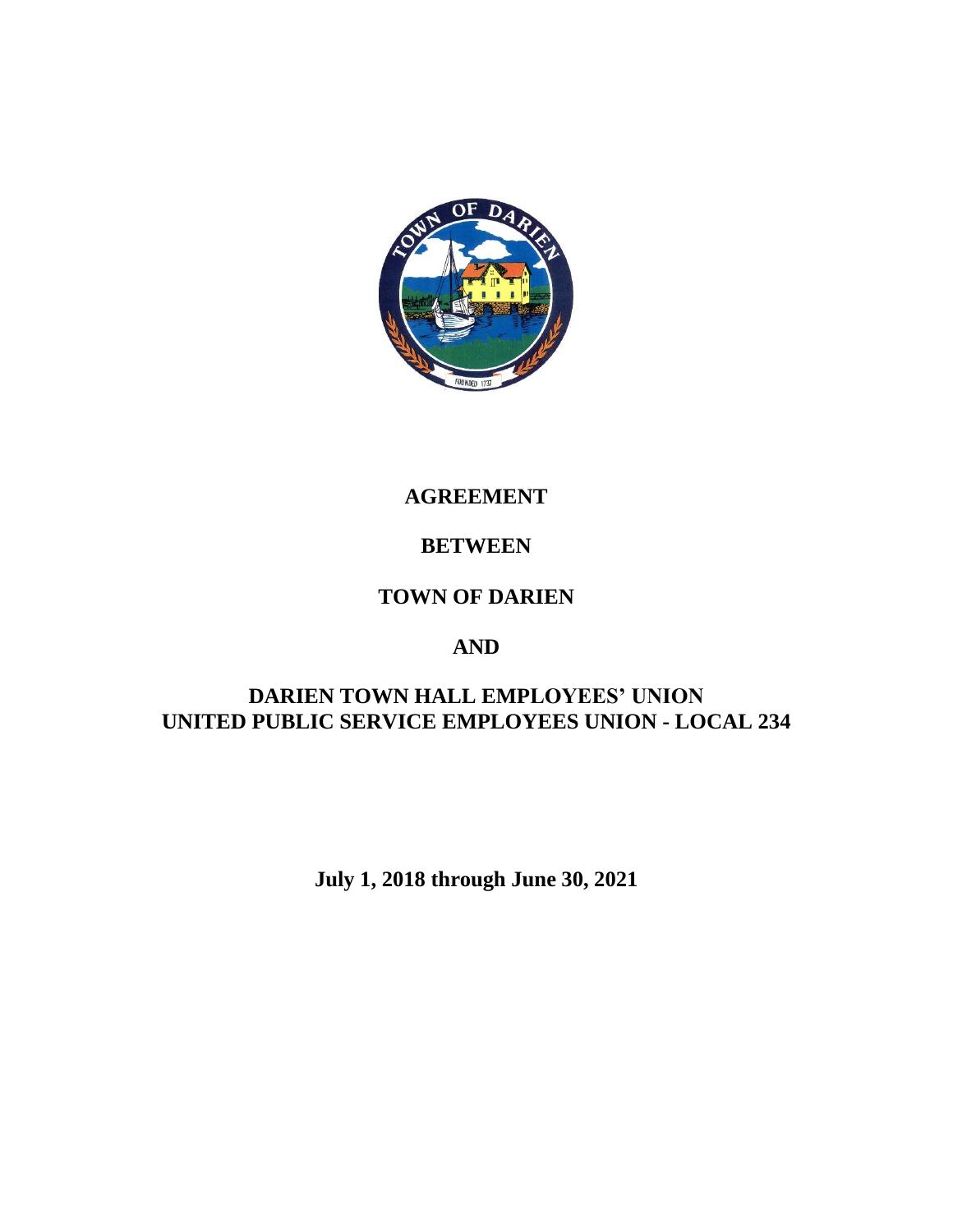

# **AGREEMENT**

# **BETWEEN**

# **TOWN OF DARIEN**

# **AND**

# **DARIEN TOWN HALL EMPLOYEES' UNION UNITED PUBLIC SERVICE EMPLOYEES UNION - LOCAL 234**

**July 1, 2018 through June 30, 2021**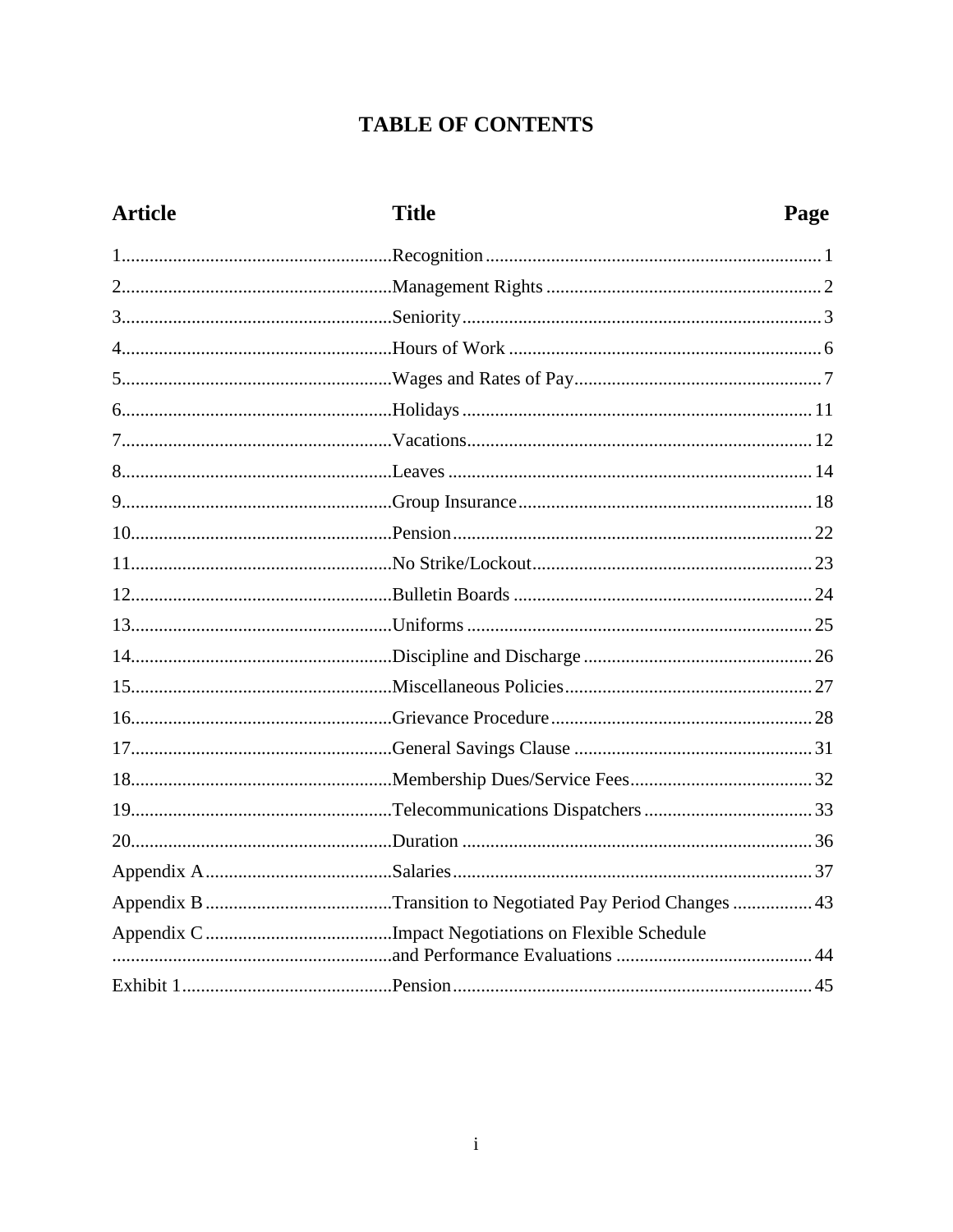# **TABLE OF CONTENTS**

| <b>Article</b> | <b>Title</b> | Page |
|----------------|--------------|------|
|                |              |      |
|                |              |      |
|                |              |      |
|                |              |      |
|                |              |      |
|                |              |      |
|                |              |      |
|                |              |      |
|                |              |      |
|                |              |      |
|                |              |      |
|                |              |      |
|                |              |      |
|                |              |      |
|                |              |      |
|                |              |      |
|                |              |      |
|                |              |      |
|                |              |      |
|                |              |      |
|                |              |      |
|                |              |      |
|                |              |      |
|                |              |      |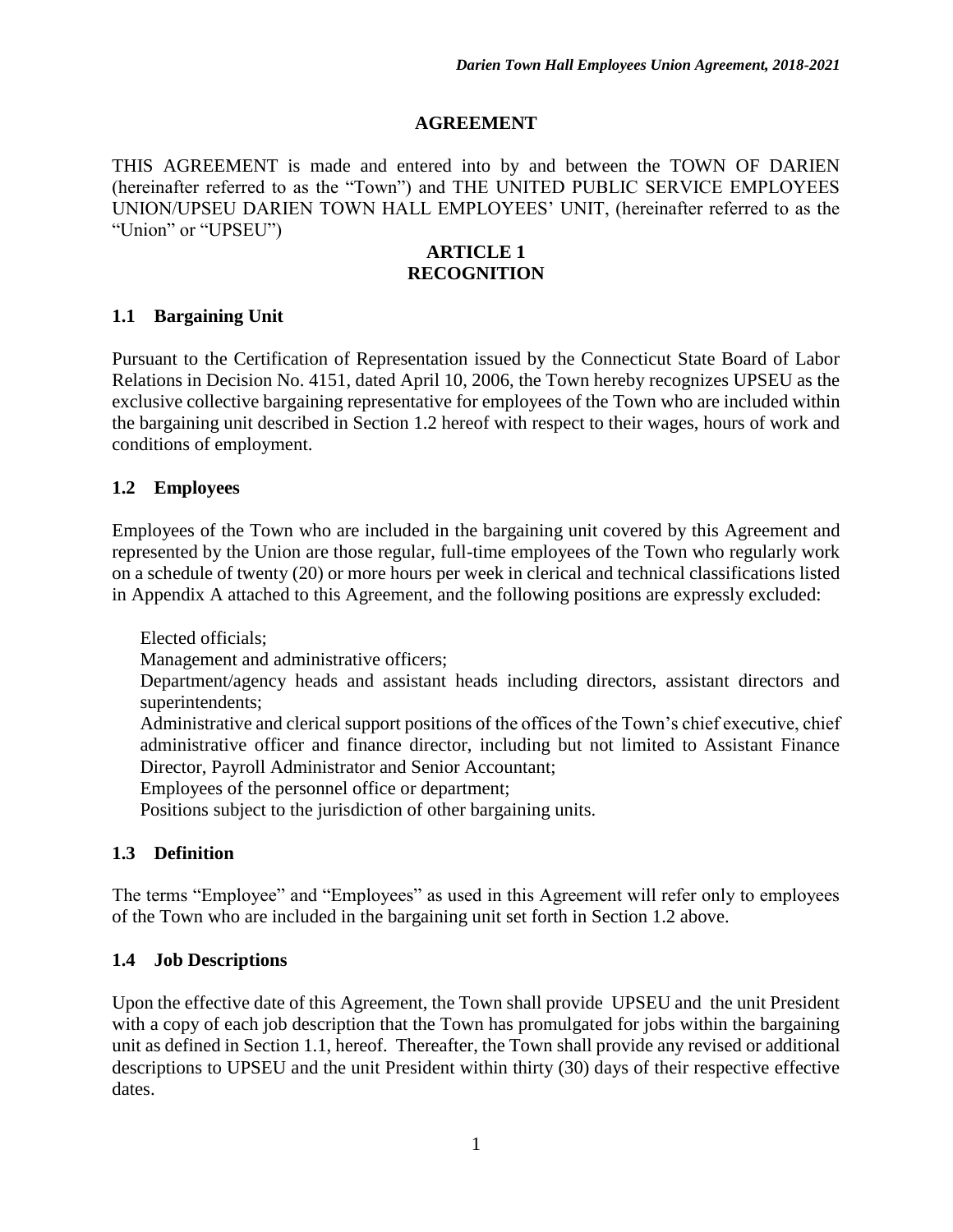#### **AGREEMENT**

THIS AGREEMENT is made and entered into by and between the TOWN OF DARIEN (hereinafter referred to as the "Town") and THE UNITED PUBLIC SERVICE EMPLOYEES UNION/UPSEU DARIEN TOWN HALL EMPLOYEES' UNIT, (hereinafter referred to as the "Union" or "UPSEU")

#### **ARTICLE 1 RECOGNITION**

#### **1.1 Bargaining Unit**

Pursuant to the Certification of Representation issued by the Connecticut State Board of Labor Relations in Decision No. 4151, dated April 10, 2006, the Town hereby recognizes UPSEU as the exclusive collective bargaining representative for employees of the Town who are included within the bargaining unit described in Section 1.2 hereof with respect to their wages, hours of work and conditions of employment.

#### **1.2 Employees**

Employees of the Town who are included in the bargaining unit covered by this Agreement and represented by the Union are those regular, full-time employees of the Town who regularly work on a schedule of twenty (20) or more hours per week in clerical and technical classifications listed in Appendix A attached to this Agreement, and the following positions are expressly excluded:

Elected officials;

Management and administrative officers;

Department/agency heads and assistant heads including directors, assistant directors and superintendents;

Administrative and clerical support positions of the offices of the Town's chief executive, chief administrative officer and finance director, including but not limited to Assistant Finance Director, Payroll Administrator and Senior Accountant;

Employees of the personnel office or department;

Positions subject to the jurisdiction of other bargaining units.

#### **1.3 Definition**

The terms "Employee" and "Employees" as used in this Agreement will refer only to employees of the Town who are included in the bargaining unit set forth in Section 1.2 above.

#### **1.4 Job Descriptions**

Upon the effective date of this Agreement, the Town shall provide UPSEU and the unit President with a copy of each job description that the Town has promulgated for jobs within the bargaining unit as defined in Section 1.1, hereof. Thereafter, the Town shall provide any revised or additional descriptions to UPSEU and the unit President within thirty (30) days of their respective effective dates.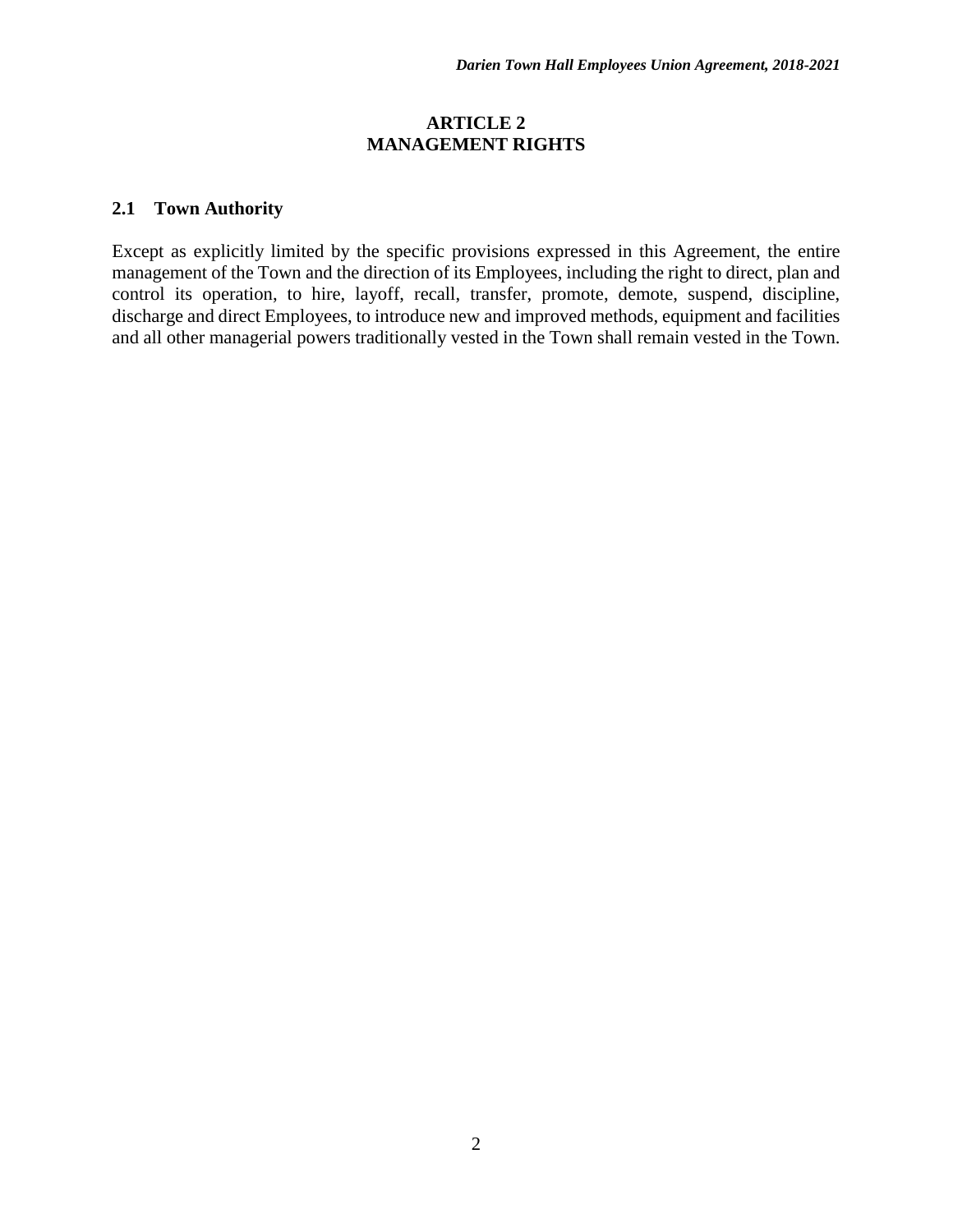#### **ARTICLE 2 MANAGEMENT RIGHTS**

#### **2.1 Town Authority**

Except as explicitly limited by the specific provisions expressed in this Agreement, the entire management of the Town and the direction of its Employees, including the right to direct, plan and control its operation, to hire, layoff, recall, transfer, promote, demote, suspend, discipline, discharge and direct Employees, to introduce new and improved methods, equipment and facilities and all other managerial powers traditionally vested in the Town shall remain vested in the Town.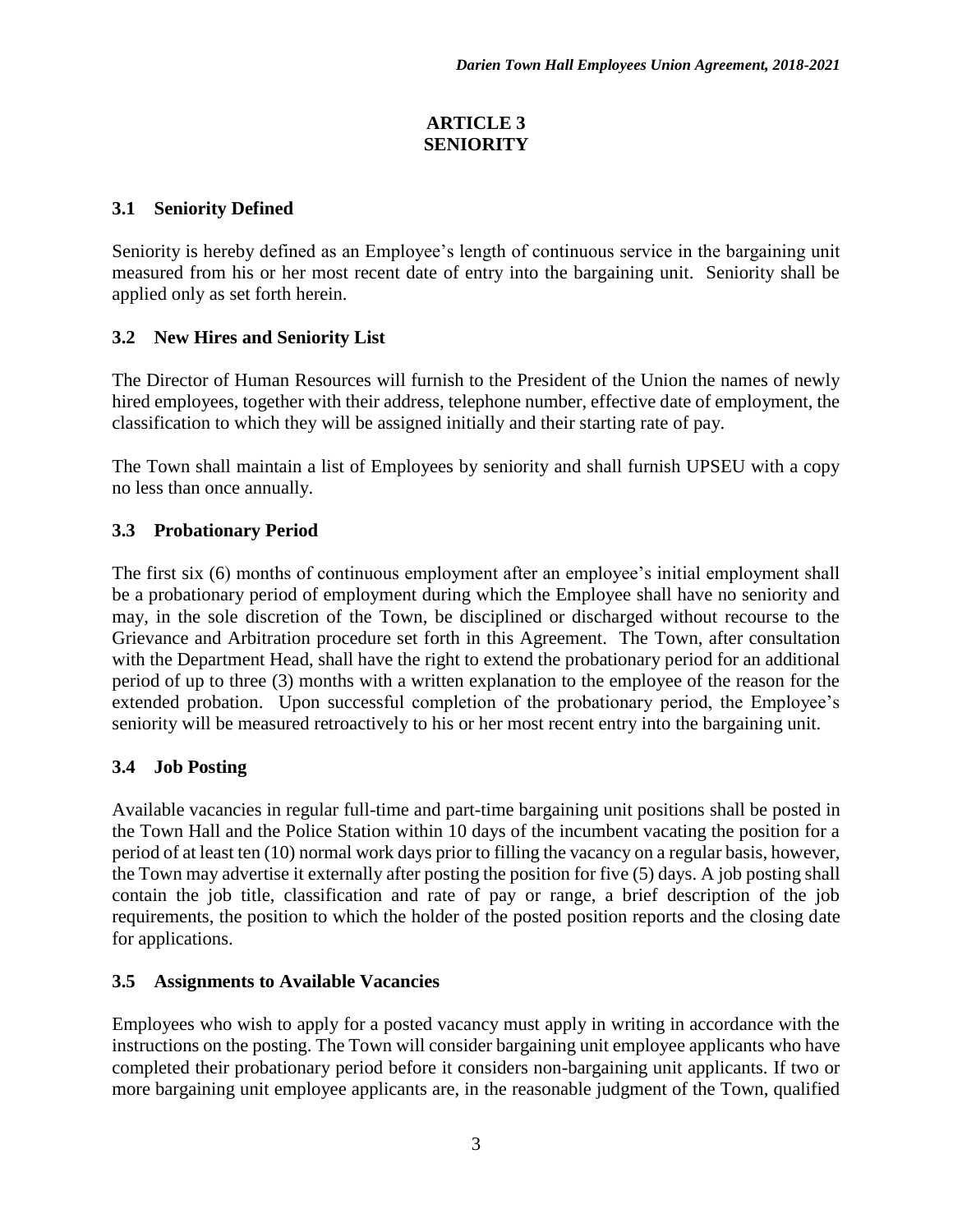### **ARTICLE 3 SENIORITY**

## **3.1 Seniority Defined**

Seniority is hereby defined as an Employee's length of continuous service in the bargaining unit measured from his or her most recent date of entry into the bargaining unit. Seniority shall be applied only as set forth herein.

# **3.2 New Hires and Seniority List**

The Director of Human Resources will furnish to the President of the Union the names of newly hired employees, together with their address, telephone number, effective date of employment, the classification to which they will be assigned initially and their starting rate of pay.

The Town shall maintain a list of Employees by seniority and shall furnish UPSEU with a copy no less than once annually.

## **3.3 Probationary Period**

The first six (6) months of continuous employment after an employee's initial employment shall be a probationary period of employment during which the Employee shall have no seniority and may, in the sole discretion of the Town, be disciplined or discharged without recourse to the Grievance and Arbitration procedure set forth in this Agreement. The Town, after consultation with the Department Head, shall have the right to extend the probationary period for an additional period of up to three (3) months with a written explanation to the employee of the reason for the extended probation. Upon successful completion of the probationary period, the Employee's seniority will be measured retroactively to his or her most recent entry into the bargaining unit.

#### **3.4 Job Posting**

Available vacancies in regular full-time and part-time bargaining unit positions shall be posted in the Town Hall and the Police Station within 10 days of the incumbent vacating the position for a period of at least ten (10) normal work days prior to filling the vacancy on a regular basis, however, the Town may advertise it externally after posting the position for five (5) days. A job posting shall contain the job title, classification and rate of pay or range, a brief description of the job requirements, the position to which the holder of the posted position reports and the closing date for applications.

#### **3.5 Assignments to Available Vacancies**

Employees who wish to apply for a posted vacancy must apply in writing in accordance with the instructions on the posting. The Town will consider bargaining unit employee applicants who have completed their probationary period before it considers non-bargaining unit applicants. If two or more bargaining unit employee applicants are, in the reasonable judgment of the Town, qualified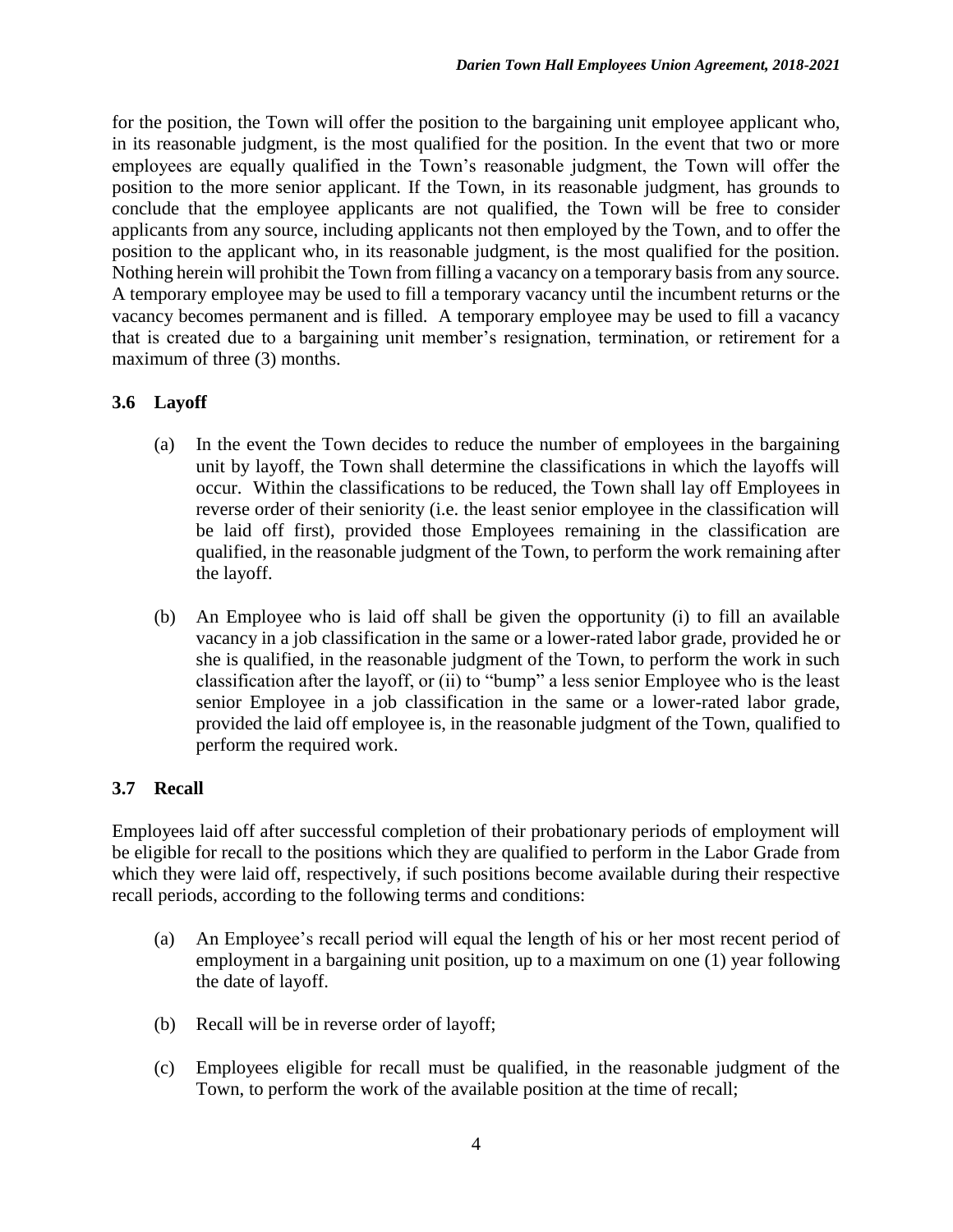for the position, the Town will offer the position to the bargaining unit employee applicant who, in its reasonable judgment, is the most qualified for the position. In the event that two or more employees are equally qualified in the Town's reasonable judgment, the Town will offer the position to the more senior applicant. If the Town, in its reasonable judgment, has grounds to conclude that the employee applicants are not qualified, the Town will be free to consider applicants from any source, including applicants not then employed by the Town, and to offer the position to the applicant who, in its reasonable judgment, is the most qualified for the position. Nothing herein will prohibit the Town from filling a vacancy on a temporary basis from any source. A temporary employee may be used to fill a temporary vacancy until the incumbent returns or the vacancy becomes permanent and is filled. A temporary employee may be used to fill a vacancy that is created due to a bargaining unit member's resignation, termination, or retirement for a maximum of three (3) months.

## **3.6 Layoff**

- (a) In the event the Town decides to reduce the number of employees in the bargaining unit by layoff, the Town shall determine the classifications in which the layoffs will occur. Within the classifications to be reduced, the Town shall lay off Employees in reverse order of their seniority (i.e. the least senior employee in the classification will be laid off first), provided those Employees remaining in the classification are qualified, in the reasonable judgment of the Town, to perform the work remaining after the layoff.
- (b) An Employee who is laid off shall be given the opportunity (i) to fill an available vacancy in a job classification in the same or a lower-rated labor grade, provided he or she is qualified, in the reasonable judgment of the Town, to perform the work in such classification after the layoff, or (ii) to "bump" a less senior Employee who is the least senior Employee in a job classification in the same or a lower-rated labor grade, provided the laid off employee is, in the reasonable judgment of the Town, qualified to perform the required work.

# **3.7 Recall**

Employees laid off after successful completion of their probationary periods of employment will be eligible for recall to the positions which they are qualified to perform in the Labor Grade from which they were laid off, respectively, if such positions become available during their respective recall periods, according to the following terms and conditions:

- (a) An Employee's recall period will equal the length of his or her most recent period of employment in a bargaining unit position, up to a maximum on one (1) year following the date of layoff.
- (b) Recall will be in reverse order of layoff;
- (c) Employees eligible for recall must be qualified, in the reasonable judgment of the Town, to perform the work of the available position at the time of recall;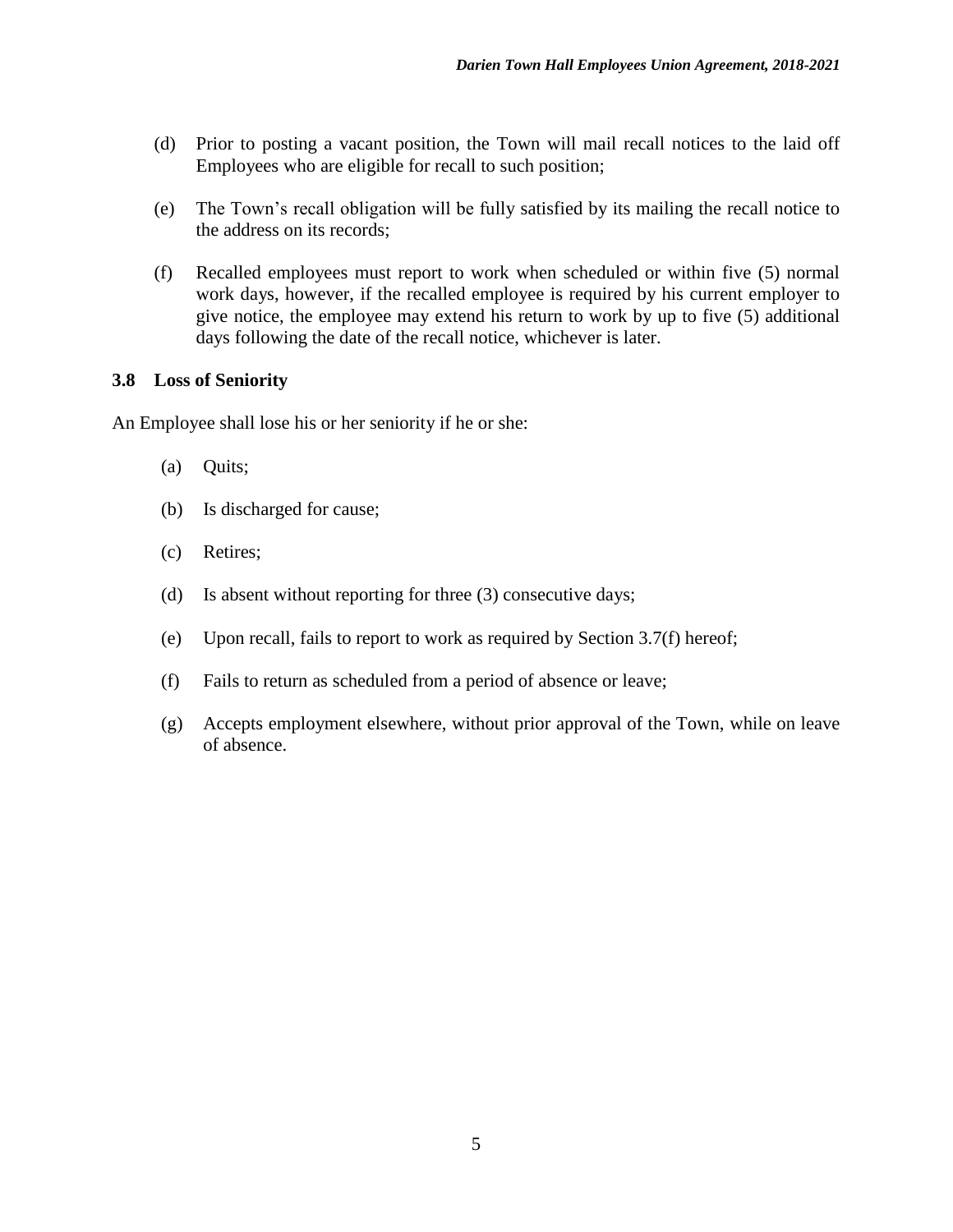- (d) Prior to posting a vacant position, the Town will mail recall notices to the laid off Employees who are eligible for recall to such position;
- (e) The Town's recall obligation will be fully satisfied by its mailing the recall notice to the address on its records;
- (f) Recalled employees must report to work when scheduled or within five (5) normal work days, however, if the recalled employee is required by his current employer to give notice, the employee may extend his return to work by up to five (5) additional days following the date of the recall notice, whichever is later.

#### **3.8 Loss of Seniority**

An Employee shall lose his or her seniority if he or she:

- (a) Quits;
- (b) Is discharged for cause;
- (c) Retires;
- (d) Is absent without reporting for three (3) consecutive days;
- (e) Upon recall, fails to report to work as required by Section 3.7(f) hereof;
- (f) Fails to return as scheduled from a period of absence or leave;
- (g) Accepts employment elsewhere, without prior approval of the Town, while on leave of absence.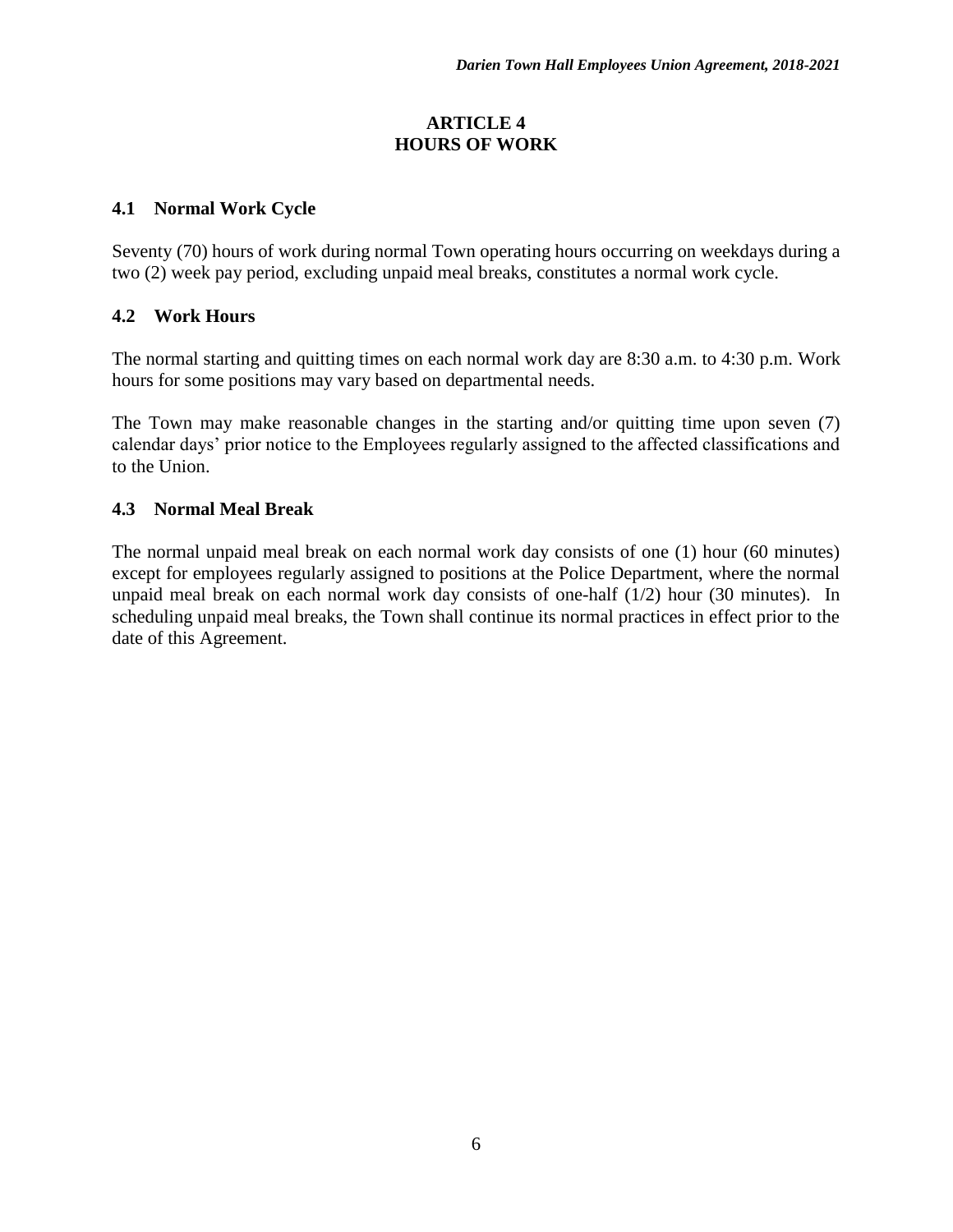#### **ARTICLE 4 HOURS OF WORK**

## **4.1 Normal Work Cycle**

Seventy (70) hours of work during normal Town operating hours occurring on weekdays during a two (2) week pay period, excluding unpaid meal breaks, constitutes a normal work cycle.

# **4.2 Work Hours**

The normal starting and quitting times on each normal work day are 8:30 a.m. to 4:30 p.m. Work hours for some positions may vary based on departmental needs.

The Town may make reasonable changes in the starting and/or quitting time upon seven (7) calendar days' prior notice to the Employees regularly assigned to the affected classifications and to the Union.

## **4.3 Normal Meal Break**

The normal unpaid meal break on each normal work day consists of one (1) hour (60 minutes) except for employees regularly assigned to positions at the Police Department, where the normal unpaid meal break on each normal work day consists of one-half (1/2) hour (30 minutes). In scheduling unpaid meal breaks, the Town shall continue its normal practices in effect prior to the date of this Agreement.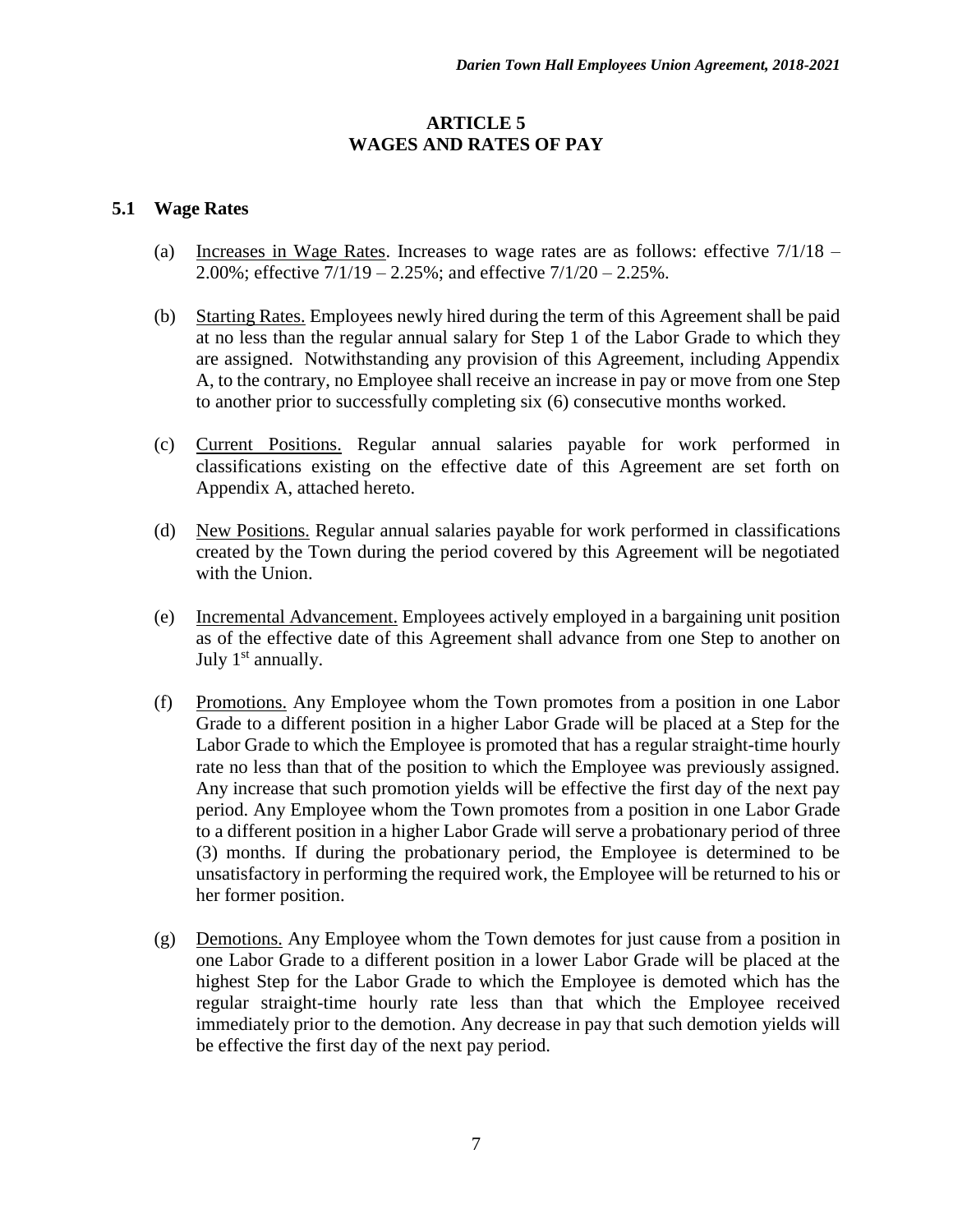#### **ARTICLE 5 WAGES AND RATES OF PAY**

#### **5.1 Wage Rates**

- (a) Increases in Wage Rates. Increases to wage rates are as follows: effective 7/1/18 2.00%; effective  $7/1/19 - 2.25$ %; and effective  $7/1/20 - 2.25$ %.
- (b) Starting Rates. Employees newly hired during the term of this Agreement shall be paid at no less than the regular annual salary for Step 1 of the Labor Grade to which they are assigned. Notwithstanding any provision of this Agreement, including Appendix A, to the contrary, no Employee shall receive an increase in pay or move from one Step to another prior to successfully completing six (6) consecutive months worked.
- (c) Current Positions. Regular annual salaries payable for work performed in classifications existing on the effective date of this Agreement are set forth on Appendix A, attached hereto.
- (d) New Positions. Regular annual salaries payable for work performed in classifications created by the Town during the period covered by this Agreement will be negotiated with the Union.
- (e) Incremental Advancement. Employees actively employed in a bargaining unit position as of the effective date of this Agreement shall advance from one Step to another on July 1<sup>st</sup> annually.
- (f) Promotions. Any Employee whom the Town promotes from a position in one Labor Grade to a different position in a higher Labor Grade will be placed at a Step for the Labor Grade to which the Employee is promoted that has a regular straight-time hourly rate no less than that of the position to which the Employee was previously assigned. Any increase that such promotion yields will be effective the first day of the next pay period. Any Employee whom the Town promotes from a position in one Labor Grade to a different position in a higher Labor Grade will serve a probationary period of three (3) months. If during the probationary period, the Employee is determined to be unsatisfactory in performing the required work, the Employee will be returned to his or her former position.
- (g) Demotions. Any Employee whom the Town demotes for just cause from a position in one Labor Grade to a different position in a lower Labor Grade will be placed at the highest Step for the Labor Grade to which the Employee is demoted which has the regular straight-time hourly rate less than that which the Employee received immediately prior to the demotion. Any decrease in pay that such demotion yields will be effective the first day of the next pay period.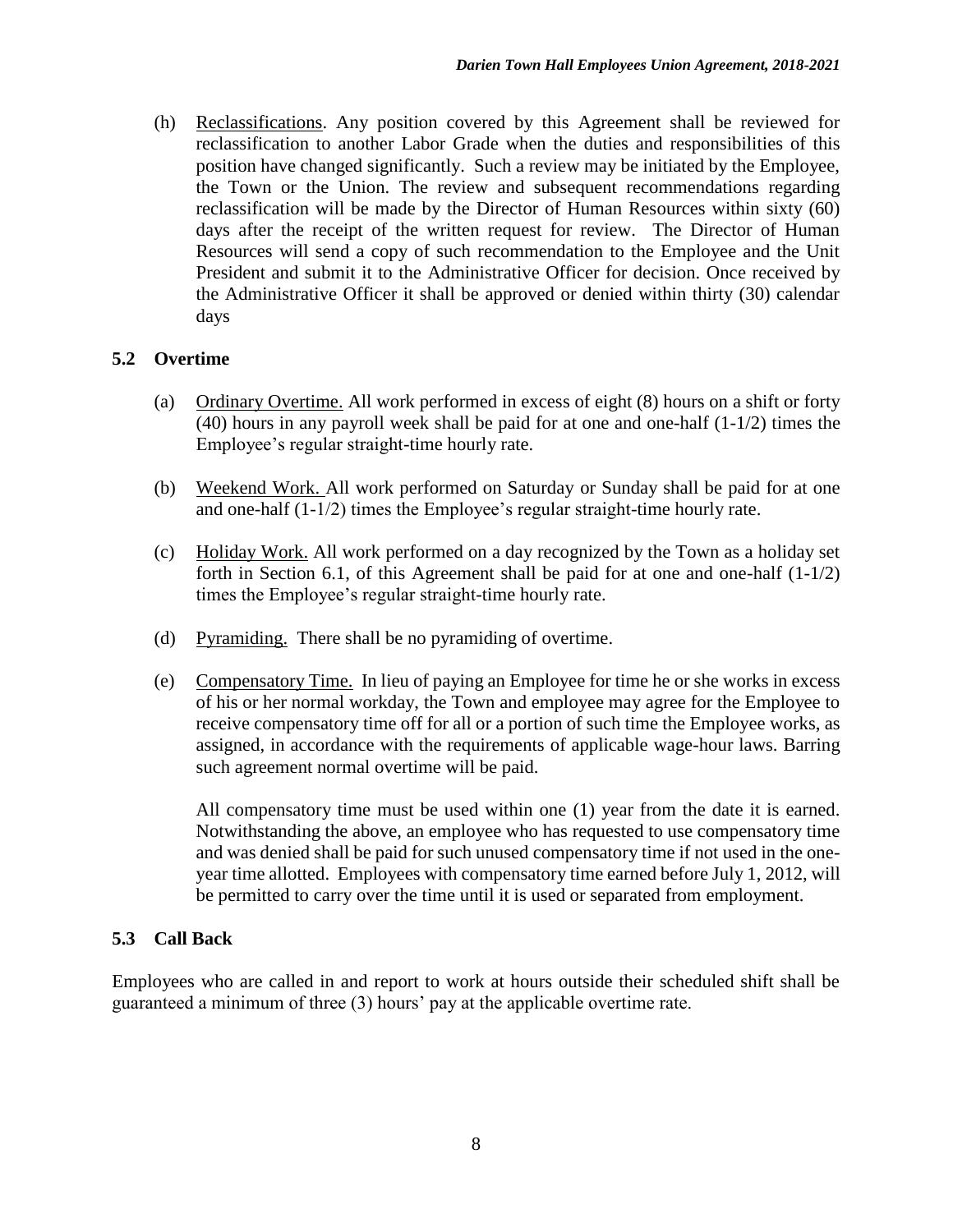(h) Reclassifications. Any position covered by this Agreement shall be reviewed for reclassification to another Labor Grade when the duties and responsibilities of this position have changed significantly. Such a review may be initiated by the Employee, the Town or the Union. The review and subsequent recommendations regarding reclassification will be made by the Director of Human Resources within sixty (60) days after the receipt of the written request for review. The Director of Human Resources will send a copy of such recommendation to the Employee and the Unit President and submit it to the Administrative Officer for decision. Once received by the Administrative Officer it shall be approved or denied within thirty (30) calendar days

#### **5.2 Overtime**

- (a) Ordinary Overtime. All work performed in excess of eight (8) hours on a shift or forty (40) hours in any payroll week shall be paid for at one and one-half (1-1/2) times the Employee's regular straight-time hourly rate.
- (b) Weekend Work. All work performed on Saturday or Sunday shall be paid for at one and one-half (1-1/2) times the Employee's regular straight-time hourly rate.
- (c) Holiday Work. All work performed on a day recognized by the Town as a holiday set forth in Section 6.1, of this Agreement shall be paid for at one and one-half (1-1/2) times the Employee's regular straight-time hourly rate.
- (d) Pyramiding. There shall be no pyramiding of overtime.
- (e) Compensatory Time. In lieu of paying an Employee for time he or she works in excess of his or her normal workday, the Town and employee may agree for the Employee to receive compensatory time off for all or a portion of such time the Employee works, as assigned, in accordance with the requirements of applicable wage-hour laws. Barring such agreement normal overtime will be paid.

All compensatory time must be used within one (1) year from the date it is earned. Notwithstanding the above, an employee who has requested to use compensatory time and was denied shall be paid for such unused compensatory time if not used in the oneyear time allotted. Employees with compensatory time earned before July 1, 2012, will be permitted to carry over the time until it is used or separated from employment.

# **5.3 Call Back**

Employees who are called in and report to work at hours outside their scheduled shift shall be guaranteed a minimum of three (3) hours' pay at the applicable overtime rate.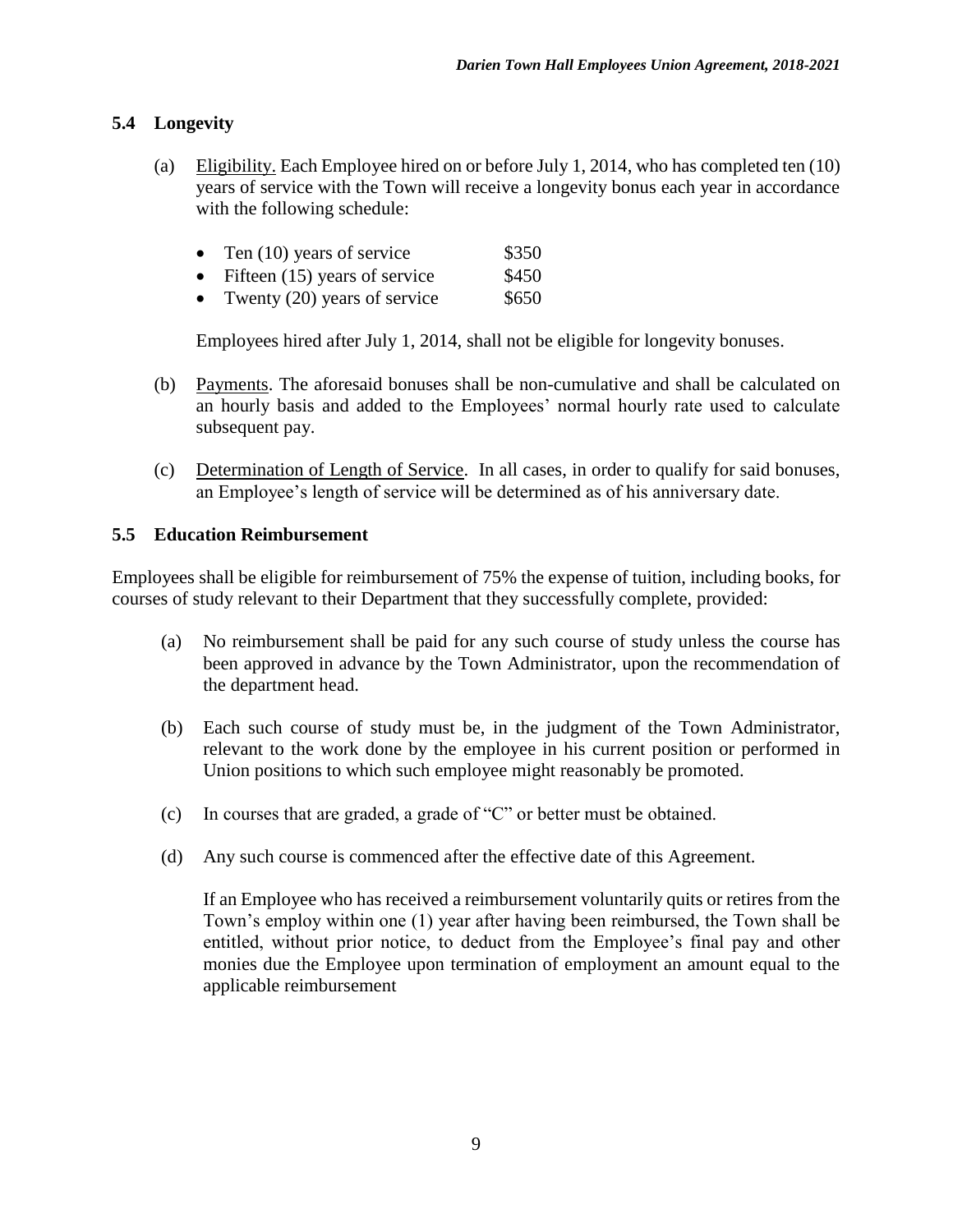## **5.4 Longevity**

(a) Eligibility. Each Employee hired on or before July 1, 2014, who has completed ten (10) years of service with the Town will receive a longevity bonus each year in accordance with the following schedule:

| Ten $(10)$ years of service | \$350 |
|-----------------------------|-------|
|                             |       |

- Fifteen  $(15)$  years of service \$450
- Twenty  $(20)$  years of service  $$650$

Employees hired after July 1, 2014, shall not be eligible for longevity bonuses.

- (b) Payments. The aforesaid bonuses shall be non-cumulative and shall be calculated on an hourly basis and added to the Employees' normal hourly rate used to calculate subsequent pay.
- (c) Determination of Length of Service. In all cases, in order to qualify for said bonuses, an Employee's length of service will be determined as of his anniversary date.

## **5.5 Education Reimbursement**

Employees shall be eligible for reimbursement of 75% the expense of tuition, including books, for courses of study relevant to their Department that they successfully complete, provided:

- (a) No reimbursement shall be paid for any such course of study unless the course has been approved in advance by the Town Administrator, upon the recommendation of the department head.
- (b) Each such course of study must be, in the judgment of the Town Administrator, relevant to the work done by the employee in his current position or performed in Union positions to which such employee might reasonably be promoted.
- (c) In courses that are graded, a grade of "C" or better must be obtained.
- (d) Any such course is commenced after the effective date of this Agreement.

If an Employee who has received a reimbursement voluntarily quits or retires from the Town's employ within one (1) year after having been reimbursed, the Town shall be entitled, without prior notice, to deduct from the Employee's final pay and other monies due the Employee upon termination of employment an amount equal to the applicable reimbursement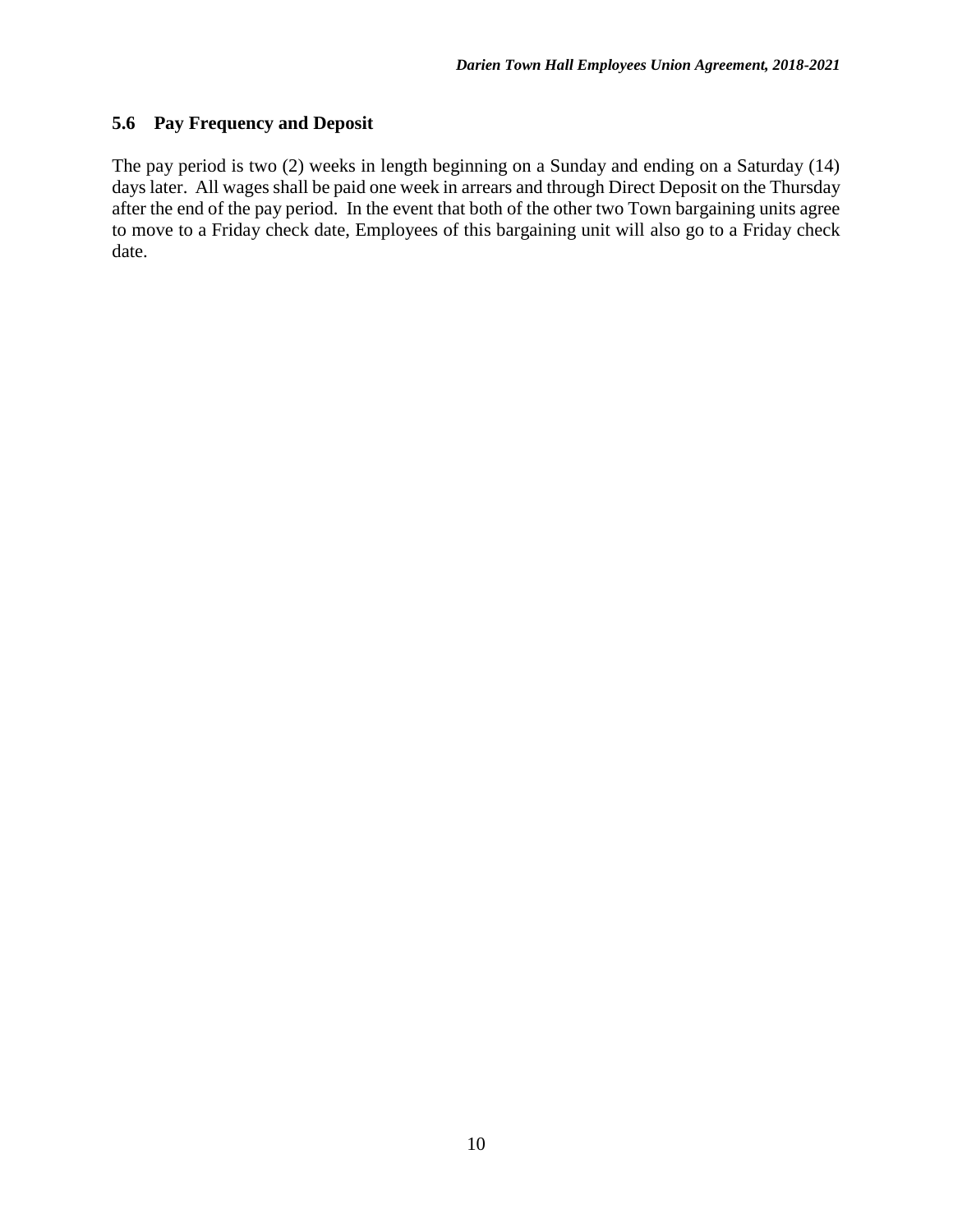### **5.6 Pay Frequency and Deposit**

The pay period is two (2) weeks in length beginning on a Sunday and ending on a Saturday (14) days later. All wages shall be paid one week in arrears and through Direct Deposit on the Thursday after the end of the pay period. In the event that both of the other two Town bargaining units agree to move to a Friday check date, Employees of this bargaining unit will also go to a Friday check date.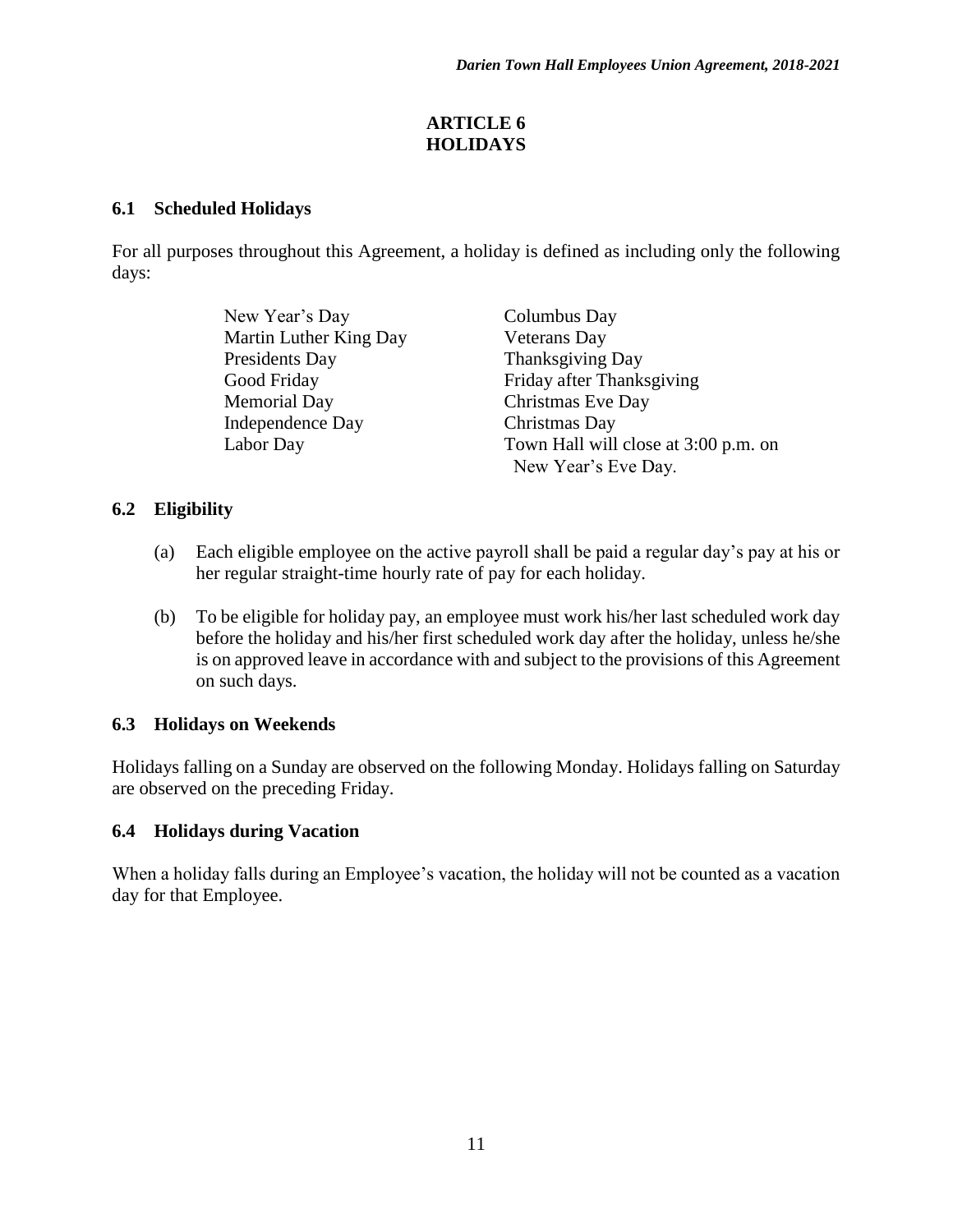### **ARTICLE 6 HOLIDAYS**

### **6.1 Scheduled Holidays**

For all purposes throughout this Agreement, a holiday is defined as including only the following days:

> New Year's Day Columbus Day Martin Luther King Day Veterans Day Presidents Day Thanksgiving Day Memorial Day Christmas Eve Day Independence Day Christmas Day

Good Friday Friday after Thanksgiving Labor Day Town Hall will close at 3:00 p.m. on New Year's Eve Day.

# **6.2 Eligibility**

- (a) Each eligible employee on the active payroll shall be paid a regular day's pay at his or her regular straight-time hourly rate of pay for each holiday.
- (b) To be eligible for holiday pay, an employee must work his/her last scheduled work day before the holiday and his/her first scheduled work day after the holiday, unless he/she is on approved leave in accordance with and subject to the provisions of this Agreement on such days.

# **6.3 Holidays on Weekends**

Holidays falling on a Sunday are observed on the following Monday. Holidays falling on Saturday are observed on the preceding Friday.

# **6.4 Holidays during Vacation**

When a holiday falls during an Employee's vacation, the holiday will not be counted as a vacation day for that Employee.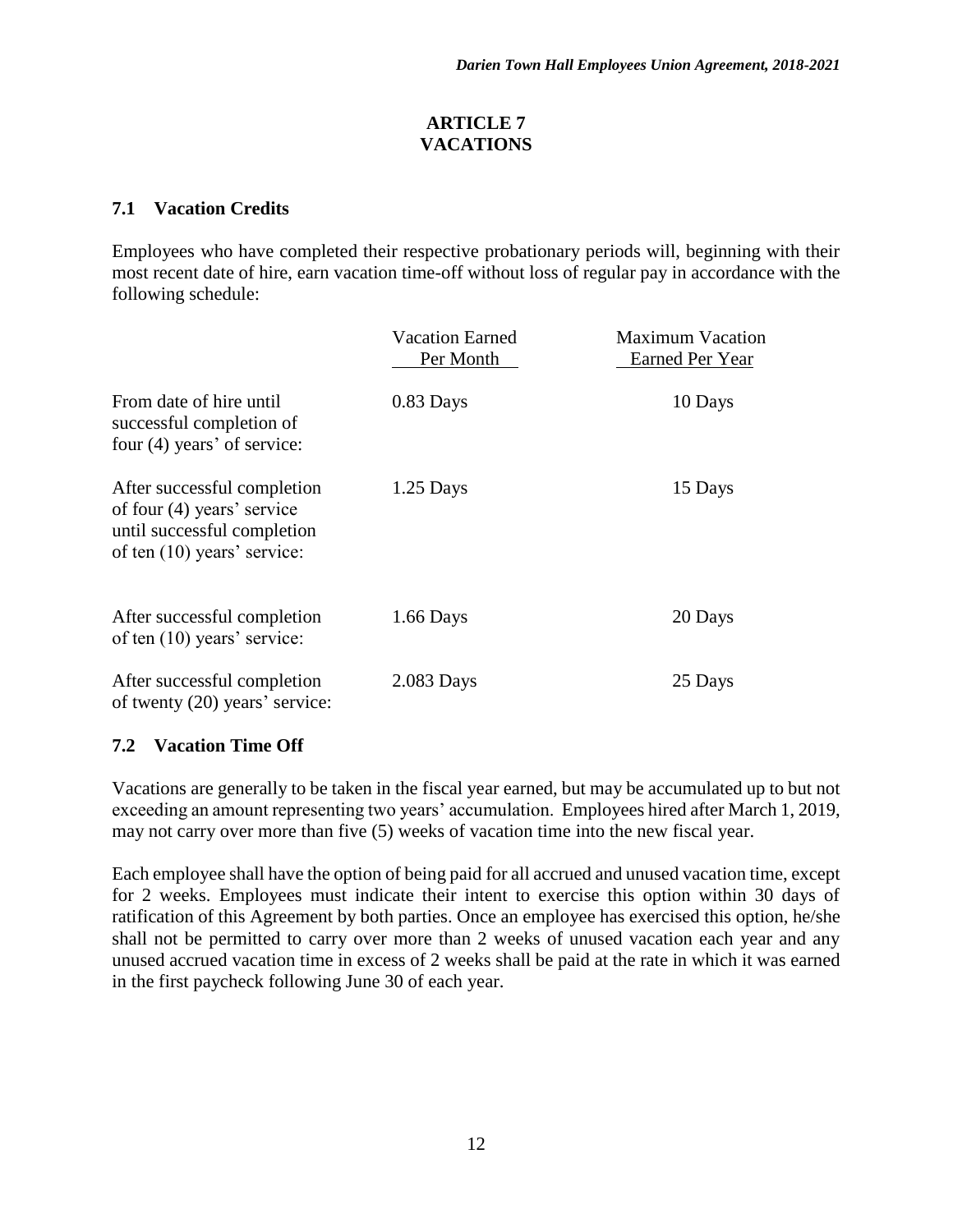### **ARTICLE 7 VACATIONS**

## **7.1 Vacation Credits**

Employees who have completed their respective probationary periods will, beginning with their most recent date of hire, earn vacation time-off without loss of regular pay in accordance with the following schedule:

|                                                                                                                             | <b>Vacation Earned</b><br>Per Month | <b>Maximum Vacation</b><br>Earned Per Year |
|-----------------------------------------------------------------------------------------------------------------------------|-------------------------------------|--------------------------------------------|
| From date of hire until<br>successful completion of<br>four (4) years' of service:                                          | 0.83 Days                           | 10 Days                                    |
| After successful completion<br>of four $(4)$ years' service<br>until successful completion<br>of ten $(10)$ years' service: | $1.25$ Days                         | 15 Days                                    |
| After successful completion<br>of ten $(10)$ years' service:                                                                | $1.66$ Days                         | 20 Days                                    |
| After successful completion<br>of twenty (20) years' service:                                                               | 2.083 Days                          | 25 Days                                    |

# **7.2 Vacation Time Off**

Vacations are generally to be taken in the fiscal year earned, but may be accumulated up to but not exceeding an amount representing two years' accumulation. Employees hired after March 1, 2019, may not carry over more than five (5) weeks of vacation time into the new fiscal year.

Each employee shall have the option of being paid for all accrued and unused vacation time, except for 2 weeks. Employees must indicate their intent to exercise this option within 30 days of ratification of this Agreement by both parties. Once an employee has exercised this option, he/she shall not be permitted to carry over more than 2 weeks of unused vacation each year and any unused accrued vacation time in excess of 2 weeks shall be paid at the rate in which it was earned in the first paycheck following June 30 of each year.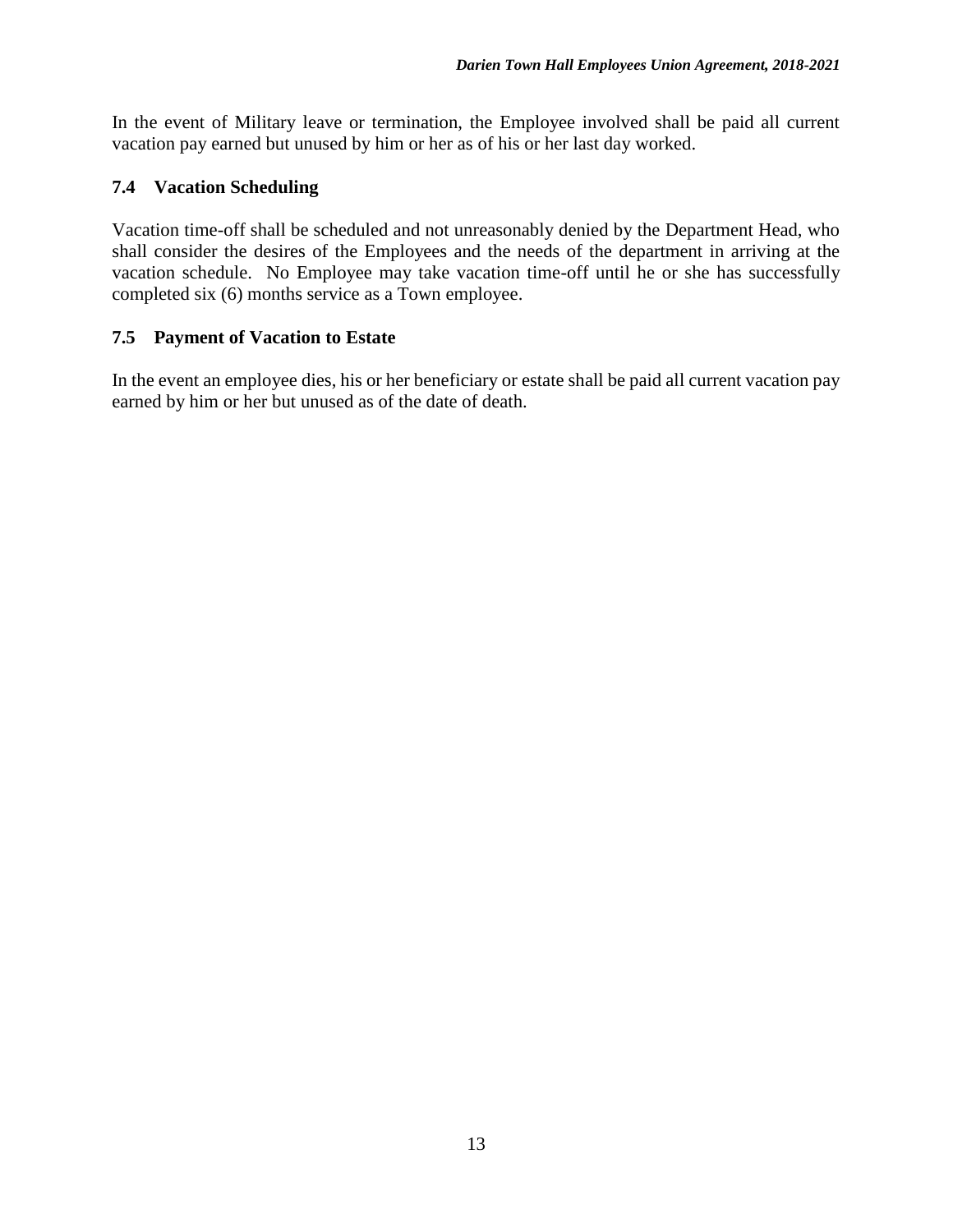In the event of Military leave or termination, the Employee involved shall be paid all current vacation pay earned but unused by him or her as of his or her last day worked.

## **7.4 Vacation Scheduling**

Vacation time-off shall be scheduled and not unreasonably denied by the Department Head, who shall consider the desires of the Employees and the needs of the department in arriving at the vacation schedule. No Employee may take vacation time-off until he or she has successfully completed six (6) months service as a Town employee.

#### **7.5 Payment of Vacation to Estate**

In the event an employee dies, his or her beneficiary or estate shall be paid all current vacation pay earned by him or her but unused as of the date of death.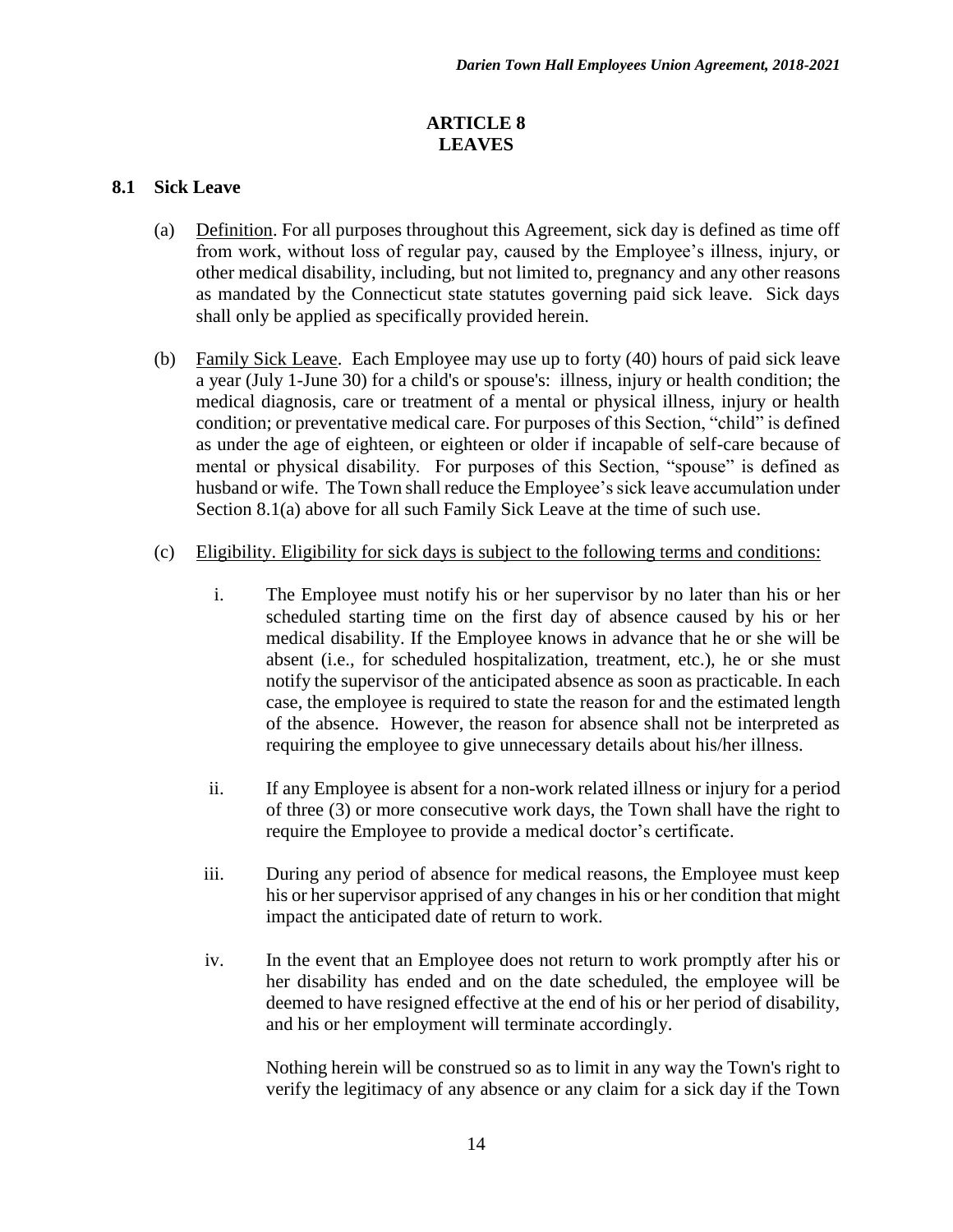#### **ARTICLE 8 LEAVES**

#### **8.1 Sick Leave**

- (a) Definition. For all purposes throughout this Agreement, sick day is defined as time off from work, without loss of regular pay, caused by the Employee's illness, injury, or other medical disability, including, but not limited to, pregnancy and any other reasons as mandated by the Connecticut state statutes governing paid sick leave. Sick days shall only be applied as specifically provided herein.
- (b) Family Sick Leave. Each Employee may use up to forty (40) hours of paid sick leave a year (July 1-June 30) for a child's or spouse's: illness, injury or health condition; the medical diagnosis, care or treatment of a mental or physical illness, injury or health condition; or preventative medical care. For purposes of this Section, "child" is defined as under the age of eighteen, or eighteen or older if incapable of self-care because of mental or physical disability. For purposes of this Section, "spouse" is defined as husband or wife. The Town shall reduce the Employee's sick leave accumulation under Section 8.1(a) above for all such Family Sick Leave at the time of such use.
- (c) Eligibility. Eligibility for sick days is subject to the following terms and conditions:
	- i. The Employee must notify his or her supervisor by no later than his or her scheduled starting time on the first day of absence caused by his or her medical disability. If the Employee knows in advance that he or she will be absent (i.e., for scheduled hospitalization, treatment, etc.), he or she must notify the supervisor of the anticipated absence as soon as practicable. In each case, the employee is required to state the reason for and the estimated length of the absence. However, the reason for absence shall not be interpreted as requiring the employee to give unnecessary details about his/her illness.
	- ii. If any Employee is absent for a non-work related illness or injury for a period of three (3) or more consecutive work days, the Town shall have the right to require the Employee to provide a medical doctor's certificate.
	- iii. During any period of absence for medical reasons, the Employee must keep his or her supervisor apprised of any changes in his or her condition that might impact the anticipated date of return to work.
	- iv. In the event that an Employee does not return to work promptly after his or her disability has ended and on the date scheduled, the employee will be deemed to have resigned effective at the end of his or her period of disability, and his or her employment will terminate accordingly.

Nothing herein will be construed so as to limit in any way the Town's right to verify the legitimacy of any absence or any claim for a sick day if the Town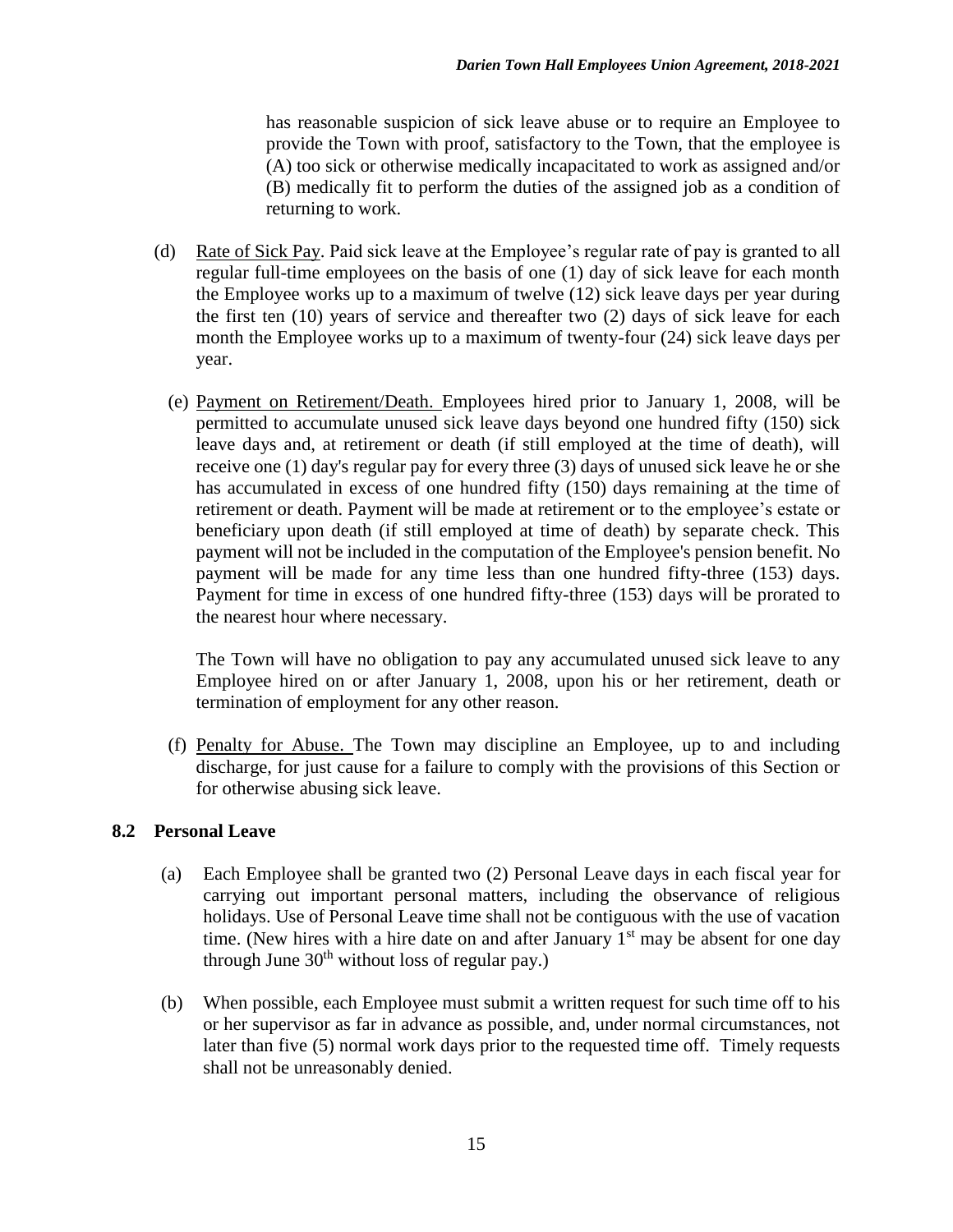has reasonable suspicion of sick leave abuse or to require an Employee to provide the Town with proof, satisfactory to the Town, that the employee is (A) too sick or otherwise medically incapacitated to work as assigned and/or (B) medically fit to perform the duties of the assigned job as a condition of returning to work.

- (d) Rate of Sick Pay. Paid sick leave at the Employee's regular rate of pay is granted to all regular full-time employees on the basis of one (1) day of sick leave for each month the Employee works up to a maximum of twelve (12) sick leave days per year during the first ten (10) years of service and thereafter two (2) days of sick leave for each month the Employee works up to a maximum of twenty-four (24) sick leave days per year.
	- (e) Payment on Retirement/Death. Employees hired prior to January 1, 2008, will be permitted to accumulate unused sick leave days beyond one hundred fifty (150) sick leave days and, at retirement or death (if still employed at the time of death), will receive one (1) day's regular pay for every three (3) days of unused sick leave he or she has accumulated in excess of one hundred fifty (150) days remaining at the time of retirement or death. Payment will be made at retirement or to the employee's estate or beneficiary upon death (if still employed at time of death) by separate check. This payment will not be included in the computation of the Employee's pension benefit. No payment will be made for any time less than one hundred fifty-three (153) days. Payment for time in excess of one hundred fifty-three (153) days will be prorated to the nearest hour where necessary.

The Town will have no obligation to pay any accumulated unused sick leave to any Employee hired on or after January 1, 2008, upon his or her retirement, death or termination of employment for any other reason.

(f) Penalty for Abuse. The Town may discipline an Employee, up to and including discharge, for just cause for a failure to comply with the provisions of this Section or for otherwise abusing sick leave.

#### **8.2 Personal Leave**

- (a) Each Employee shall be granted two (2) Personal Leave days in each fiscal year for carrying out important personal matters, including the observance of religious holidays. Use of Personal Leave time shall not be contiguous with the use of vacation time. (New hires with a hire date on and after January  $1<sup>st</sup>$  may be absent for one day through June  $30<sup>th</sup>$  without loss of regular pay.)
- (b) When possible, each Employee must submit a written request for such time off to his or her supervisor as far in advance as possible, and, under normal circumstances, not later than five (5) normal work days prior to the requested time off. Timely requests shall not be unreasonably denied.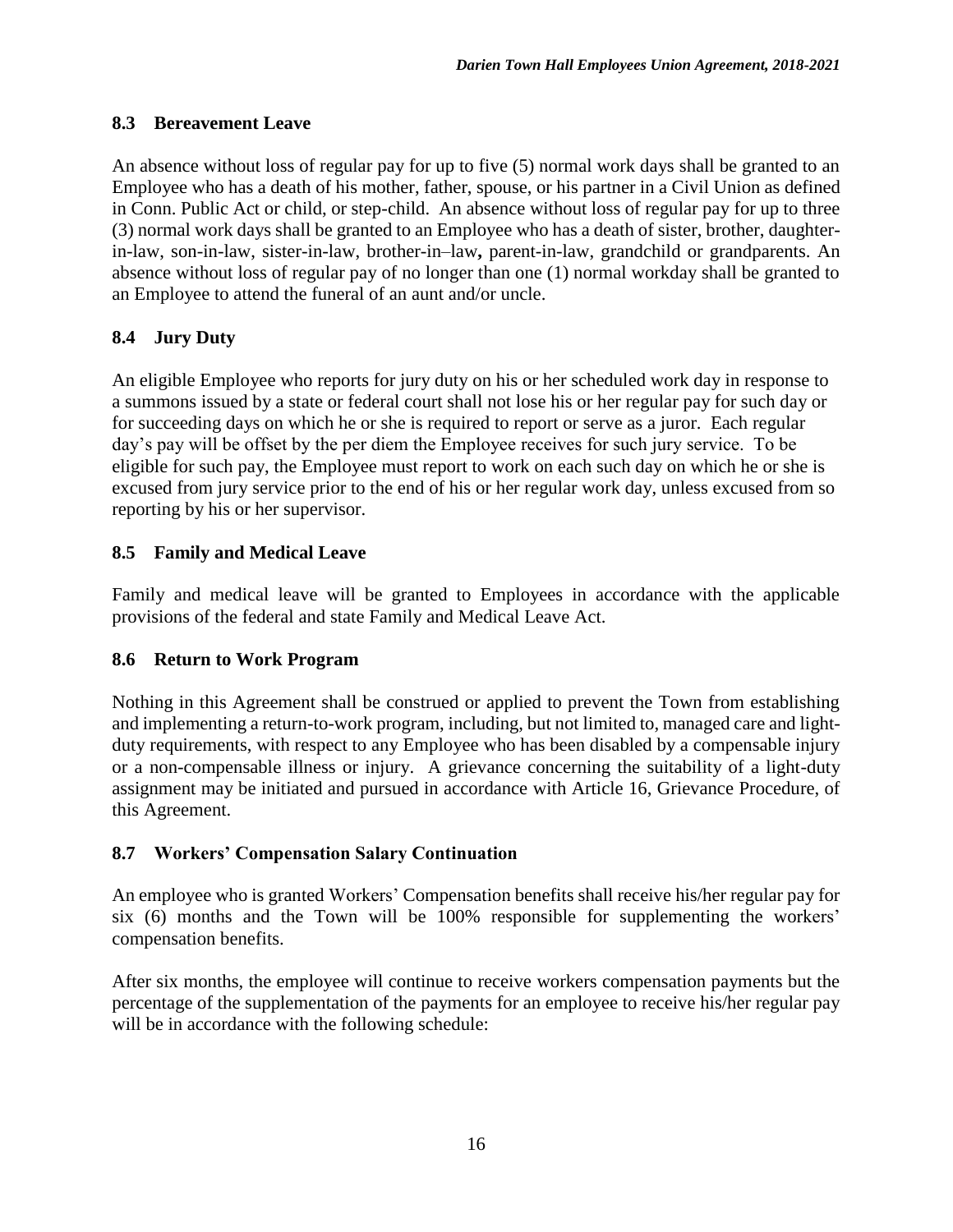## **8.3 Bereavement Leave**

An absence without loss of regular pay for up to five (5) normal work days shall be granted to an Employee who has a death of his mother, father, spouse, or his partner in a Civil Union as defined in Conn. Public Act or child, or step-child. An absence without loss of regular pay for up to three (3) normal work days shall be granted to an Employee who has a death of sister, brother, daughterin-law, son-in-law, sister-in-law, brother-in–law**,** parent-in-law, grandchild or grandparents. An absence without loss of regular pay of no longer than one (1) normal workday shall be granted to an Employee to attend the funeral of an aunt and/or uncle.

# **8.4 Jury Duty**

An eligible Employee who reports for jury duty on his or her scheduled work day in response to a summons issued by a state or federal court shall not lose his or her regular pay for such day or for succeeding days on which he or she is required to report or serve as a juror. Each regular day's pay will be offset by the per diem the Employee receives for such jury service. To be eligible for such pay, the Employee must report to work on each such day on which he or she is excused from jury service prior to the end of his or her regular work day, unless excused from so reporting by his or her supervisor.

# **8.5 Family and Medical Leave**

Family and medical leave will be granted to Employees in accordance with the applicable provisions of the federal and state Family and Medical Leave Act.

# **8.6 Return to Work Program**

Nothing in this Agreement shall be construed or applied to prevent the Town from establishing and implementing a return-to-work program, including, but not limited to, managed care and lightduty requirements, with respect to any Employee who has been disabled by a compensable injury or a non-compensable illness or injury. A grievance concerning the suitability of a light-duty assignment may be initiated and pursued in accordance with Article 16, Grievance Procedure, of this Agreement.

# **8.7 Workers' Compensation Salary Continuation**

An employee who is granted Workers' Compensation benefits shall receive his/her regular pay for six (6) months and the Town will be 100% responsible for supplementing the workers' compensation benefits.

After six months, the employee will continue to receive workers compensation payments but the percentage of the supplementation of the payments for an employee to receive his/her regular pay will be in accordance with the following schedule: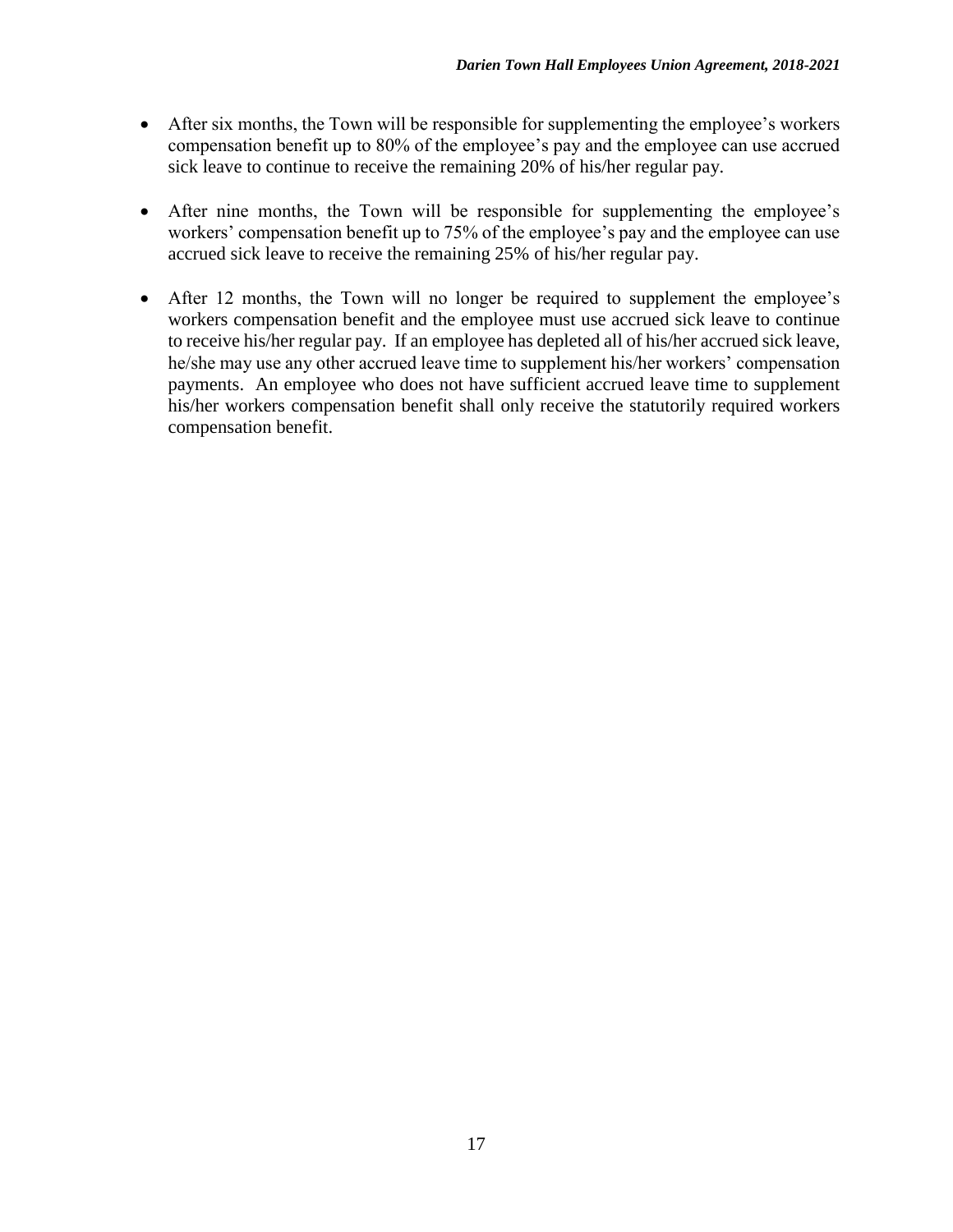- After six months, the Town will be responsible for supplementing the employee's workers compensation benefit up to 80% of the employee's pay and the employee can use accrued sick leave to continue to receive the remaining 20% of his/her regular pay.
- After nine months, the Town will be responsible for supplementing the employee's workers' compensation benefit up to 75% of the employee's pay and the employee can use accrued sick leave to receive the remaining 25% of his/her regular pay.
- After 12 months, the Town will no longer be required to supplement the employee's workers compensation benefit and the employee must use accrued sick leave to continue to receive his/her regular pay. If an employee has depleted all of his/her accrued sick leave, he/she may use any other accrued leave time to supplement his/her workers' compensation payments. An employee who does not have sufficient accrued leave time to supplement his/her workers compensation benefit shall only receive the statutorily required workers compensation benefit.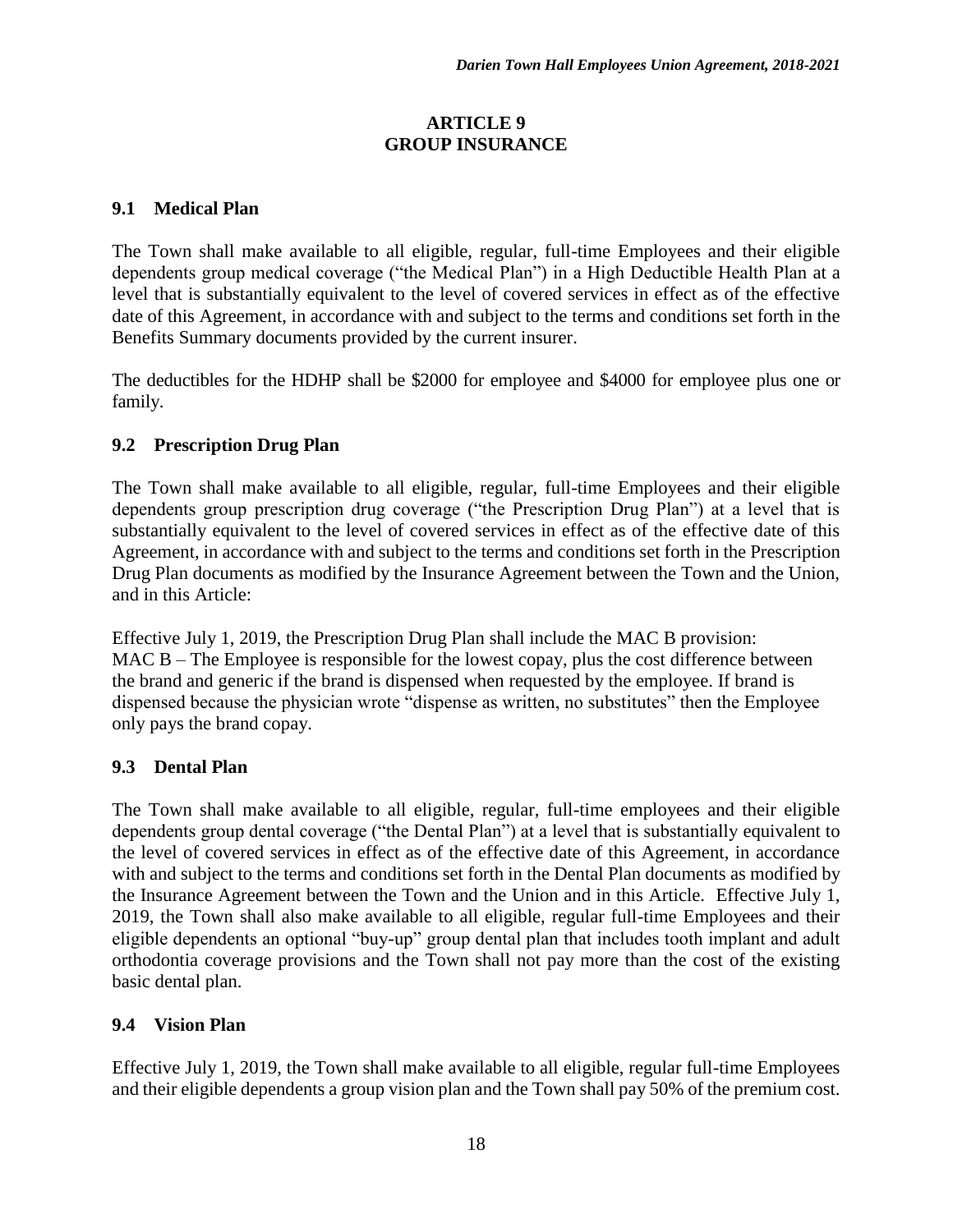#### **ARTICLE 9 GROUP INSURANCE**

## **9.1 Medical Plan**

The Town shall make available to all eligible, regular, full-time Employees and their eligible dependents group medical coverage ("the Medical Plan") in a High Deductible Health Plan at a level that is substantially equivalent to the level of covered services in effect as of the effective date of this Agreement, in accordance with and subject to the terms and conditions set forth in the Benefits Summary documents provided by the current insurer.

The deductibles for the HDHP shall be \$2000 for employee and \$4000 for employee plus one or family.

## **9.2 Prescription Drug Plan**

The Town shall make available to all eligible, regular, full-time Employees and their eligible dependents group prescription drug coverage ("the Prescription Drug Plan") at a level that is substantially equivalent to the level of covered services in effect as of the effective date of this Agreement, in accordance with and subject to the terms and conditions set forth in the Prescription Drug Plan documents as modified by the Insurance Agreement between the Town and the Union, and in this Article:

Effective July 1, 2019, the Prescription Drug Plan shall include the MAC B provision: MAC B – The Employee is responsible for the lowest copay, plus the cost difference between the brand and generic if the brand is dispensed when requested by the employee. If brand is dispensed because the physician wrote "dispense as written, no substitutes" then the Employee only pays the brand copay.

#### **9.3 Dental Plan**

The Town shall make available to all eligible, regular, full-time employees and their eligible dependents group dental coverage ("the Dental Plan") at a level that is substantially equivalent to the level of covered services in effect as of the effective date of this Agreement, in accordance with and subject to the terms and conditions set forth in the Dental Plan documents as modified by the Insurance Agreement between the Town and the Union and in this Article. Effective July 1, 2019, the Town shall also make available to all eligible, regular full-time Employees and their eligible dependents an optional "buy-up" group dental plan that includes tooth implant and adult orthodontia coverage provisions and the Town shall not pay more than the cost of the existing basic dental plan.

#### **9.4 Vision Plan**

Effective July 1, 2019, the Town shall make available to all eligible, regular full-time Employees and their eligible dependents a group vision plan and the Town shall pay 50% of the premium cost.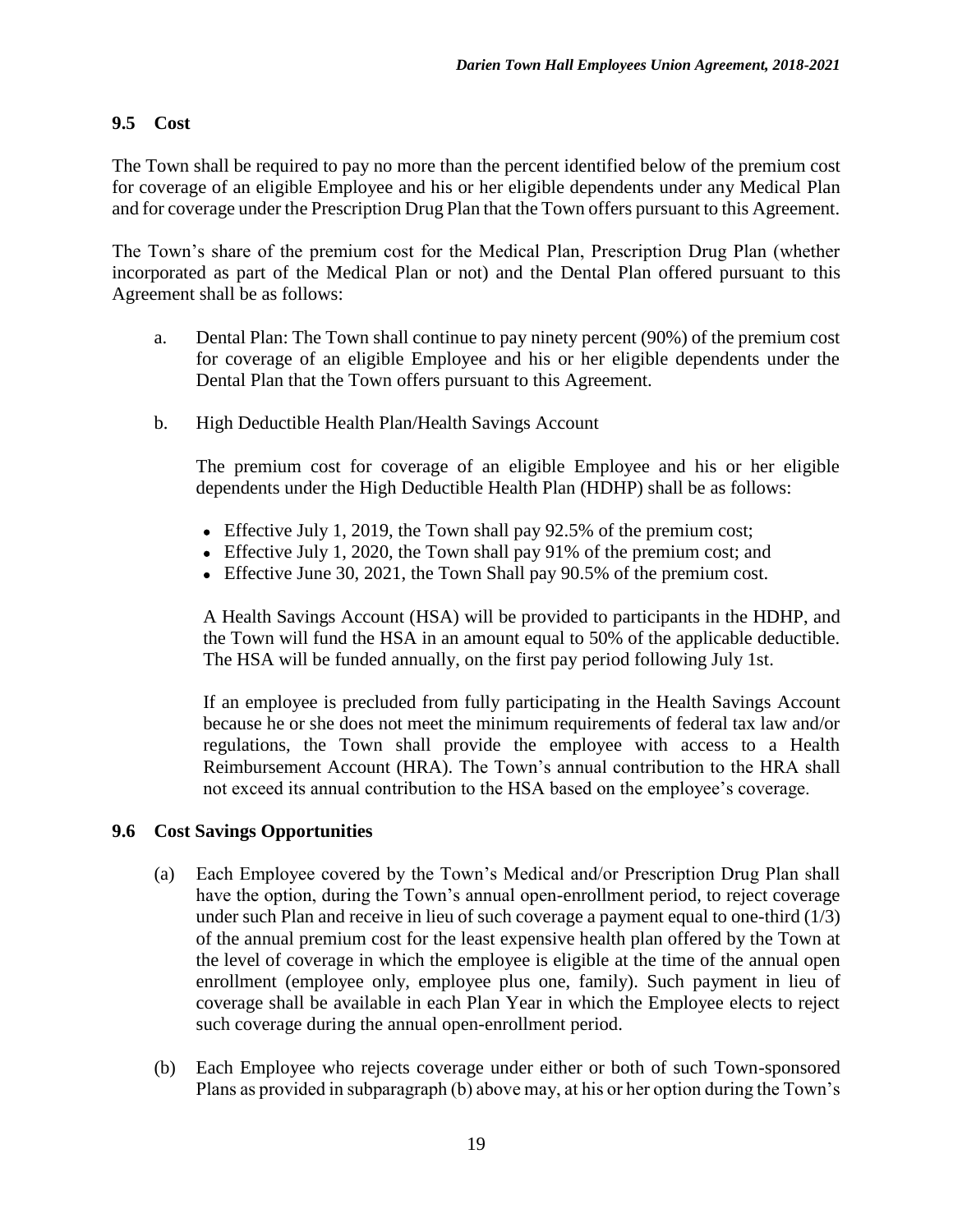### **9.5 Cost**

The Town shall be required to pay no more than the percent identified below of the premium cost for coverage of an eligible Employee and his or her eligible dependents under any Medical Plan and for coverage under the Prescription Drug Plan that the Town offers pursuant to this Agreement.

The Town's share of the premium cost for the Medical Plan, Prescription Drug Plan (whether incorporated as part of the Medical Plan or not) and the Dental Plan offered pursuant to this Agreement shall be as follows:

- a. Dental Plan: The Town shall continue to pay ninety percent (90%) of the premium cost for coverage of an eligible Employee and his or her eligible dependents under the Dental Plan that the Town offers pursuant to this Agreement.
- b. High Deductible Health Plan/Health Savings Account

The premium cost for coverage of an eligible Employee and his or her eligible dependents under the High Deductible Health Plan (HDHP) shall be as follows:

- Effective July 1, 2019, the Town shall pay 92.5% of the premium cost;
- Effective July 1, 2020, the Town shall pay 91% of the premium cost; and
- Effective June 30, 2021, the Town Shall pay 90.5% of the premium cost.

A Health Savings Account (HSA) will be provided to participants in the HDHP, and the Town will fund the HSA in an amount equal to 50% of the applicable deductible. The HSA will be funded annually, on the first pay period following July 1st.

If an employee is precluded from fully participating in the Health Savings Account because he or she does not meet the minimum requirements of federal tax law and/or regulations, the Town shall provide the employee with access to a Health Reimbursement Account (HRA). The Town's annual contribution to the HRA shall not exceed its annual contribution to the HSA based on the employee's coverage.

#### **9.6 Cost Savings Opportunities**

- (a) Each Employee covered by the Town's Medical and/or Prescription Drug Plan shall have the option, during the Town's annual open-enrollment period, to reject coverage under such Plan and receive in lieu of such coverage a payment equal to one-third (1/3) of the annual premium cost for the least expensive health plan offered by the Town at the level of coverage in which the employee is eligible at the time of the annual open enrollment (employee only, employee plus one, family). Such payment in lieu of coverage shall be available in each Plan Year in which the Employee elects to reject such coverage during the annual open-enrollment period.
- (b) Each Employee who rejects coverage under either or both of such Town-sponsored Plans as provided in subparagraph (b) above may, at his or her option during the Town's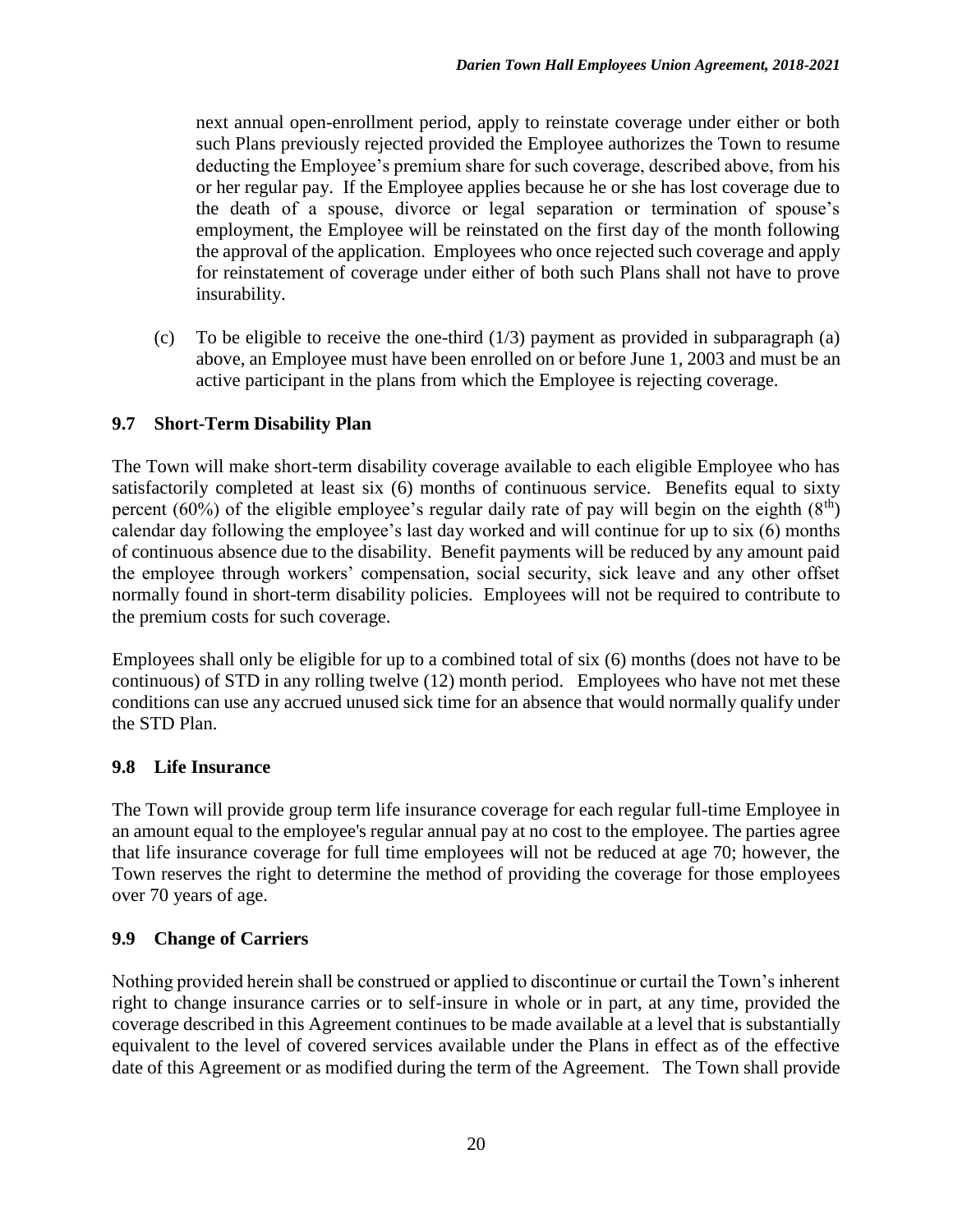next annual open-enrollment period, apply to reinstate coverage under either or both such Plans previously rejected provided the Employee authorizes the Town to resume deducting the Employee's premium share for such coverage, described above, from his or her regular pay. If the Employee applies because he or she has lost coverage due to the death of a spouse, divorce or legal separation or termination of spouse's employment, the Employee will be reinstated on the first day of the month following the approval of the application. Employees who once rejected such coverage and apply for reinstatement of coverage under either of both such Plans shall not have to prove insurability.

(c) To be eligible to receive the one-third  $(1/3)$  payment as provided in subparagraph (a) above, an Employee must have been enrolled on or before June 1, 2003 and must be an active participant in the plans from which the Employee is rejecting coverage.

# **9.7 Short-Term Disability Plan**

The Town will make short-term disability coverage available to each eligible Employee who has satisfactorily completed at least six (6) months of continuous service. Benefits equal to sixty percent (60%) of the eligible employee's regular daily rate of pay will begin on the eighth ( $8<sup>th</sup>$ ) calendar day following the employee's last day worked and will continue for up to six (6) months of continuous absence due to the disability. Benefit payments will be reduced by any amount paid the employee through workers' compensation, social security, sick leave and any other offset normally found in short-term disability policies. Employees will not be required to contribute to the premium costs for such coverage.

Employees shall only be eligible for up to a combined total of six (6) months (does not have to be continuous) of STD in any rolling twelve (12) month period. Employees who have not met these conditions can use any accrued unused sick time for an absence that would normally qualify under the STD Plan.

#### **9.8 Life Insurance**

The Town will provide group term life insurance coverage for each regular full-time Employee in an amount equal to the employee's regular annual pay at no cost to the employee. The parties agree that life insurance coverage for full time employees will not be reduced at age 70; however, the Town reserves the right to determine the method of providing the coverage for those employees over 70 years of age.

#### **9.9 Change of Carriers**

Nothing provided herein shall be construed or applied to discontinue or curtail the Town's inherent right to change insurance carries or to self-insure in whole or in part, at any time, provided the coverage described in this Agreement continues to be made available at a level that is substantially equivalent to the level of covered services available under the Plans in effect as of the effective date of this Agreement or as modified during the term of the Agreement. The Town shall provide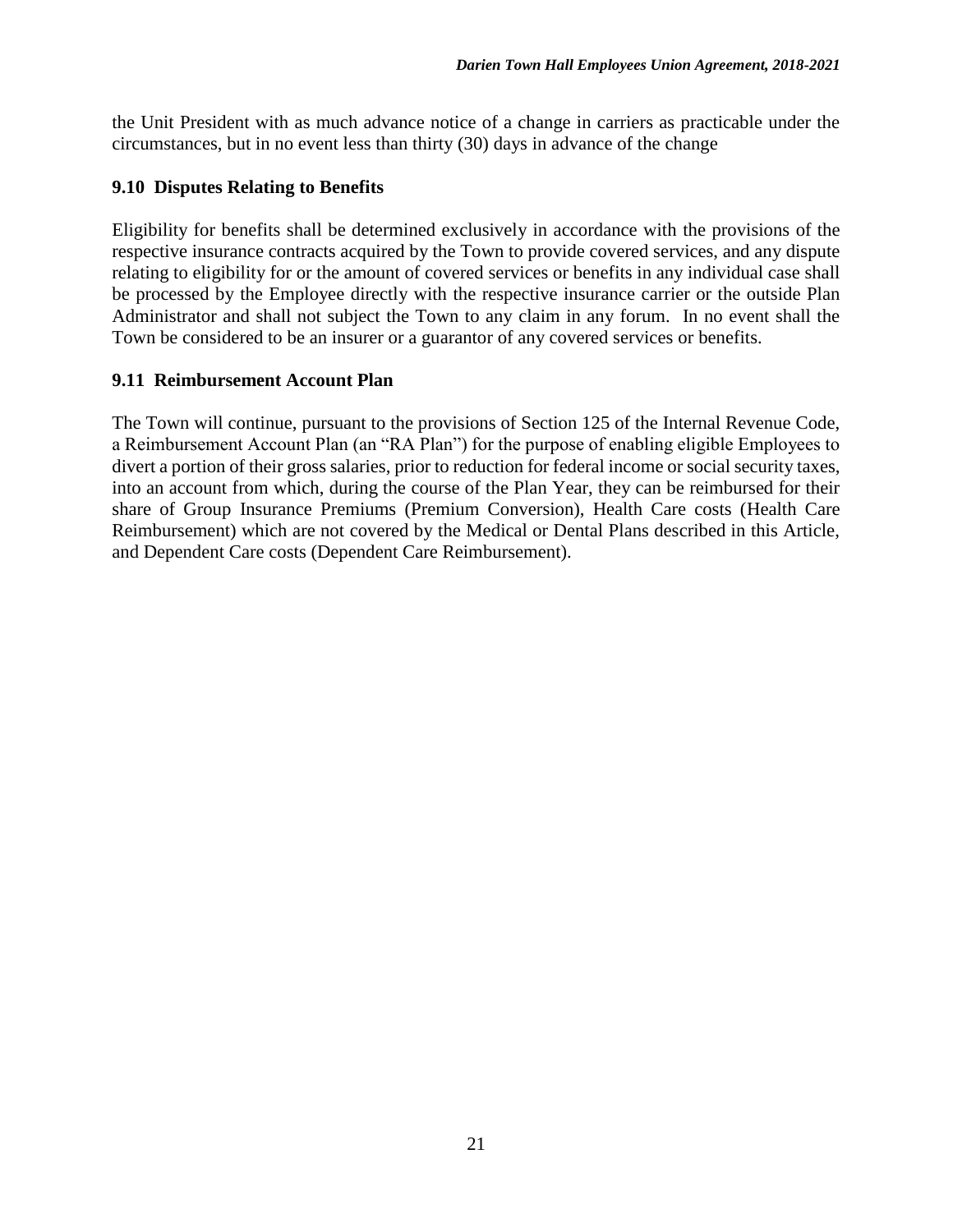the Unit President with as much advance notice of a change in carriers as practicable under the circumstances, but in no event less than thirty (30) days in advance of the change

## **9.10 Disputes Relating to Benefits**

Eligibility for benefits shall be determined exclusively in accordance with the provisions of the respective insurance contracts acquired by the Town to provide covered services, and any dispute relating to eligibility for or the amount of covered services or benefits in any individual case shall be processed by the Employee directly with the respective insurance carrier or the outside Plan Administrator and shall not subject the Town to any claim in any forum. In no event shall the Town be considered to be an insurer or a guarantor of any covered services or benefits.

#### **9.11 Reimbursement Account Plan**

The Town will continue, pursuant to the provisions of Section 125 of the Internal Revenue Code, a Reimbursement Account Plan (an "RA Plan") for the purpose of enabling eligible Employees to divert a portion of their gross salaries, prior to reduction for federal income or social security taxes, into an account from which, during the course of the Plan Year, they can be reimbursed for their share of Group Insurance Premiums (Premium Conversion), Health Care costs (Health Care Reimbursement) which are not covered by the Medical or Dental Plans described in this Article, and Dependent Care costs (Dependent Care Reimbursement).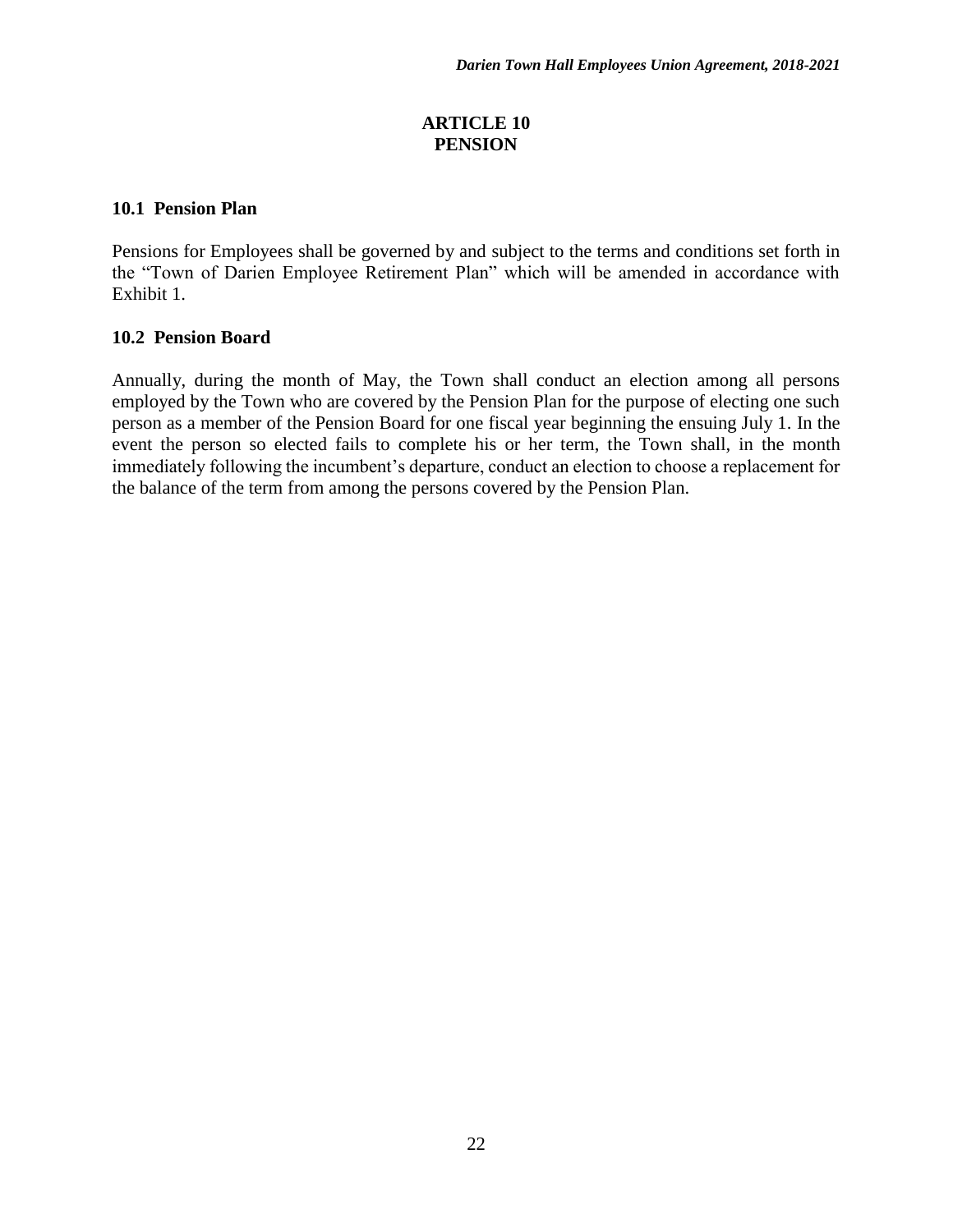#### **ARTICLE 10 PENSION**

### **10.1 Pension Plan**

Pensions for Employees shall be governed by and subject to the terms and conditions set forth in the "Town of Darien Employee Retirement Plan" which will be amended in accordance with Exhibit 1.

# **10.2 Pension Board**

Annually, during the month of May, the Town shall conduct an election among all persons employed by the Town who are covered by the Pension Plan for the purpose of electing one such person as a member of the Pension Board for one fiscal year beginning the ensuing July 1. In the event the person so elected fails to complete his or her term, the Town shall, in the month immediately following the incumbent's departure, conduct an election to choose a replacement for the balance of the term from among the persons covered by the Pension Plan.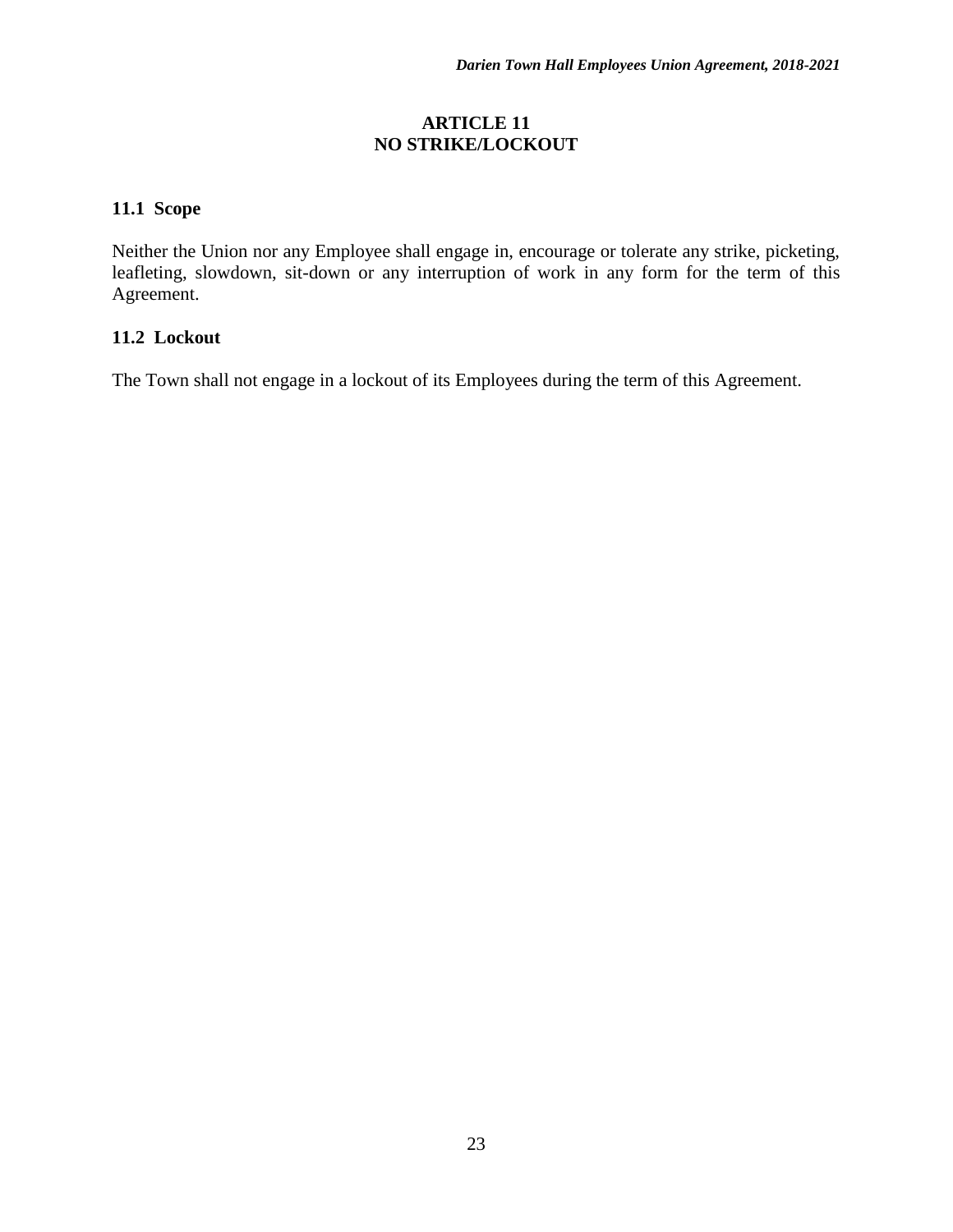#### **ARTICLE 11 NO STRIKE/LOCKOUT**

# **11.1 Scope**

Neither the Union nor any Employee shall engage in, encourage or tolerate any strike, picketing, leafleting, slowdown, sit-down or any interruption of work in any form for the term of this Agreement.

#### **11.2 Lockout**

The Town shall not engage in a lockout of its Employees during the term of this Agreement.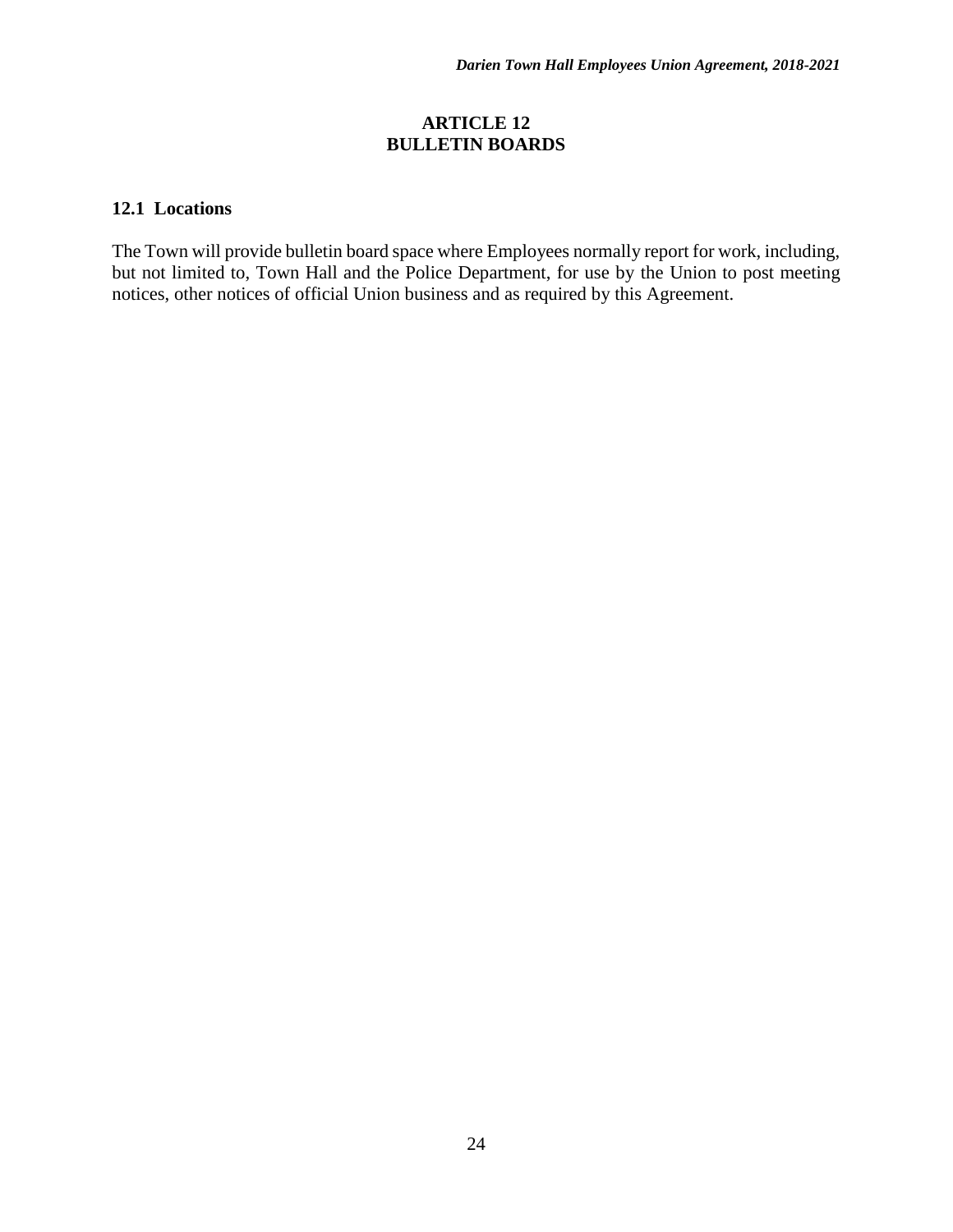#### **ARTICLE 12 BULLETIN BOARDS**

#### **12.1 Locations**

The Town will provide bulletin board space where Employees normally report for work, including, but not limited to, Town Hall and the Police Department, for use by the Union to post meeting notices, other notices of official Union business and as required by this Agreement.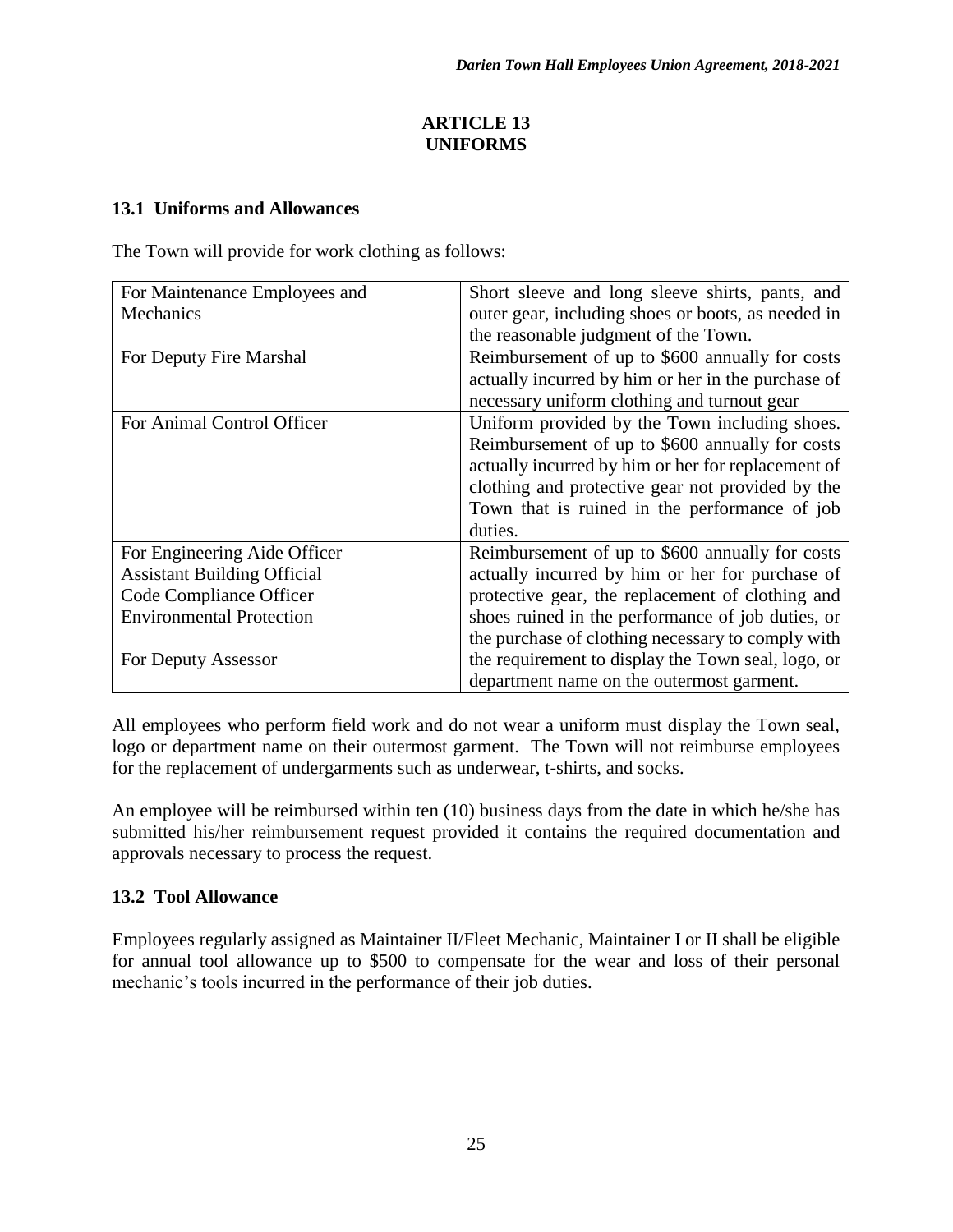## **ARTICLE 13 UNIFORMS**

### **13.1 Uniforms and Allowances**

The Town will provide for work clothing as follows:

| For Maintenance Employees and      | Short sleeve and long sleeve shirts, pants, and    |
|------------------------------------|----------------------------------------------------|
| Mechanics                          | outer gear, including shoes or boots, as needed in |
|                                    | the reasonable judgment of the Town.               |
| For Deputy Fire Marshal            | Reimbursement of up to \$600 annually for costs    |
|                                    | actually incurred by him or her in the purchase of |
|                                    | necessary uniform clothing and turnout gear        |
| For Animal Control Officer         | Uniform provided by the Town including shoes.      |
|                                    | Reimbursement of up to \$600 annually for costs    |
|                                    | actually incurred by him or her for replacement of |
|                                    | clothing and protective gear not provided by the   |
|                                    | Town that is ruined in the performance of job      |
|                                    | duties.                                            |
| For Engineering Aide Officer       | Reimbursement of up to \$600 annually for costs    |
| <b>Assistant Building Official</b> | actually incurred by him or her for purchase of    |
| Code Compliance Officer            | protective gear, the replacement of clothing and   |
| <b>Environmental Protection</b>    | shoes ruined in the performance of job duties, or  |
|                                    | the purchase of clothing necessary to comply with  |
| For Deputy Assessor                | the requirement to display the Town seal, logo, or |
|                                    | department name on the outermost garment.          |

All employees who perform field work and do not wear a uniform must display the Town seal, logo or department name on their outermost garment. The Town will not reimburse employees for the replacement of undergarments such as underwear, t-shirts, and socks.

An employee will be reimbursed within ten (10) business days from the date in which he/she has submitted his/her reimbursement request provided it contains the required documentation and approvals necessary to process the request.

# **13.2 Tool Allowance**

Employees regularly assigned as Maintainer II/Fleet Mechanic, Maintainer I or II shall be eligible for annual tool allowance up to \$500 to compensate for the wear and loss of their personal mechanic's tools incurred in the performance of their job duties.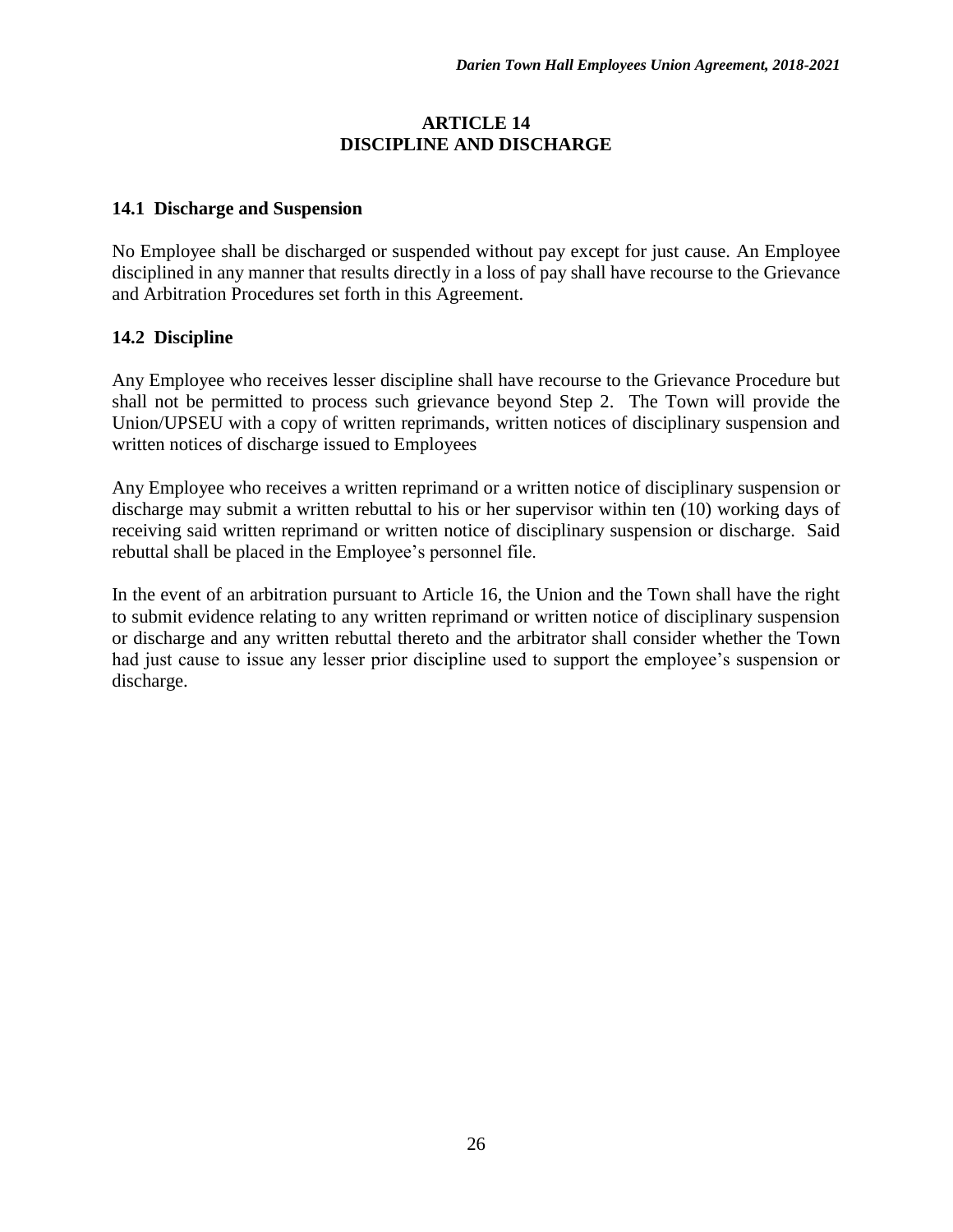#### **ARTICLE 14 DISCIPLINE AND DISCHARGE**

#### **14.1 Discharge and Suspension**

No Employee shall be discharged or suspended without pay except for just cause. An Employee disciplined in any manner that results directly in a loss of pay shall have recourse to the Grievance and Arbitration Procedures set forth in this Agreement.

#### **14.2 Discipline**

Any Employee who receives lesser discipline shall have recourse to the Grievance Procedure but shall not be permitted to process such grievance beyond Step 2. The Town will provide the Union/UPSEU with a copy of written reprimands, written notices of disciplinary suspension and written notices of discharge issued to Employees

Any Employee who receives a written reprimand or a written notice of disciplinary suspension or discharge may submit a written rebuttal to his or her supervisor within ten (10) working days of receiving said written reprimand or written notice of disciplinary suspension or discharge. Said rebuttal shall be placed in the Employee's personnel file.

In the event of an arbitration pursuant to Article 16, the Union and the Town shall have the right to submit evidence relating to any written reprimand or written notice of disciplinary suspension or discharge and any written rebuttal thereto and the arbitrator shall consider whether the Town had just cause to issue any lesser prior discipline used to support the employee's suspension or discharge.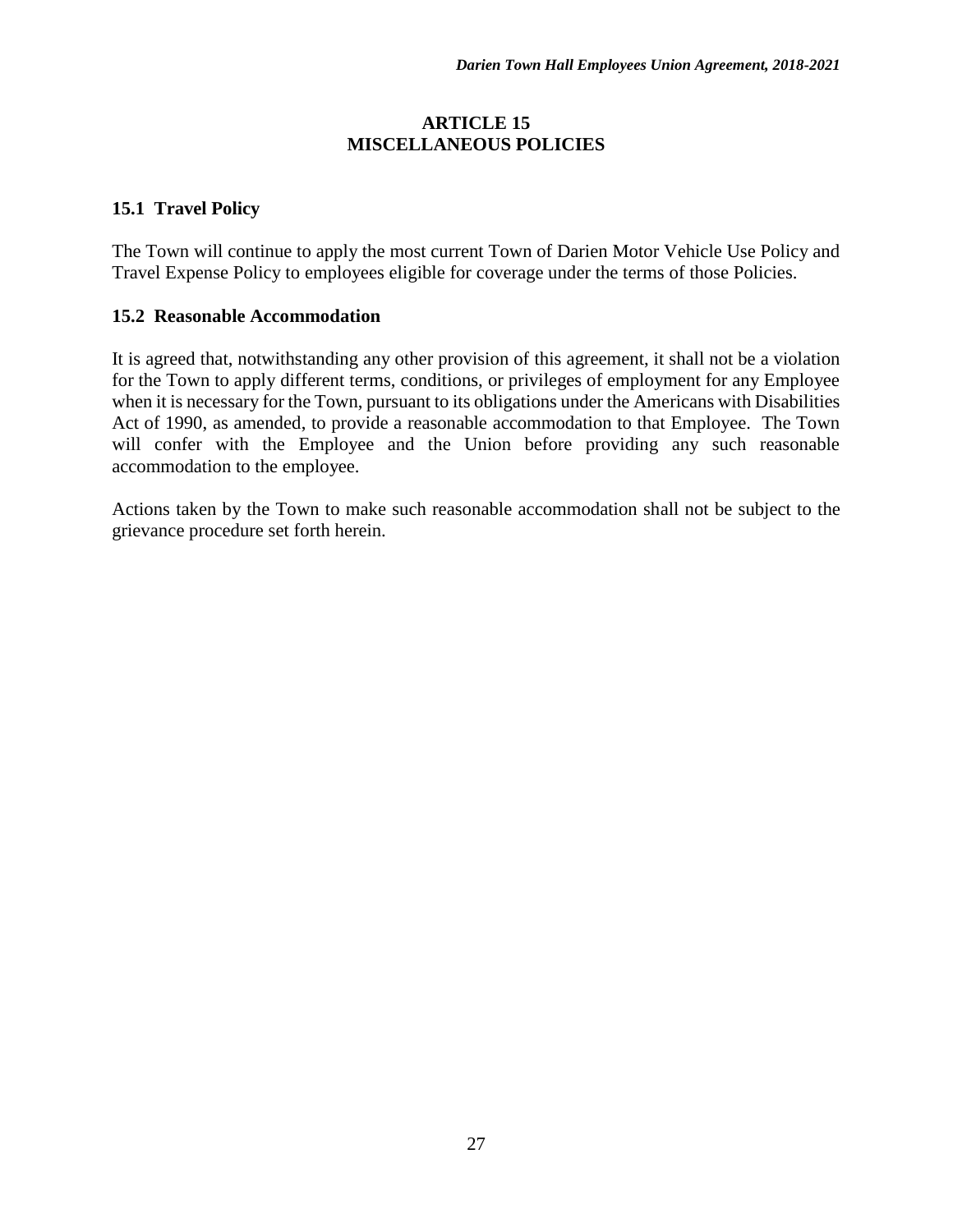#### **ARTICLE 15 MISCELLANEOUS POLICIES**

## **15.1 Travel Policy**

The Town will continue to apply the most current Town of Darien Motor Vehicle Use Policy and Travel Expense Policy to employees eligible for coverage under the terms of those Policies.

#### **15.2 Reasonable Accommodation**

It is agreed that, notwithstanding any other provision of this agreement, it shall not be a violation for the Town to apply different terms, conditions, or privileges of employment for any Employee when it is necessary for the Town, pursuant to its obligations under the Americans with Disabilities Act of 1990, as amended, to provide a reasonable accommodation to that Employee. The Town will confer with the Employee and the Union before providing any such reasonable accommodation to the employee.

Actions taken by the Town to make such reasonable accommodation shall not be subject to the grievance procedure set forth herein.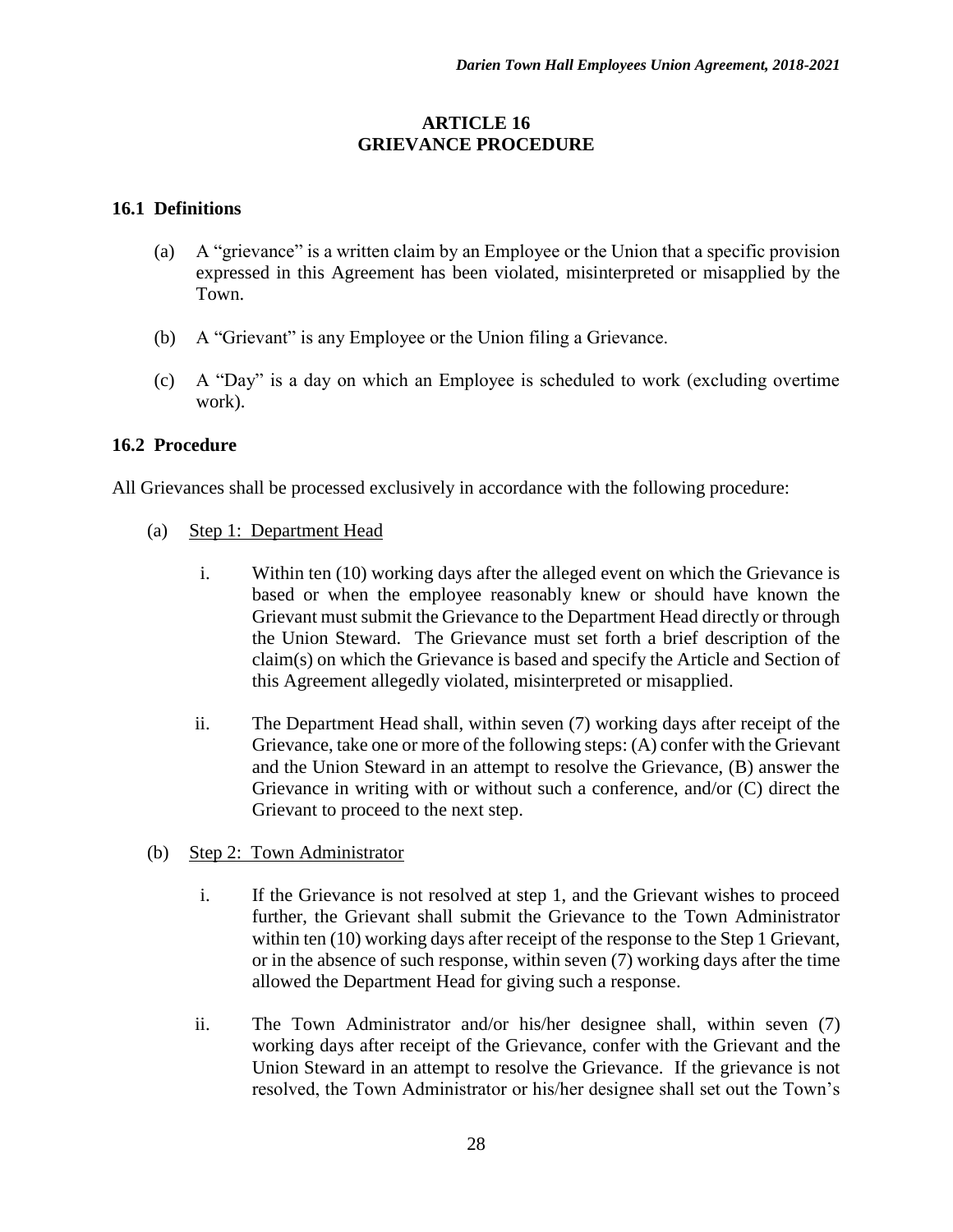#### **ARTICLE 16 GRIEVANCE PROCEDURE**

#### **16.1 Definitions**

- (a) A "grievance" is a written claim by an Employee or the Union that a specific provision expressed in this Agreement has been violated, misinterpreted or misapplied by the Town.
- (b) A "Grievant" is any Employee or the Union filing a Grievance.
- (c) A "Day" is a day on which an Employee is scheduled to work (excluding overtime work).

#### **16.2 Procedure**

All Grievances shall be processed exclusively in accordance with the following procedure:

- (a) Step 1: Department Head
	- i. Within ten (10) working days after the alleged event on which the Grievance is based or when the employee reasonably knew or should have known the Grievant must submit the Grievance to the Department Head directly or through the Union Steward. The Grievance must set forth a brief description of the claim(s) on which the Grievance is based and specify the Article and Section of this Agreement allegedly violated, misinterpreted or misapplied.
	- ii. The Department Head shall, within seven (7) working days after receipt of the Grievance, take one or more of the following steps: (A) confer with the Grievant and the Union Steward in an attempt to resolve the Grievance, (B) answer the Grievance in writing with or without such a conference, and/or (C) direct the Grievant to proceed to the next step.
- (b) Step 2: Town Administrator
	- i. If the Grievance is not resolved at step 1, and the Grievant wishes to proceed further, the Grievant shall submit the Grievance to the Town Administrator within ten (10) working days after receipt of the response to the Step 1 Grievant, or in the absence of such response, within seven (7) working days after the time allowed the Department Head for giving such a response.
	- ii. The Town Administrator and/or his/her designee shall, within seven (7) working days after receipt of the Grievance, confer with the Grievant and the Union Steward in an attempt to resolve the Grievance. If the grievance is not resolved, the Town Administrator or his/her designee shall set out the Town's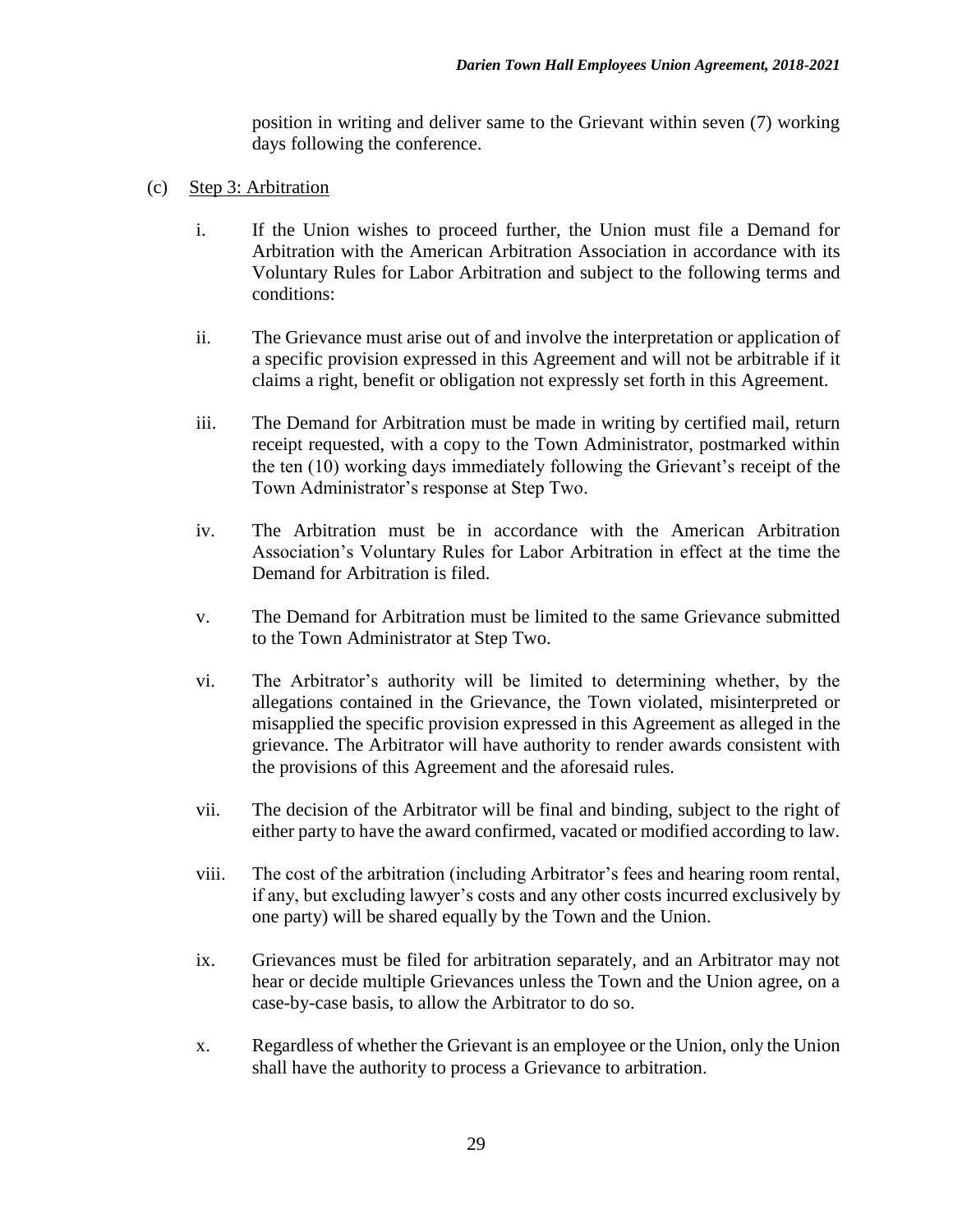position in writing and deliver same to the Grievant within seven (7) working days following the conference.

- (c) Step 3: Arbitration
	- i. If the Union wishes to proceed further, the Union must file a Demand for Arbitration with the American Arbitration Association in accordance with its Voluntary Rules for Labor Arbitration and subject to the following terms and conditions:
	- ii. The Grievance must arise out of and involve the interpretation or application of a specific provision expressed in this Agreement and will not be arbitrable if it claims a right, benefit or obligation not expressly set forth in this Agreement.
	- iii. The Demand for Arbitration must be made in writing by certified mail, return receipt requested, with a copy to the Town Administrator, postmarked within the ten (10) working days immediately following the Grievant's receipt of the Town Administrator's response at Step Two.
	- iv. The Arbitration must be in accordance with the American Arbitration Association's Voluntary Rules for Labor Arbitration in effect at the time the Demand for Arbitration is filed.
	- v. The Demand for Arbitration must be limited to the same Grievance submitted to the Town Administrator at Step Two.
	- vi. The Arbitrator's authority will be limited to determining whether, by the allegations contained in the Grievance, the Town violated, misinterpreted or misapplied the specific provision expressed in this Agreement as alleged in the grievance. The Arbitrator will have authority to render awards consistent with the provisions of this Agreement and the aforesaid rules.
	- vii. The decision of the Arbitrator will be final and binding, subject to the right of either party to have the award confirmed, vacated or modified according to law.
	- viii. The cost of the arbitration (including Arbitrator's fees and hearing room rental, if any, but excluding lawyer's costs and any other costs incurred exclusively by one party) will be shared equally by the Town and the Union.
	- ix. Grievances must be filed for arbitration separately, and an Arbitrator may not hear or decide multiple Grievances unless the Town and the Union agree, on a case-by-case basis, to allow the Arbitrator to do so.
	- x. Regardless of whether the Grievant is an employee or the Union, only the Union shall have the authority to process a Grievance to arbitration.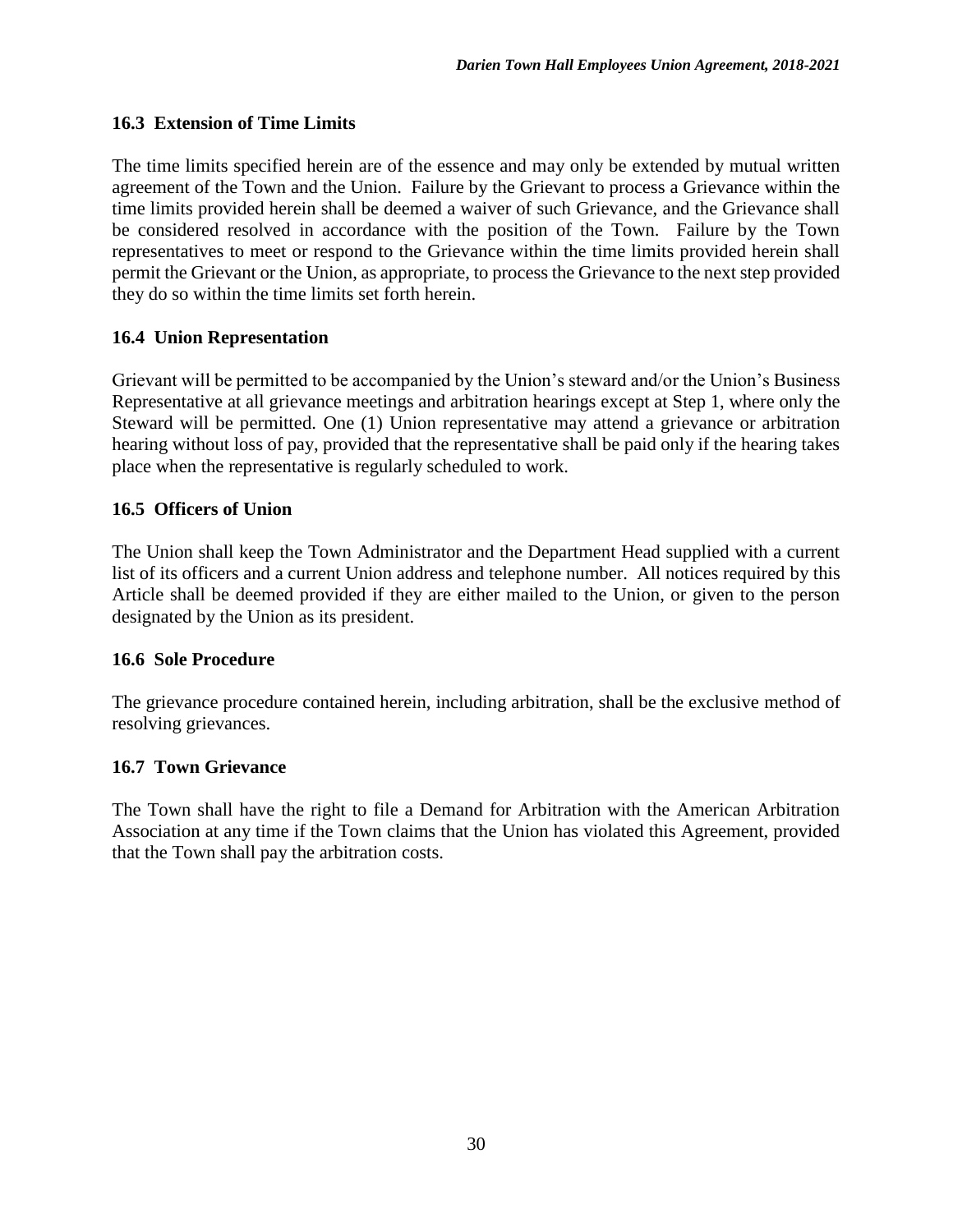## **16.3 Extension of Time Limits**

The time limits specified herein are of the essence and may only be extended by mutual written agreement of the Town and the Union. Failure by the Grievant to process a Grievance within the time limits provided herein shall be deemed a waiver of such Grievance, and the Grievance shall be considered resolved in accordance with the position of the Town. Failure by the Town representatives to meet or respond to the Grievance within the time limits provided herein shall permit the Grievant or the Union, as appropriate, to process the Grievance to the next step provided they do so within the time limits set forth herein.

## **16.4 Union Representation**

Grievant will be permitted to be accompanied by the Union's steward and/or the Union's Business Representative at all grievance meetings and arbitration hearings except at Step 1, where only the Steward will be permitted. One (1) Union representative may attend a grievance or arbitration hearing without loss of pay, provided that the representative shall be paid only if the hearing takes place when the representative is regularly scheduled to work.

## **16.5 Officers of Union**

The Union shall keep the Town Administrator and the Department Head supplied with a current list of its officers and a current Union address and telephone number. All notices required by this Article shall be deemed provided if they are either mailed to the Union, or given to the person designated by the Union as its president.

#### **16.6 Sole Procedure**

The grievance procedure contained herein, including arbitration, shall be the exclusive method of resolving grievances.

#### **16.7 Town Grievance**

The Town shall have the right to file a Demand for Arbitration with the American Arbitration Association at any time if the Town claims that the Union has violated this Agreement, provided that the Town shall pay the arbitration costs.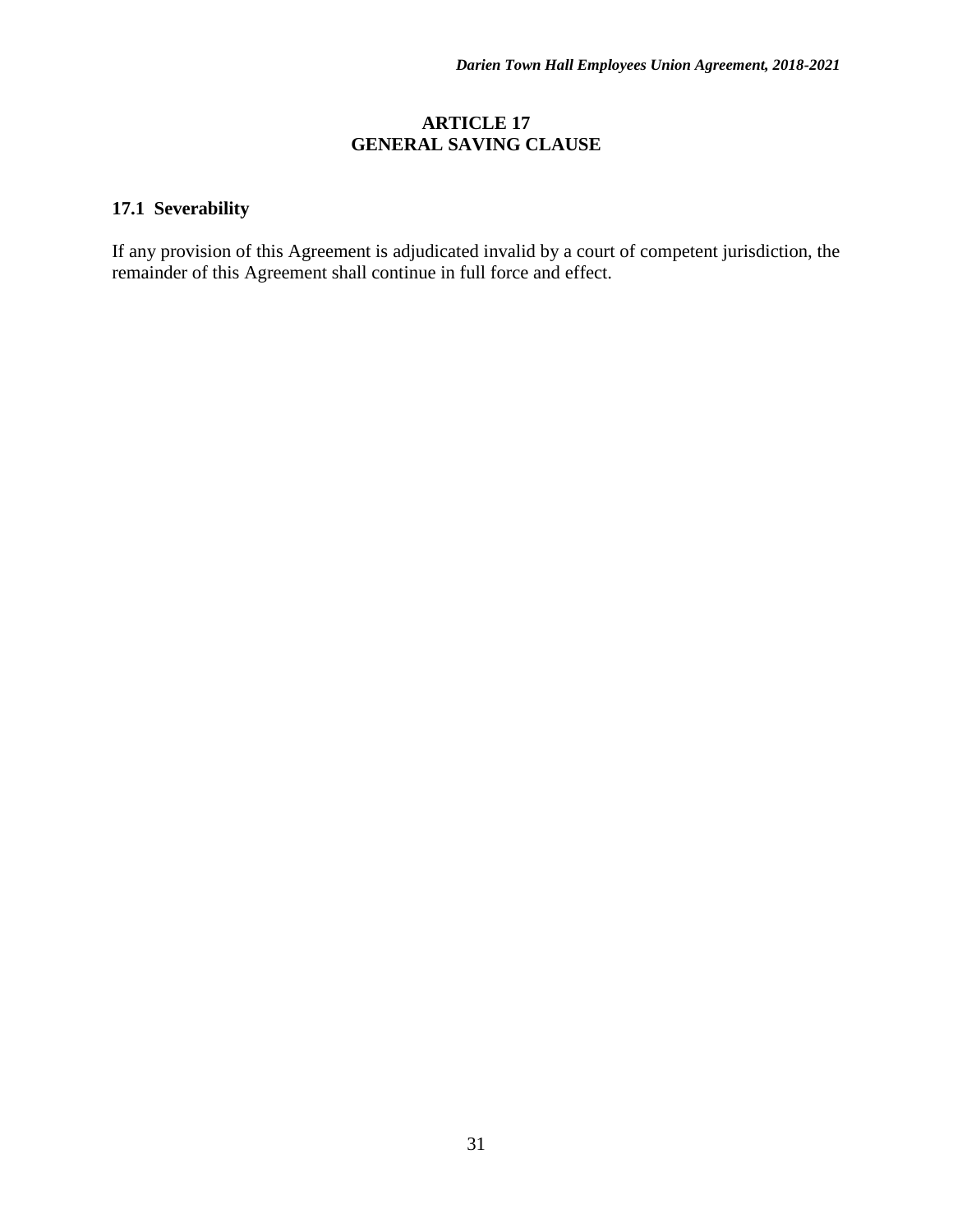#### **ARTICLE 17 GENERAL SAVING CLAUSE**

# **17.1 Severability**

If any provision of this Agreement is adjudicated invalid by a court of competent jurisdiction, the remainder of this Agreement shall continue in full force and effect.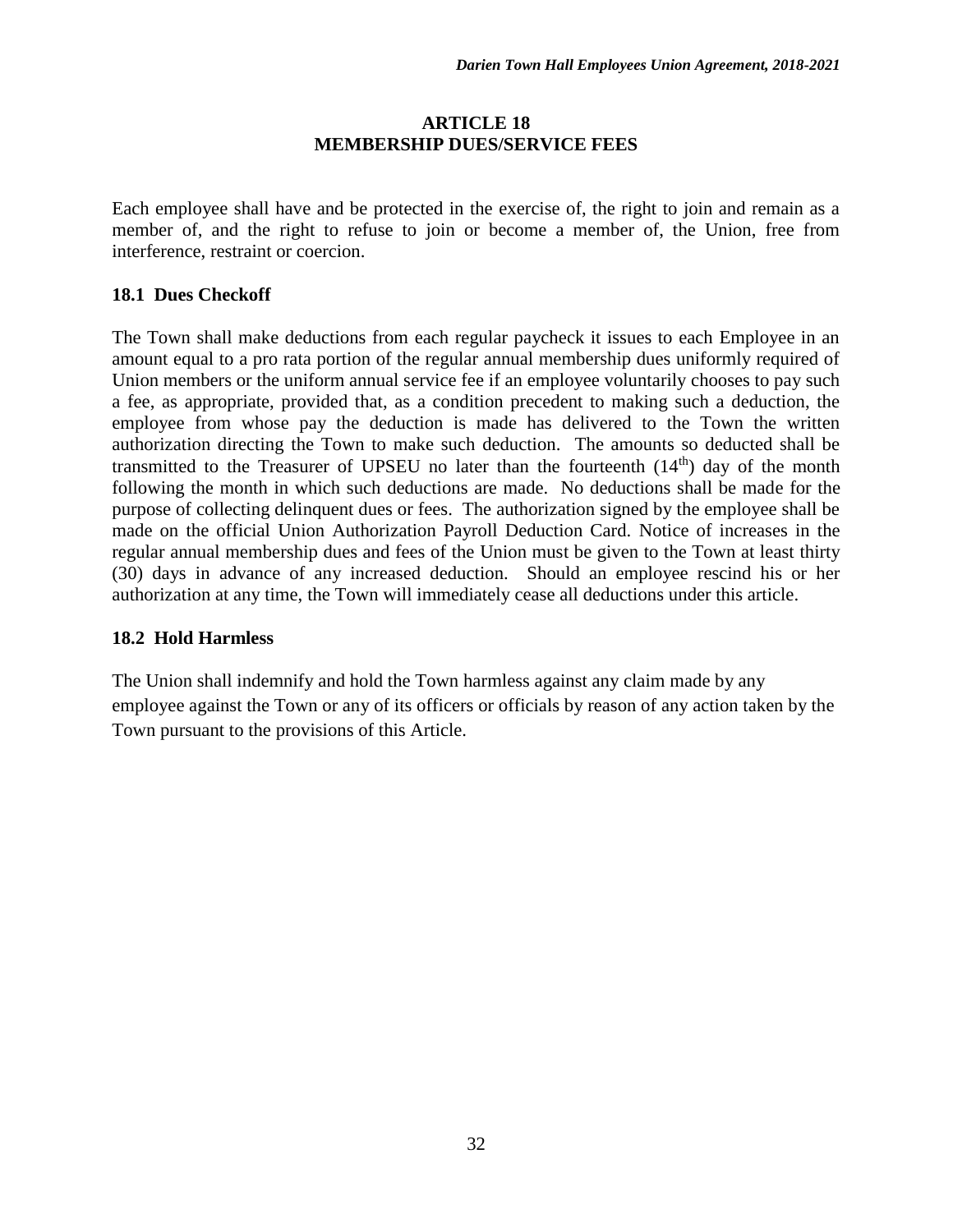#### **ARTICLE 18 MEMBERSHIP DUES/SERVICE FEES**

Each employee shall have and be protected in the exercise of, the right to join and remain as a member of, and the right to refuse to join or become a member of, the Union, free from interference, restraint or coercion.

#### **18.1 Dues Checkoff**

The Town shall make deductions from each regular paycheck it issues to each Employee in an amount equal to a pro rata portion of the regular annual membership dues uniformly required of Union members or the uniform annual service fee if an employee voluntarily chooses to pay such a fee, as appropriate, provided that, as a condition precedent to making such a deduction, the employee from whose pay the deduction is made has delivered to the Town the written authorization directing the Town to make such deduction. The amounts so deducted shall be transmitted to the Treasurer of UPSEU no later than the fourteenth  $(14<sup>th</sup>)$  day of the month following the month in which such deductions are made. No deductions shall be made for the purpose of collecting delinquent dues or fees. The authorization signed by the employee shall be made on the official Union Authorization Payroll Deduction Card. Notice of increases in the regular annual membership dues and fees of the Union must be given to the Town at least thirty (30) days in advance of any increased deduction. Should an employee rescind his or her authorization at any time, the Town will immediately cease all deductions under this article.

#### **18.2 Hold Harmless**

The Union shall indemnify and hold the Town harmless against any claim made by any employee against the Town or any of its officers or officials by reason of any action taken by the Town pursuant to the provisions of this Article.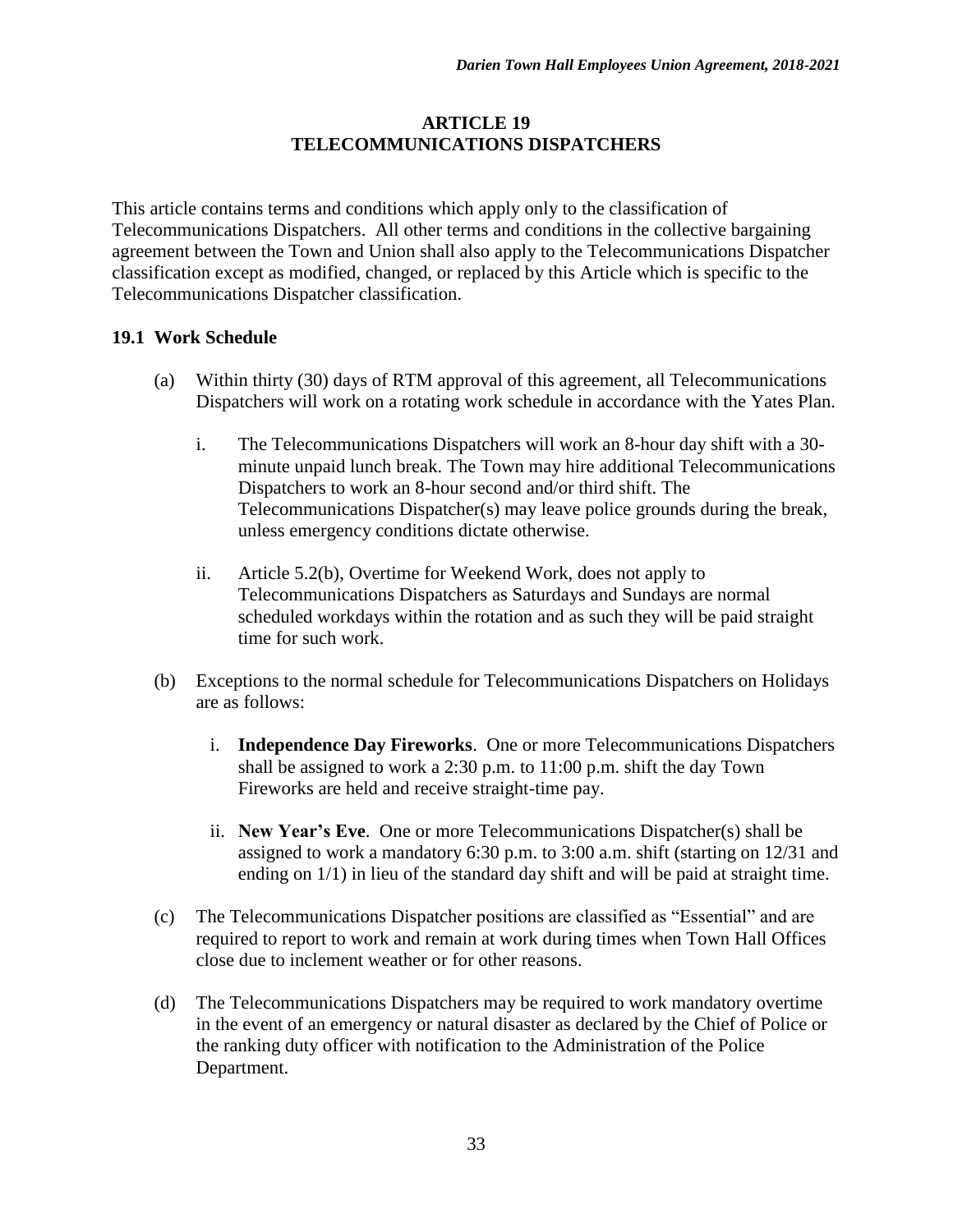#### **ARTICLE 19 TELECOMMUNICATIONS DISPATCHERS**

This article contains terms and conditions which apply only to the classification of Telecommunications Dispatchers. All other terms and conditions in the collective bargaining agreement between the Town and Union shall also apply to the Telecommunications Dispatcher classification except as modified, changed, or replaced by this Article which is specific to the Telecommunications Dispatcher classification.

## **19.1 Work Schedule**

- (a) Within thirty (30) days of RTM approval of this agreement, all Telecommunications Dispatchers will work on a rotating work schedule in accordance with the Yates Plan*.* 
	- i. The Telecommunications Dispatchers will work an 8-hour day shift with a 30 minute unpaid lunch break. The Town may hire additional Telecommunications Dispatchers to work an 8-hour second and/or third shift. The Telecommunications Dispatcher(s) may leave police grounds during the break, unless emergency conditions dictate otherwise.
	- ii. Article 5.2(b), Overtime for Weekend Work, does not apply to Telecommunications Dispatchers as Saturdays and Sundays are normal scheduled workdays within the rotation and as such they will be paid straight time for such work.
- (b) Exceptions to the normal schedule for Telecommunications Dispatchers on Holidays are as follows:
	- i. **Independence Day Fireworks**. One or more Telecommunications Dispatchers shall be assigned to work a 2:30 p.m. to 11:00 p.m. shift the day Town Fireworks are held and receive straight-time pay.
	- ii. **New Year's Eve**. One or more Telecommunications Dispatcher(s) shall be assigned to work a mandatory 6:30 p.m. to 3:00 a.m. shift (starting on 12/31 and ending on 1/1) in lieu of the standard day shift and will be paid at straight time.
- (c) The Telecommunications Dispatcher positions are classified as "Essential" and are required to report to work and remain at work during times when Town Hall Offices close due to inclement weather or for other reasons.
- (d) The Telecommunications Dispatchers may be required to work mandatory overtime in the event of an emergency or natural disaster as declared by the Chief of Police or the ranking duty officer with notification to the Administration of the Police Department.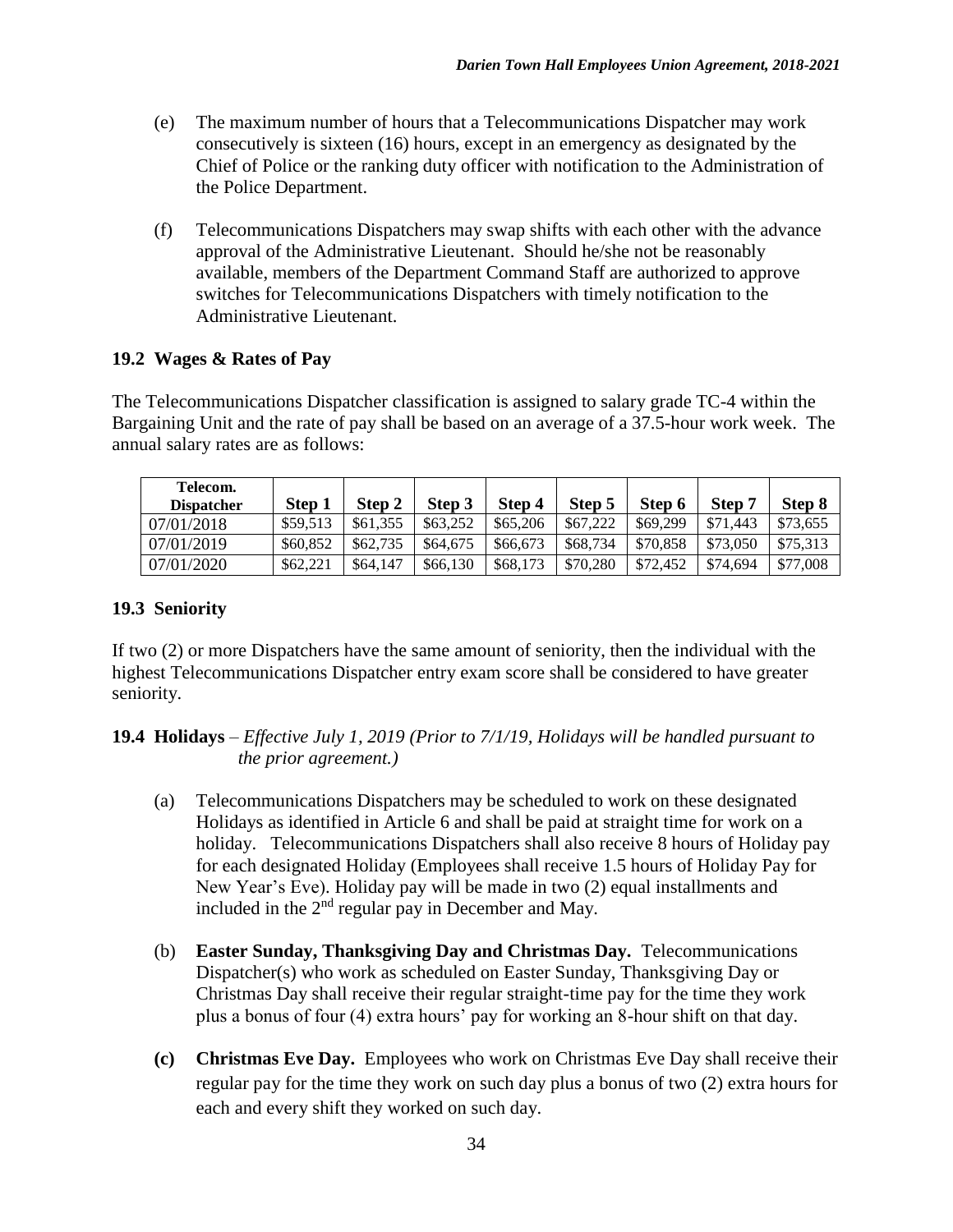- (e) The maximum number of hours that a Telecommunications Dispatcher may work consecutively is sixteen (16) hours, except in an emergency as designated by the Chief of Police or the ranking duty officer with notification to the Administration of the Police Department.
- (f) Telecommunications Dispatchers may swap shifts with each other with the advance approval of the Administrative Lieutenant. Should he/she not be reasonably available, members of the Department Command Staff are authorized to approve switches for Telecommunications Dispatchers with timely notification to the Administrative Lieutenant.

## **19.2 Wages & Rates of Pay**

The Telecommunications Dispatcher classification is assigned to salary grade TC-4 within the Bargaining Unit and the rate of pay shall be based on an average of a 37.5-hour work week. The annual salary rates are as follows:

| Telecom.<br><b>Dispatcher</b> | Step 1   | Step 2   | Step 3   | Step 4   | Step 5   | Step 6   | <b>Step</b> | Step 8   |
|-------------------------------|----------|----------|----------|----------|----------|----------|-------------|----------|
| 07/01/2018                    | \$59.513 | \$61,355 | \$63,252 | \$65,206 | \$67,222 | \$69,299 | \$71.443    | \$73,655 |
| 07/01/2019                    | \$60,852 | \$62,735 | \$64,675 | \$66,673 | \$68,734 | \$70,858 | \$73,050    | \$75,313 |
| 07/01/2020                    | \$62,221 | \$64,147 | \$66,130 | \$68,173 | \$70,280 | \$72,452 | \$74.694    | \$77,008 |

## **19.3 Seniority**

If two (2) or more Dispatchers have the same amount of seniority, then the individual with the highest Telecommunications Dispatcher entry exam score shall be considered to have greater seniority.

#### **19.4 Holidays** – *Effective July 1, 2019 (Prior to 7/1/19, Holidays will be handled pursuant to the prior agreement.)*

- (a) Telecommunications Dispatchers may be scheduled to work on these designated Holidays as identified in Article 6 and shall be paid at straight time for work on a holiday. Telecommunications Dispatchers shall also receive 8 hours of Holiday pay for each designated Holiday (Employees shall receive 1.5 hours of Holiday Pay for New Year's Eve). Holiday pay will be made in two (2) equal installments and included in the  $2<sup>nd</sup>$  regular pay in December and May.
- (b) **Easter Sunday, Thanksgiving Day and Christmas Day.** Telecommunications Dispatcher(s) who work as scheduled on Easter Sunday, Thanksgiving Day or Christmas Day shall receive their regular straight-time pay for the time they work plus a bonus of four (4) extra hours' pay for working an 8-hour shift on that day.
- **(c) Christmas Eve Day.** Employees who work on Christmas Eve Day shall receive their regular pay for the time they work on such day plus a bonus of two (2) extra hours for each and every shift they worked on such day.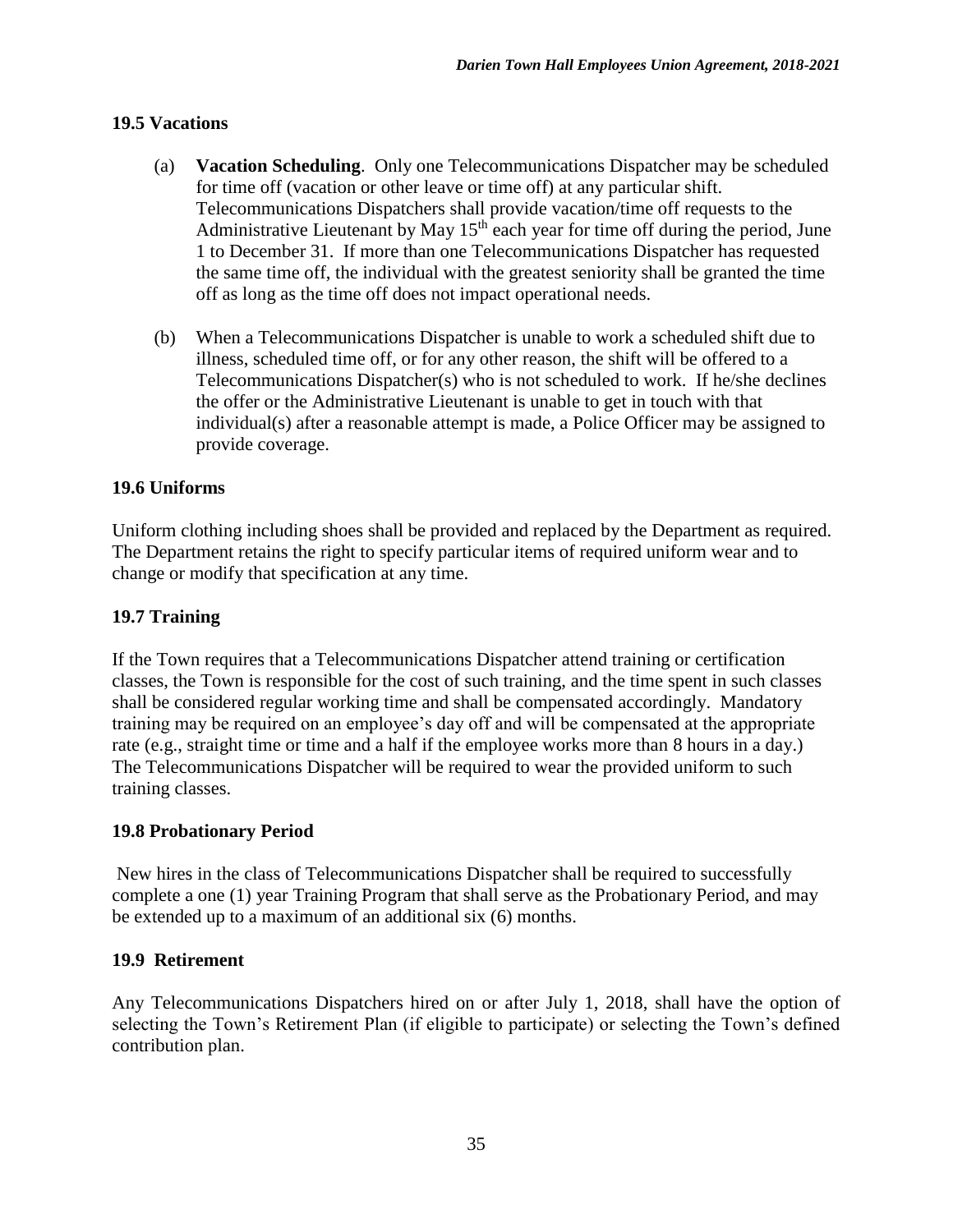#### **19.5 Vacations**

- (a) **Vacation Scheduling**. Only one Telecommunications Dispatcher may be scheduled for time off (vacation or other leave or time off) at any particular shift. Telecommunications Dispatchers shall provide vacation/time off requests to the Administrative Lieutenant by May  $15<sup>th</sup>$  each year for time off during the period, June 1 to December 31. If more than one Telecommunications Dispatcher has requested the same time off, the individual with the greatest seniority shall be granted the time off as long as the time off does not impact operational needs.
- (b) When a Telecommunications Dispatcher is unable to work a scheduled shift due to illness, scheduled time off, or for any other reason, the shift will be offered to a Telecommunications Dispatcher(s) who is not scheduled to work. If he/she declines the offer or the Administrative Lieutenant is unable to get in touch with that individual(s) after a reasonable attempt is made, a Police Officer may be assigned to provide coverage.

## **19.6 Uniforms**

Uniform clothing including shoes shall be provided and replaced by the Department as required. The Department retains the right to specify particular items of required uniform wear and to change or modify that specification at any time.

#### **19.7 Training**

If the Town requires that a Telecommunications Dispatcher attend training or certification classes, the Town is responsible for the cost of such training, and the time spent in such classes shall be considered regular working time and shall be compensated accordingly. Mandatory training may be required on an employee's day off and will be compensated at the appropriate rate (e.g., straight time or time and a half if the employee works more than 8 hours in a day.) The Telecommunications Dispatcher will be required to wear the provided uniform to such training classes.

#### **19.8 Probationary Period**

New hires in the class of Telecommunications Dispatcher shall be required to successfully complete a one (1) year Training Program that shall serve as the Probationary Period, and may be extended up to a maximum of an additional six (6) months.

#### **19.9 Retirement**

Any Telecommunications Dispatchers hired on or after July 1, 2018, shall have the option of selecting the Town's Retirement Plan (if eligible to participate) or selecting the Town's defined contribution plan.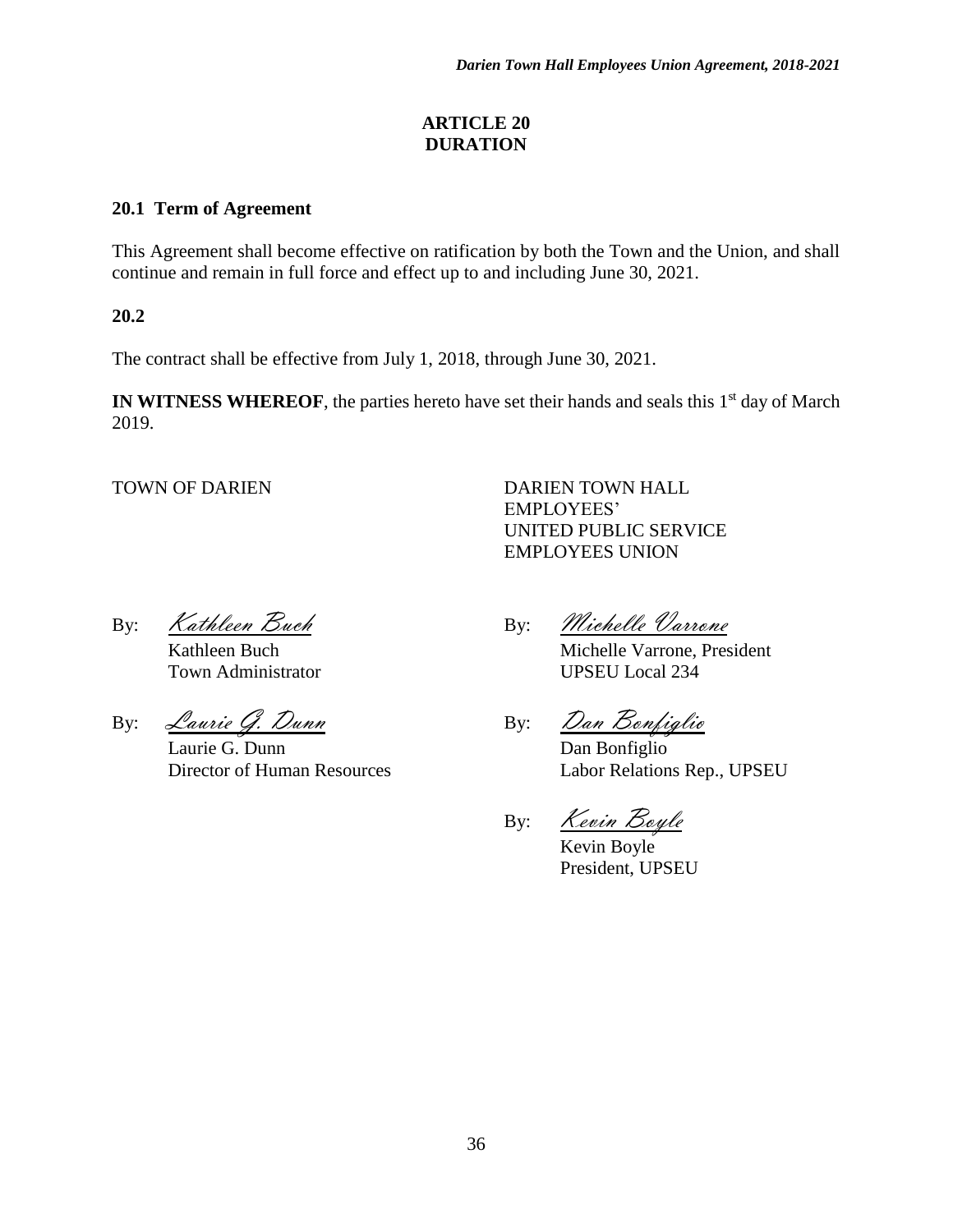#### **ARTICLE 20 DURATION**

### **20.1 Term of Agreement**

This Agreement shall become effective on ratification by both the Town and the Union, and shall continue and remain in full force and effect up to and including June 30, 2021.

**20.2**

The contract shall be effective from July 1, 2018, through June 30, 2021.

IN WITNESS WHEREOF, the parties hereto have set their hands and seals this 1<sup>st</sup> day of March 2019.

TOWN OF DARIEN DARIEN TOWN HALL EMPLOYEES' UNITED PUBLIC SERVICE EMPLOYEES UNION

Town Administrator UPSEU Local 234

By: *Laurie G. Dunn* By: *Dan Bonfiglio* 

Laurie G. Dunn Dan Bonfiglio

By: Kathleen Buch By: Michelle Varrone

Kathleen Buch Michelle Varrone, President

Director of Human Resources Labor Relations Rep., UPSEU

By: Kevin Boyle

Kevin Boyle President, UPSEU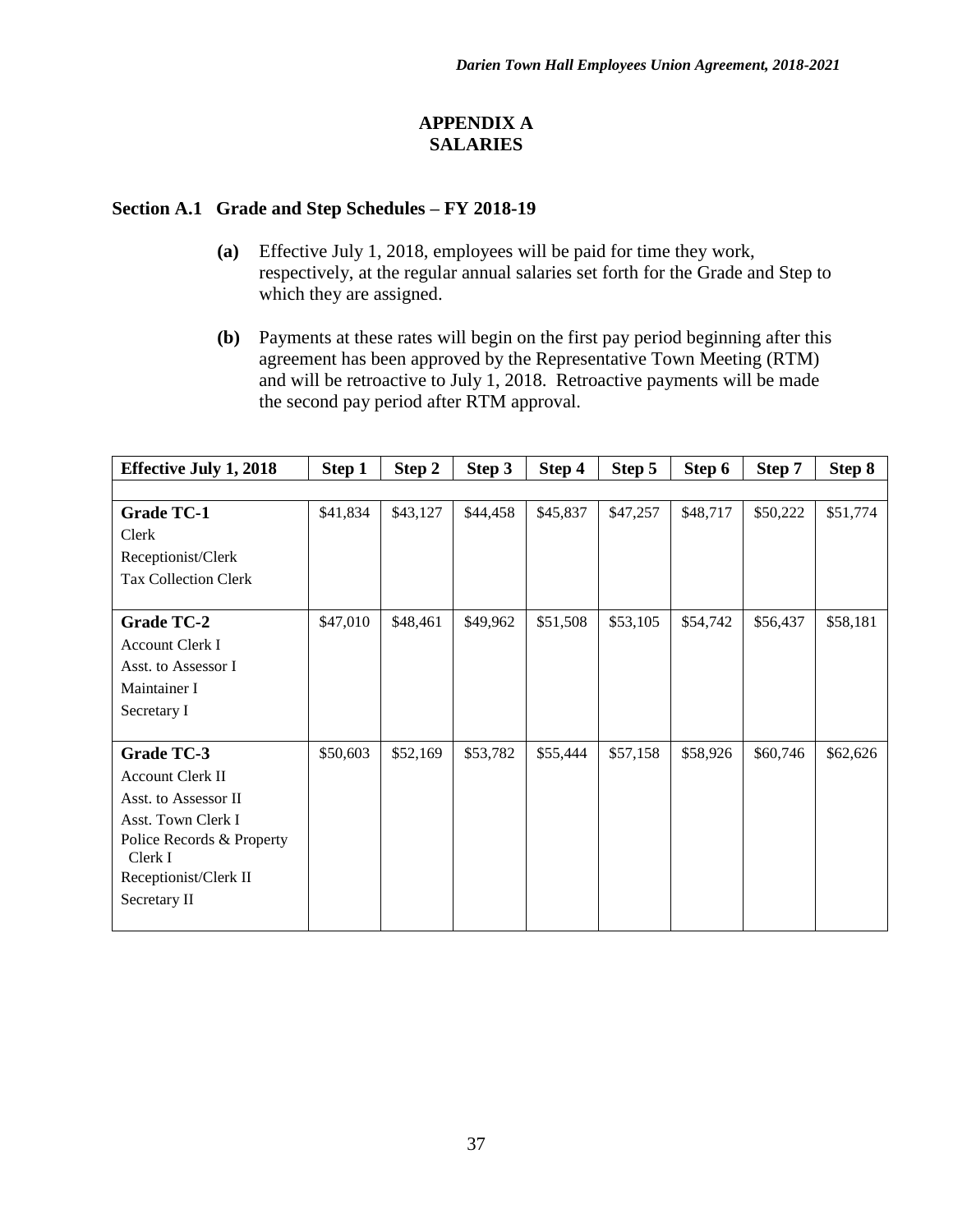## **APPENDIX A SALARIES**

### **Section A.1 Grade and Step Schedules – FY 2018-19**

- **(a)** Effective July 1, 2018, employees will be paid for time they work, respectively, at the regular annual salaries set forth for the Grade and Step to which they are assigned.
- **(b)** Payments at these rates will begin on the first pay period beginning after this agreement has been approved by the Representative Town Meeting (RTM) and will be retroactive to July 1, 2018. Retroactive payments will be made the second pay period after RTM approval.

| <b>Effective July 1, 2018</b> | Step 1   | Step 2   | Step 3   | Step 4   | Step 5   | Step 6   | Step 7   | Step 8   |
|-------------------------------|----------|----------|----------|----------|----------|----------|----------|----------|
|                               |          |          |          |          |          |          |          |          |
| <b>Grade TC-1</b>             | \$41,834 | \$43,127 | \$44,458 | \$45,837 | \$47,257 | \$48,717 | \$50,222 | \$51,774 |
| Clerk                         |          |          |          |          |          |          |          |          |
| Receptionist/Clerk            |          |          |          |          |          |          |          |          |
| <b>Tax Collection Clerk</b>   |          |          |          |          |          |          |          |          |
|                               |          |          |          |          |          |          |          |          |
| <b>Grade TC-2</b>             | \$47,010 | \$48,461 | \$49,962 | \$51,508 | \$53,105 | \$54,742 | \$56,437 | \$58,181 |
| <b>Account Clerk I</b>        |          |          |          |          |          |          |          |          |
| Asst. to Assessor I           |          |          |          |          |          |          |          |          |
| Maintainer I                  |          |          |          |          |          |          |          |          |
| Secretary I                   |          |          |          |          |          |          |          |          |
|                               |          |          |          |          |          |          |          |          |
| Grade TC-3                    | \$50,603 | \$52,169 | \$53,782 | \$55,444 | \$57,158 | \$58,926 | \$60,746 | \$62,626 |
| Account Clerk II              |          |          |          |          |          |          |          |          |
| Asst. to Assessor II          |          |          |          |          |          |          |          |          |
| Asst. Town Clerk I            |          |          |          |          |          |          |          |          |
| Police Records & Property     |          |          |          |          |          |          |          |          |
| Clerk I                       |          |          |          |          |          |          |          |          |
| Receptionist/Clerk II         |          |          |          |          |          |          |          |          |
| Secretary II                  |          |          |          |          |          |          |          |          |
|                               |          |          |          |          |          |          |          |          |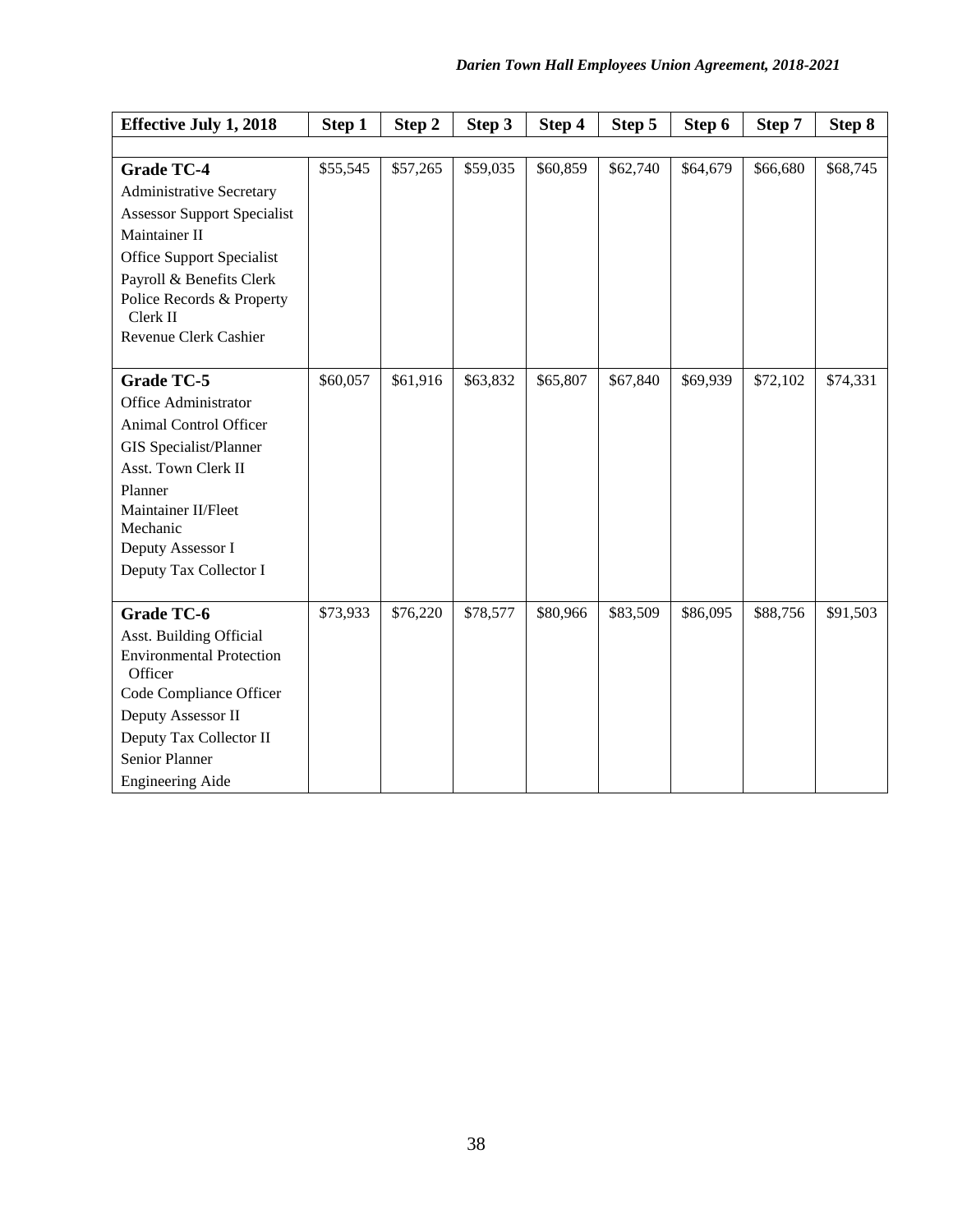| <b>Effective July 1, 2018</b>              | Step 1   | Step 2   | Step 3   | Step 4   | Step 5   | Step 6   | Step 7   | Step 8   |
|--------------------------------------------|----------|----------|----------|----------|----------|----------|----------|----------|
|                                            |          |          |          |          |          |          |          |          |
| <b>Grade TC-4</b>                          | \$55,545 | \$57,265 | \$59,035 | \$60,859 | \$62,740 | \$64,679 | \$66,680 | \$68,745 |
| <b>Administrative Secretary</b>            |          |          |          |          |          |          |          |          |
| <b>Assessor Support Specialist</b>         |          |          |          |          |          |          |          |          |
| Maintainer II                              |          |          |          |          |          |          |          |          |
| Office Support Specialist                  |          |          |          |          |          |          |          |          |
| Payroll & Benefits Clerk                   |          |          |          |          |          |          |          |          |
| Police Records & Property<br>Clerk II      |          |          |          |          |          |          |          |          |
| Revenue Clerk Cashier                      |          |          |          |          |          |          |          |          |
| <b>Grade TC-5</b>                          | \$60,057 | \$61,916 | \$63,832 | \$65,807 | \$67,840 | \$69,939 | \$72,102 | \$74,331 |
| Office Administrator                       |          |          |          |          |          |          |          |          |
| Animal Control Officer                     |          |          |          |          |          |          |          |          |
| GIS Specialist/Planner                     |          |          |          |          |          |          |          |          |
| Asst. Town Clerk II                        |          |          |          |          |          |          |          |          |
| Planner                                    |          |          |          |          |          |          |          |          |
| Maintainer II/Fleet<br>Mechanic            |          |          |          |          |          |          |          |          |
| Deputy Assessor I                          |          |          |          |          |          |          |          |          |
| Deputy Tax Collector I                     |          |          |          |          |          |          |          |          |
|                                            |          |          |          |          |          |          |          |          |
| <b>Grade TC-6</b>                          | \$73,933 | \$76,220 | \$78,577 | \$80,966 | \$83,509 | \$86,095 | \$88,756 | \$91,503 |
| Asst. Building Official                    |          |          |          |          |          |          |          |          |
| <b>Environmental Protection</b><br>Officer |          |          |          |          |          |          |          |          |
| Code Compliance Officer                    |          |          |          |          |          |          |          |          |
| Deputy Assessor II                         |          |          |          |          |          |          |          |          |
| Deputy Tax Collector II                    |          |          |          |          |          |          |          |          |
| Senior Planner                             |          |          |          |          |          |          |          |          |
| <b>Engineering Aide</b>                    |          |          |          |          |          |          |          |          |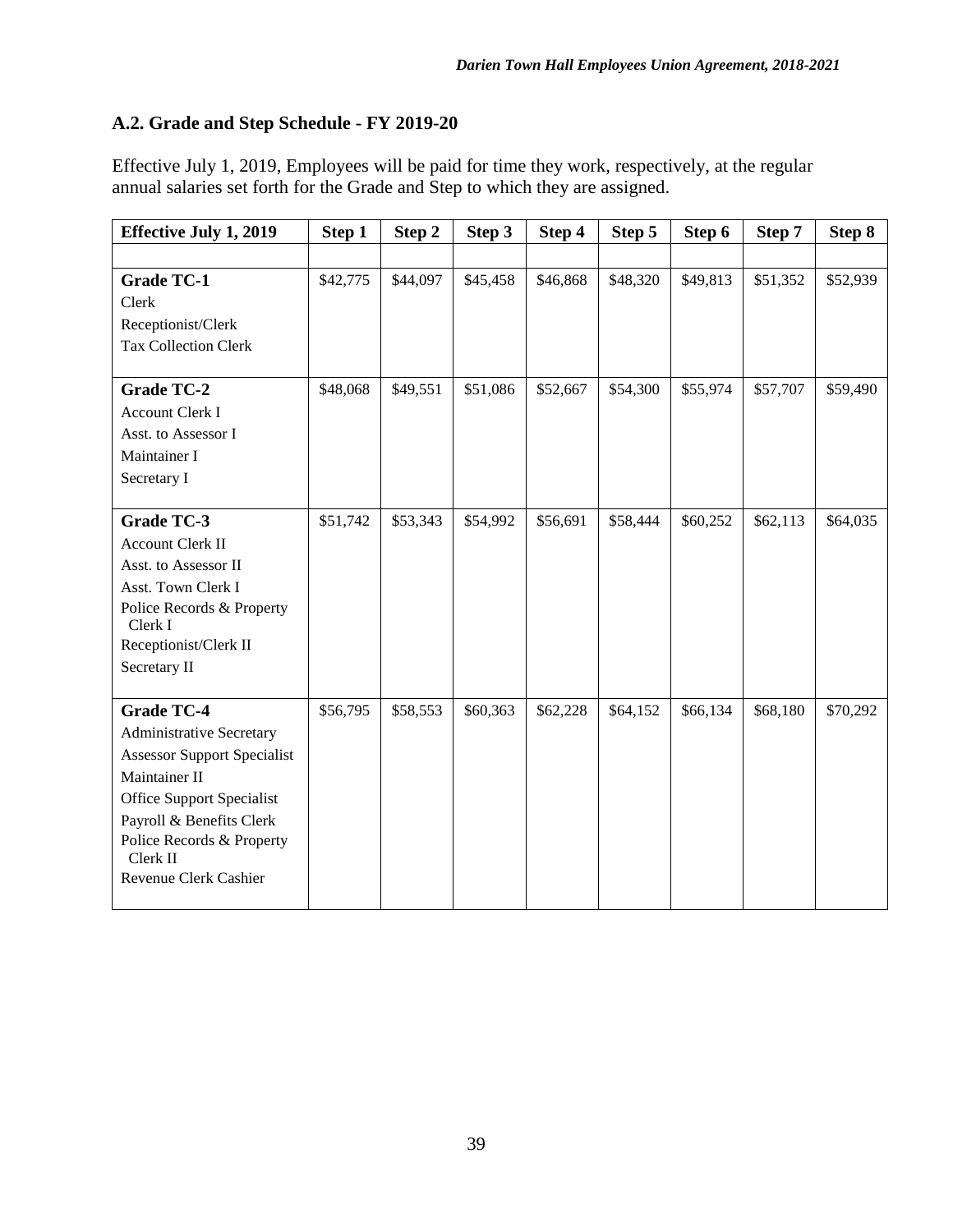# **A.2. Grade and Step Schedule - FY 2019-20**

Effective July 1, 2019, Employees will be paid for time they work, respectively, at the regular annual salaries set forth for the Grade and Step to which they are assigned.

| <b>Effective July 1, 2019</b>        | Step 1   | Step 2   | Step 3   | Step 4   | Step 5   | Step 6   | Step 7   | Step 8   |
|--------------------------------------|----------|----------|----------|----------|----------|----------|----------|----------|
|                                      |          |          |          |          |          |          |          |          |
| <b>Grade TC-1</b>                    | \$42,775 | \$44,097 | \$45,458 | \$46,868 | \$48,320 | \$49,813 | \$51,352 | \$52,939 |
| Clerk                                |          |          |          |          |          |          |          |          |
| Receptionist/Clerk                   |          |          |          |          |          |          |          |          |
| <b>Tax Collection Clerk</b>          |          |          |          |          |          |          |          |          |
| <b>Grade TC-2</b>                    | \$48,068 | \$49,551 | \$51,086 | \$52,667 | \$54,300 | \$55,974 | \$57,707 | \$59,490 |
| <b>Account Clerk I</b>               |          |          |          |          |          |          |          |          |
| Asst. to Assessor I                  |          |          |          |          |          |          |          |          |
| Maintainer I                         |          |          |          |          |          |          |          |          |
| Secretary I                          |          |          |          |          |          |          |          |          |
|                                      |          |          |          |          |          |          |          |          |
| Grade TC-3                           | \$51,742 | \$53,343 | \$54,992 | \$56,691 | \$58,444 | \$60,252 | \$62,113 | \$64,035 |
| <b>Account Clerk II</b>              |          |          |          |          |          |          |          |          |
| Asst. to Assessor II                 |          |          |          |          |          |          |          |          |
| Asst. Town Clerk I                   |          |          |          |          |          |          |          |          |
| Police Records & Property<br>Clerk I |          |          |          |          |          |          |          |          |
| Receptionist/Clerk II                |          |          |          |          |          |          |          |          |
| Secretary II                         |          |          |          |          |          |          |          |          |
|                                      |          |          |          |          |          |          |          |          |
| <b>Grade TC-4</b>                    | \$56,795 | \$58,553 | \$60,363 | \$62,228 | \$64,152 | \$66,134 | \$68,180 | \$70,292 |
| <b>Administrative Secretary</b>      |          |          |          |          |          |          |          |          |
| <b>Assessor Support Specialist</b>   |          |          |          |          |          |          |          |          |
| Maintainer II                        |          |          |          |          |          |          |          |          |
| <b>Office Support Specialist</b>     |          |          |          |          |          |          |          |          |
| Payroll & Benefits Clerk             |          |          |          |          |          |          |          |          |
| Police Records & Property            |          |          |          |          |          |          |          |          |
| Clerk II                             |          |          |          |          |          |          |          |          |
| Revenue Clerk Cashier                |          |          |          |          |          |          |          |          |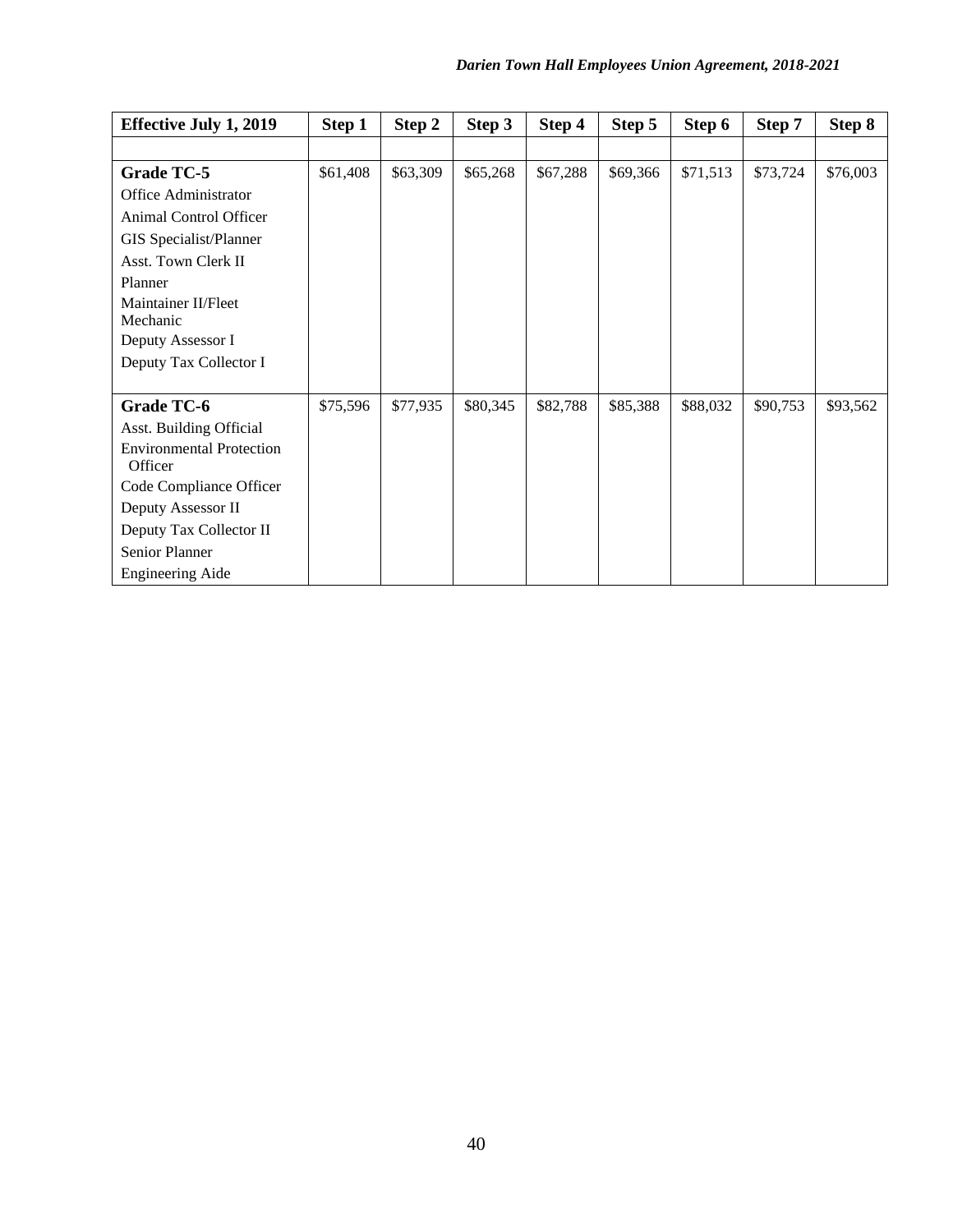| <b>Effective July 1, 2019</b>              | Step 1   | Step 2   | Step 3   | Step 4   | Step 5   | Step 6   | Step 7   | Step 8   |
|--------------------------------------------|----------|----------|----------|----------|----------|----------|----------|----------|
|                                            |          |          |          |          |          |          |          |          |
| Grade TC-5                                 | \$61,408 | \$63,309 | \$65,268 | \$67,288 | \$69,366 | \$71,513 | \$73,724 | \$76,003 |
| Office Administrator                       |          |          |          |          |          |          |          |          |
| Animal Control Officer                     |          |          |          |          |          |          |          |          |
| GIS Specialist/Planner                     |          |          |          |          |          |          |          |          |
| Asst. Town Clerk II                        |          |          |          |          |          |          |          |          |
| Planner                                    |          |          |          |          |          |          |          |          |
| Maintainer II/Fleet                        |          |          |          |          |          |          |          |          |
| Mechanic                                   |          |          |          |          |          |          |          |          |
| Deputy Assessor I                          |          |          |          |          |          |          |          |          |
| Deputy Tax Collector I                     |          |          |          |          |          |          |          |          |
|                                            | \$75,596 | \$77,935 | \$80,345 | \$82,788 | \$85,388 | \$88,032 | \$90,753 | \$93,562 |
| Grade TC-6                                 |          |          |          |          |          |          |          |          |
| Asst. Building Official                    |          |          |          |          |          |          |          |          |
| <b>Environmental Protection</b><br>Officer |          |          |          |          |          |          |          |          |
| Code Compliance Officer                    |          |          |          |          |          |          |          |          |
| Deputy Assessor II                         |          |          |          |          |          |          |          |          |
| Deputy Tax Collector II                    |          |          |          |          |          |          |          |          |
| Senior Planner                             |          |          |          |          |          |          |          |          |
| <b>Engineering Aide</b>                    |          |          |          |          |          |          |          |          |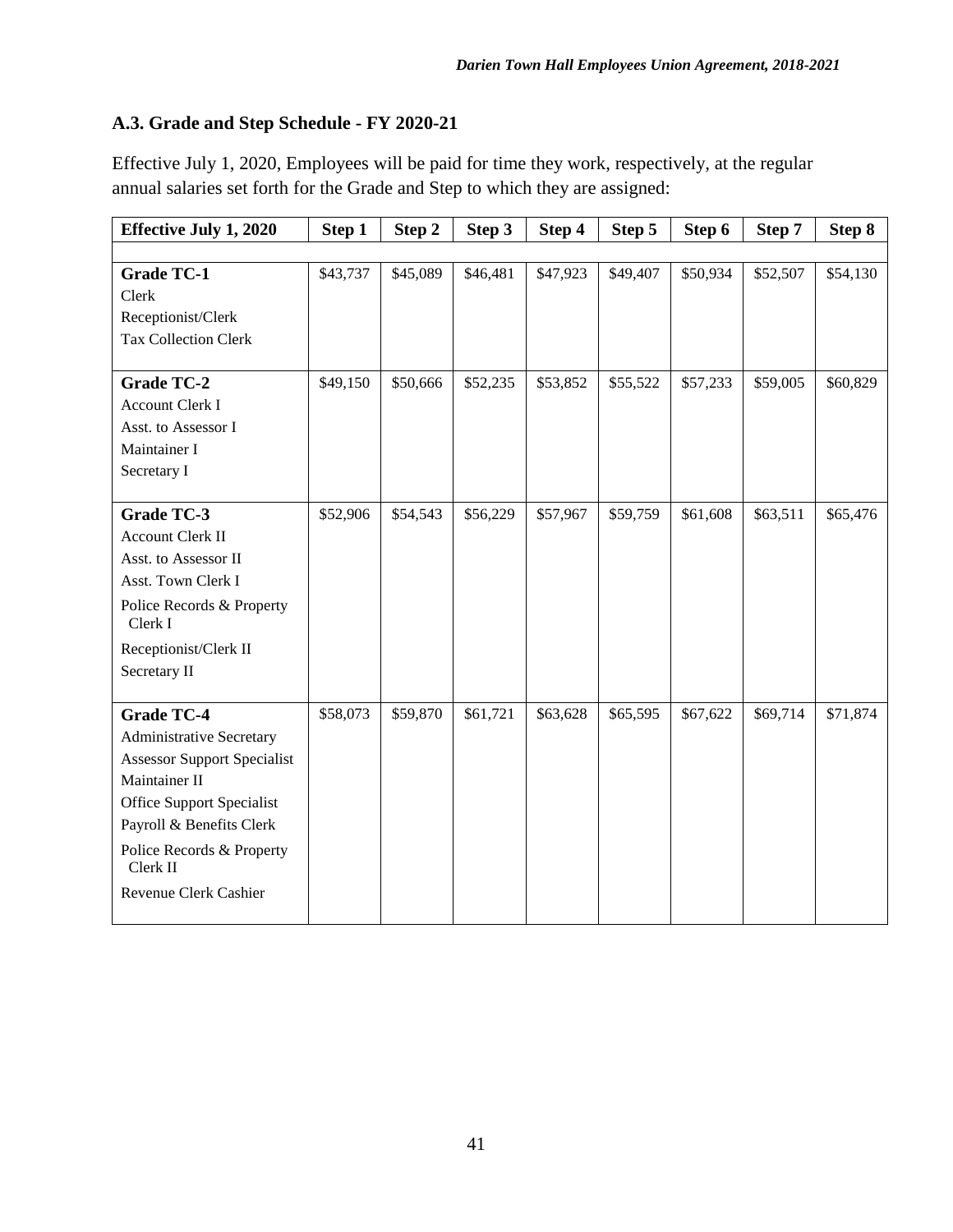# **A.3. Grade and Step Schedule - FY 2020-21**

Effective July 1, 2020, Employees will be paid for time they work, respectively, at the regular annual salaries set forth for the Grade and Step to which they are assigned:

| <b>Effective July 1, 2020</b>         | Step 1   | Step 2   | Step 3   | Step 4   | Step 5   | Step 6   | Step 7   | Step 8   |
|---------------------------------------|----------|----------|----------|----------|----------|----------|----------|----------|
|                                       |          |          |          |          |          |          |          |          |
| <b>Grade TC-1</b>                     | \$43,737 | \$45,089 | \$46,481 | \$47,923 | \$49,407 | \$50,934 | \$52,507 | \$54,130 |
| Clerk                                 |          |          |          |          |          |          |          |          |
| Receptionist/Clerk                    |          |          |          |          |          |          |          |          |
| <b>Tax Collection Clerk</b>           |          |          |          |          |          |          |          |          |
|                                       |          |          |          |          |          |          |          |          |
| Grade TC-2                            | \$49,150 | \$50,666 | \$52,235 | \$53,852 | \$55,522 | \$57,233 | \$59,005 | \$60,829 |
| Account Clerk I                       |          |          |          |          |          |          |          |          |
| Asst. to Assessor I                   |          |          |          |          |          |          |          |          |
| Maintainer I                          |          |          |          |          |          |          |          |          |
| Secretary I                           |          |          |          |          |          |          |          |          |
| <b>Grade TC-3</b>                     | \$52,906 | \$54,543 | \$56,229 | \$57,967 | \$59,759 | \$61,608 | \$63,511 | \$65,476 |
| Account Clerk II                      |          |          |          |          |          |          |          |          |
| Asst. to Assessor II                  |          |          |          |          |          |          |          |          |
| Asst. Town Clerk I                    |          |          |          |          |          |          |          |          |
| Police Records & Property<br>Clerk I  |          |          |          |          |          |          |          |          |
| Receptionist/Clerk II                 |          |          |          |          |          |          |          |          |
| Secretary II                          |          |          |          |          |          |          |          |          |
|                                       |          |          |          |          |          |          |          |          |
| <b>Grade TC-4</b>                     | \$58,073 | \$59,870 | \$61,721 | \$63,628 | \$65,595 | \$67,622 | \$69,714 | \$71,874 |
| <b>Administrative Secretary</b>       |          |          |          |          |          |          |          |          |
| <b>Assessor Support Specialist</b>    |          |          |          |          |          |          |          |          |
| Maintainer II                         |          |          |          |          |          |          |          |          |
| <b>Office Support Specialist</b>      |          |          |          |          |          |          |          |          |
| Payroll & Benefits Clerk              |          |          |          |          |          |          |          |          |
| Police Records & Property<br>Clerk II |          |          |          |          |          |          |          |          |
| Revenue Clerk Cashier                 |          |          |          |          |          |          |          |          |
|                                       |          |          |          |          |          |          |          |          |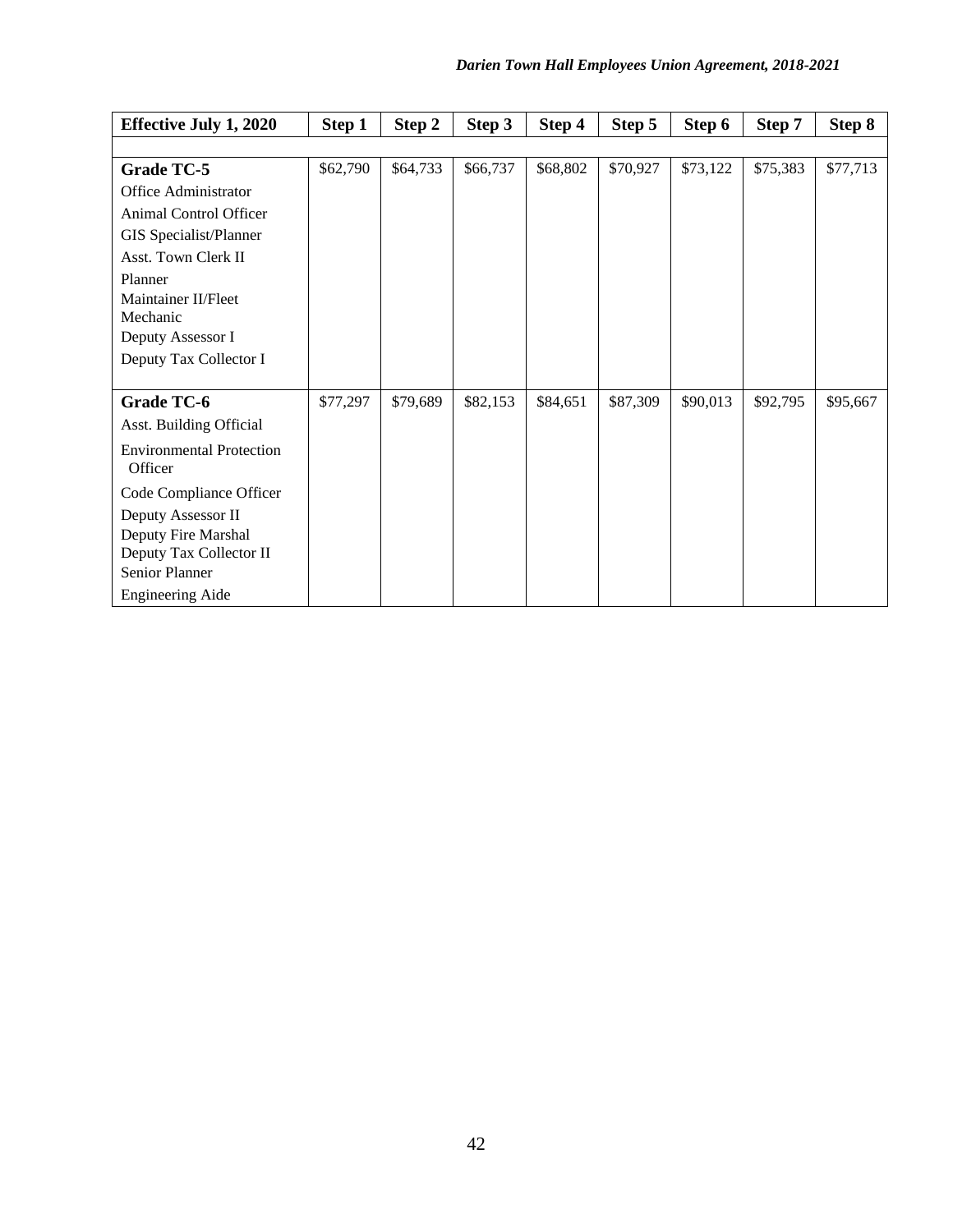| <b>Effective July 1, 2020</b>   | Step 1   | Step 2   | Step 3   | Step 4   | Step 5   | Step 6   | Step 7   | Step 8   |
|---------------------------------|----------|----------|----------|----------|----------|----------|----------|----------|
|                                 |          |          |          |          |          |          |          |          |
| Grade TC-5                      | \$62,790 | \$64,733 | \$66,737 | \$68,802 | \$70,927 | \$73,122 | \$75,383 | \$77,713 |
| Office Administrator            |          |          |          |          |          |          |          |          |
| Animal Control Officer          |          |          |          |          |          |          |          |          |
| GIS Specialist/Planner          |          |          |          |          |          |          |          |          |
| Asst. Town Clerk II             |          |          |          |          |          |          |          |          |
| Planner                         |          |          |          |          |          |          |          |          |
| Maintainer II/Fleet             |          |          |          |          |          |          |          |          |
| Mechanic                        |          |          |          |          |          |          |          |          |
| Deputy Assessor I               |          |          |          |          |          |          |          |          |
| Deputy Tax Collector I          |          |          |          |          |          |          |          |          |
| <b>Grade TC-6</b>               | \$77,297 | \$79,689 | \$82,153 | \$84,651 | \$87,309 | \$90,013 | \$92,795 | \$95,667 |
| Asst. Building Official         |          |          |          |          |          |          |          |          |
| <b>Environmental Protection</b> |          |          |          |          |          |          |          |          |
| Officer                         |          |          |          |          |          |          |          |          |
| Code Compliance Officer         |          |          |          |          |          |          |          |          |
| Deputy Assessor II              |          |          |          |          |          |          |          |          |
| Deputy Fire Marshal             |          |          |          |          |          |          |          |          |
| Deputy Tax Collector II         |          |          |          |          |          |          |          |          |
| Senior Planner                  |          |          |          |          |          |          |          |          |
| <b>Engineering Aide</b>         |          |          |          |          |          |          |          |          |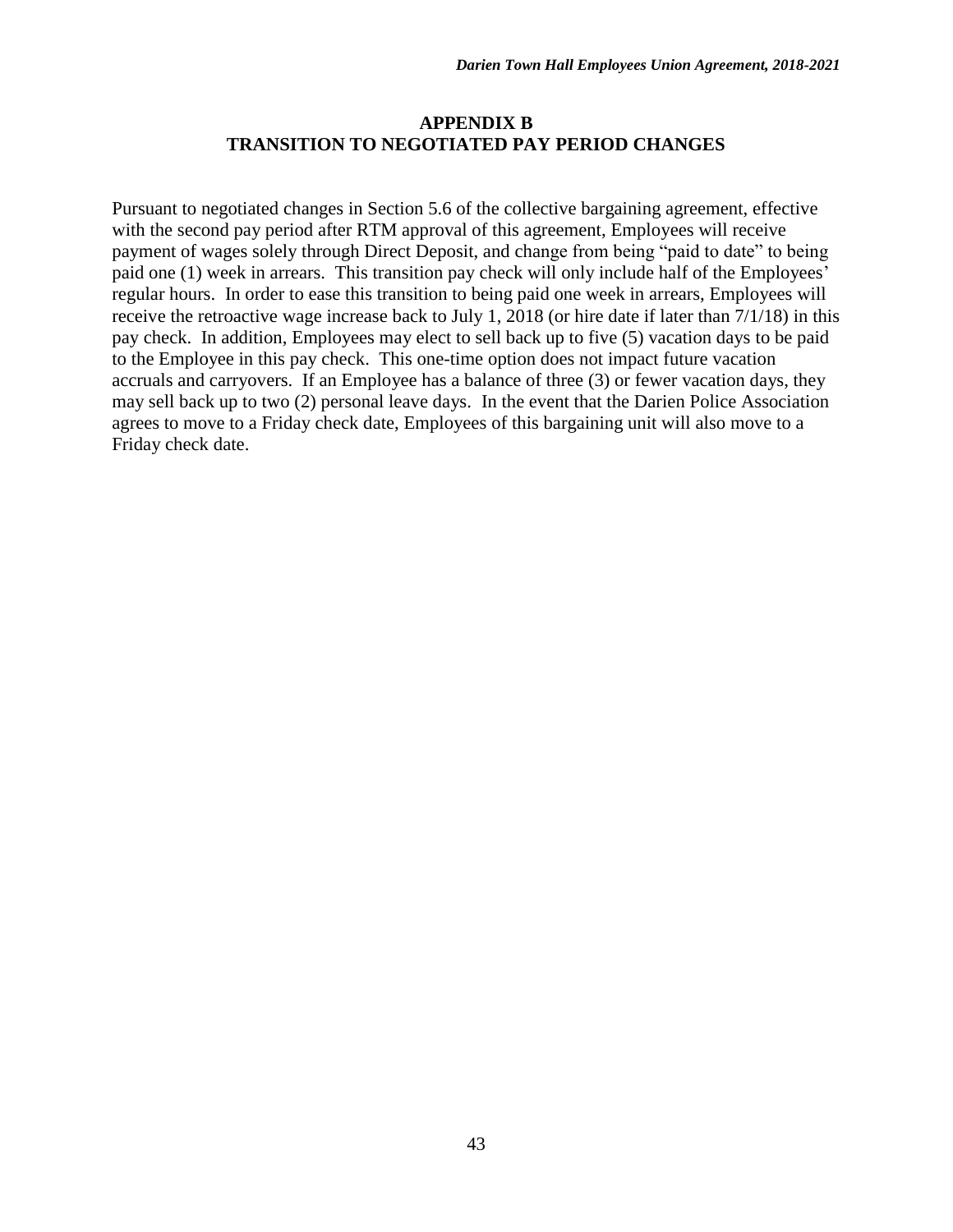#### **APPENDIX B TRANSITION TO NEGOTIATED PAY PERIOD CHANGES**

Pursuant to negotiated changes in Section 5.6 of the collective bargaining agreement, effective with the second pay period after RTM approval of this agreement, Employees will receive payment of wages solely through Direct Deposit, and change from being "paid to date" to being paid one (1) week in arrears. This transition pay check will only include half of the Employees' regular hours. In order to ease this transition to being paid one week in arrears, Employees will receive the retroactive wage increase back to July 1, 2018 (or hire date if later than 7/1/18) in this pay check. In addition, Employees may elect to sell back up to five (5) vacation days to be paid to the Employee in this pay check. This one-time option does not impact future vacation accruals and carryovers. If an Employee has a balance of three (3) or fewer vacation days, they may sell back up to two (2) personal leave days. In the event that the Darien Police Association agrees to move to a Friday check date, Employees of this bargaining unit will also move to a Friday check date.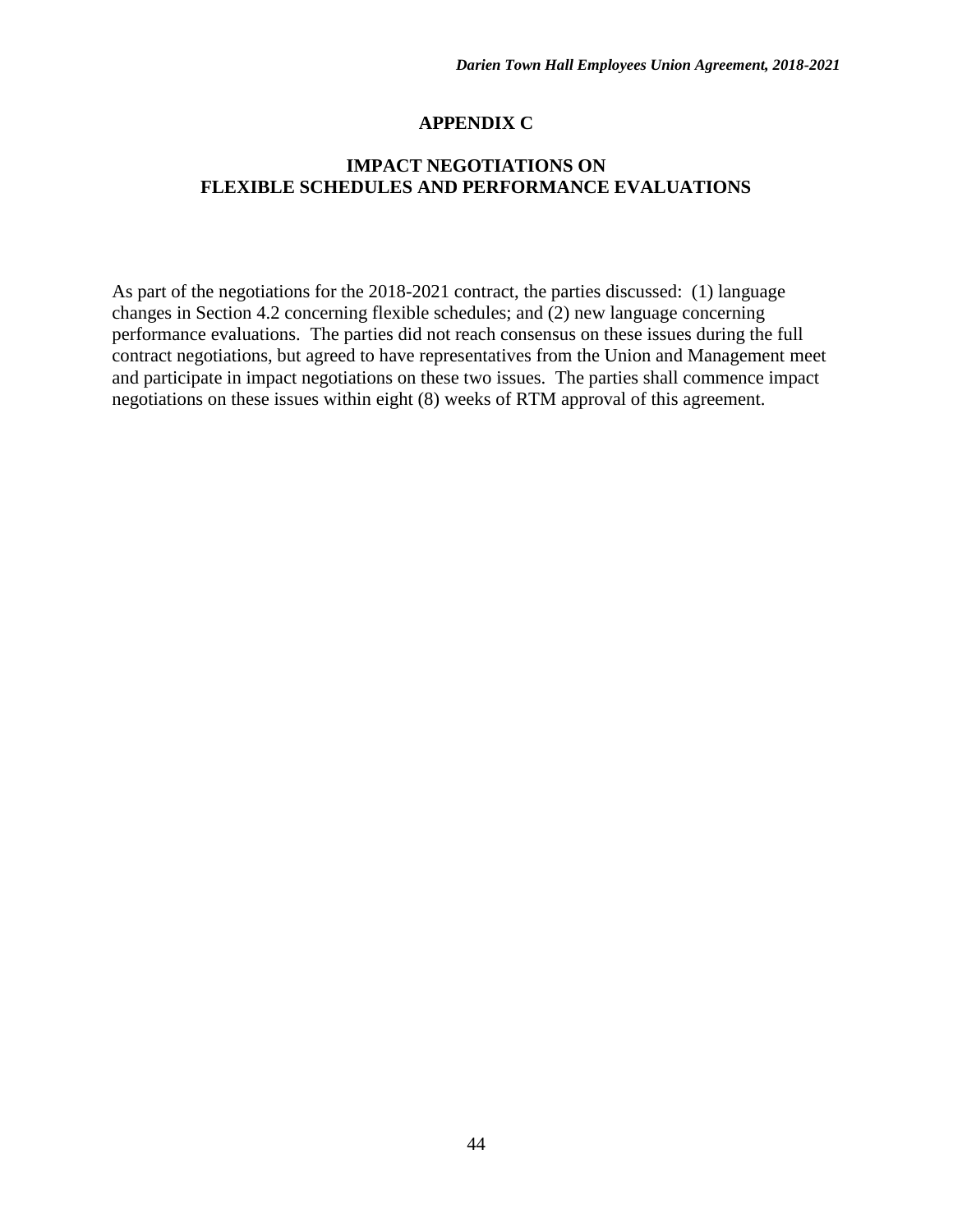#### **APPENDIX C**

#### **IMPACT NEGOTIATIONS ON FLEXIBLE SCHEDULES AND PERFORMANCE EVALUATIONS**

As part of the negotiations for the 2018-2021 contract, the parties discussed: (1) language changes in Section 4.2 concerning flexible schedules; and (2) new language concerning performance evaluations. The parties did not reach consensus on these issues during the full contract negotiations, but agreed to have representatives from the Union and Management meet and participate in impact negotiations on these two issues. The parties shall commence impact negotiations on these issues within eight (8) weeks of RTM approval of this agreement.